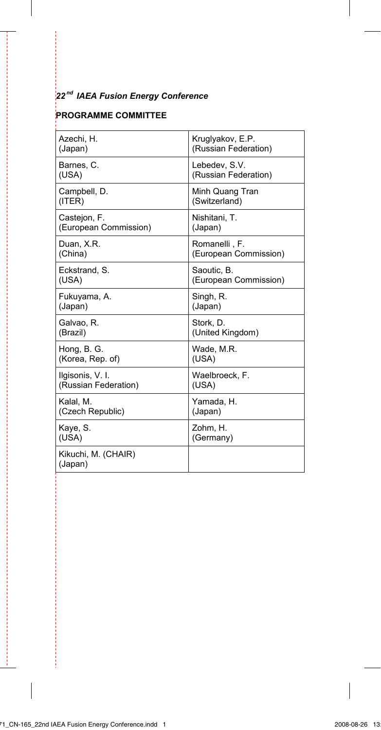#### *22 nd IAEA Fusion Energy Conference*

### **PROGRAMME COMMITTEE**

j

J

| Azechi, H.                     | Kruglyakov, E.P.      |
|--------------------------------|-----------------------|
| (Japan)                        | (Russian Federation)  |
| Barnes, C.                     | Lebedev. S.V.         |
| (USA)                          | (Russian Federation)  |
| Campbell, D.                   | Minh Quang Tran       |
| (ITER)                         | (Switzerland)         |
| Castejon, F.                   | Nishitani, T.         |
| (European Commission)          | (Japan)               |
| Duan, X.R.                     | Romanelli, F.         |
| (China)                        | (European Commission) |
| Eckstrand, S.                  | Saoutic, B.           |
| (USA)                          | (European Commission) |
| Fukuyama, A.                   | Singh, R.             |
| (Japan)                        | (Japan)               |
| Galvao. R.                     | Stork. D.             |
| (Brazil)                       | (United Kingdom)      |
| Hong, B. G.                    | Wade, M.R.            |
| (Korea, Rep. of)               | (USA)                 |
| Ilgisonis, V. I.               | Waelbroeck, F.        |
| (Russian Federation)           | (USA)                 |
| Kalal, M.                      | Yamada, H.            |
| (Czech Republic)               | (Japan)               |
| Kaye, S.                       | Zohm, H.              |
| (USA)                          | (Germany)             |
| Kikuchi, M. (CHAIR)<br>(Japan) |                       |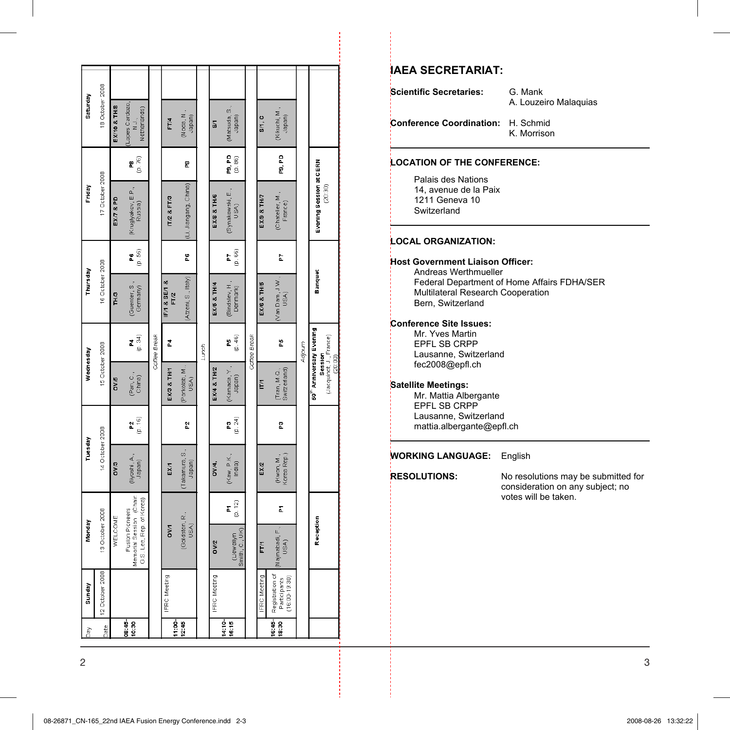| Dау             | Sunday                                               | Monday                                                                 | uesday                    |               | wednesday                                                                             |              | Thursday                   |              | Friday                             |                       | <b>Saturday</b>                                           |  |
|-----------------|------------------------------------------------------|------------------------------------------------------------------------|---------------------------|---------------|---------------------------------------------------------------------------------------|--------------|----------------------------|--------------|------------------------------------|-----------------------|-----------------------------------------------------------|--|
| Date            | 12 October 2008                                      | 13 October 2008                                                        | 14 October 2008           |               | 15 October 2008                                                                       |              | 16 October 2008            |              | 17 October 2008                    |                       | 18 October 2008                                           |  |
|                 |                                                      | WELCOME                                                                | <b>DV<sub>3</sub></b>     |               | <b>OV/5</b>                                                                           |              | TH <sub>3</sub>            |              | <b>EX7 &amp; PD</b>                |                       | EX/10 & TH/8                                              |  |
| 08:45-<br>10.30 |                                                      | Memorial Session (Chair<br>G.S. Lee, Rep. of Korea)<br>Fusion Pioneers | (liyoshi, A.,<br>Japan)   | 2 1<br>9<br>9 | (Pan, C.,<br>China)                                                                   | (p. 34)<br>2 | Guenter, S.<br>Germany)    | (0.56)<br>Ľ  | (Kruglyakov, E.P.,<br>Russia)      | 82.ad                 | opes Cardozo<br>Netherlands)<br>$\overline{\mathbb{R}}$ . |  |
|                 |                                                      |                                                                        |                           |               |                                                                                       | Coffee Break |                            |              |                                    |                       |                                                           |  |
| $11.00 -$       | <b>IFRC Meeting</b>                                  | <b>DV/1</b>                                                            | EXA                       |               | EX/3 & TH/1                                                                           | 2            | IF/1 & SE/1 &<br>F/2       |              | <b>IT/2 &amp; FT/3</b>             |                       | FT/4                                                      |  |
| 12:45           |                                                      | (Goldston, R.,<br>USA)                                                 | Takamura, S.,<br>Japan)   | P.            | (Porkolab, M.,<br>USA)                                                                |              | (Atzeni, S., Italy)        | å            | Li, Jiangang, China)               | g<br>E                | (Noda, N.,<br>Japan)                                      |  |
|                 |                                                      |                                                                        |                           |               |                                                                                       | Lunch        |                            |              |                                    |                       |                                                           |  |
|                 | IFRC Meeting                                         | <b>OV/2</b>                                                            | OV/4,                     |               | EX/4 & TH/2                                                                           |              | EX/5 & TH/4                |              | <b>EX/8 &amp; TH/6</b>             |                       | S/1                                                       |  |
| 14:10-<br>16:15 |                                                      | (p, 12)<br>2<br>Smith, C., UK)<br>(Llewellyn                           | (Kaw, P.K.,<br>India)     | ra<br>C       | Kamada, Y.,<br>Japan)                                                                 | (p.46)<br>£  | (Bindslev, H.,<br>Denmark) | $^{16}_{60}$ | (Synakowski, E.,<br>USA)           | <b>ខេ</b> ខេ<br>ខេ ខេ | (Matsuda, S.,<br>Japan)                                   |  |
|                 |                                                      |                                                                        |                           |               |                                                                                       | Coffee Break |                            |              |                                    |                       |                                                           |  |
|                 | <b>IFRC Meeting</b>                                  | FTA                                                                    | EX/2                      |               | E                                                                                     |              | EX/6 & TH/5                |              | EX/9 & TH/7                        |                       | S/1, C                                                    |  |
| 16:45<br>18:30  | Registration of<br>$(16:00 - 19:30)$<br>Participants | ĩ<br>Najmabadi, F.,<br>USA)                                            | Korea Rep.)<br>(Kwon, M., | °.            | Switzerland)<br>(Tran, M.Q.,                                                          | 운            | Van Dam, J.W.<br>USA)      | h            | (Chateller, M.,<br>France)         | P9, PD                | (Kikuchi, M.,<br>Japan)                                   |  |
|                 |                                                      |                                                                        |                           |               |                                                                                       | Adjourn      |                            |              |                                    |                       |                                                           |  |
|                 |                                                      | Reception                                                              |                           |               | 50 <sup>th</sup> Anniversary Evening<br>Session<br>(Jacquinot, J., France)<br>(20:00) |              | Banquet                    |              | Evening Session at CERN<br>(20:30) |                       |                                                           |  |
|                 |                                                      |                                                                        |                           |               |                                                                                       |              |                            |              |                                    |                       |                                                           |  |

#### **IAEA SECRETARIAT:**

**Scientific Secretaries:** G. Mank

A. Louzeiro Malaquias

**Conference Coordination:** H. Schmid

## K. Morrison

#### **LOCATION OF THE CONFERENCE:**

Palais des Nations 14, avenue de la Paix 1211 Geneva 10 Switzerland

#### **LOCAL ORGANIZATION:**

#### **Host Government Liaison Officer:**

Andreas Werthmueller Federal Department of Home Affairs FDHA/SER Multilateral Research Cooperation Bern, Switzerland

#### **Conference Site Issues:**

Mr. Yves Martin EPFL SB CRPP Lausanne, Switzerland fec2008@epfl.ch

#### **Satellite Meetings:**

Mr. Mattia Albergante EPFL SB CRPP Lausanne, Switzerland mattia.albergante@epfl.ch

#### **WORKING LANGUAGE:** English

**RESOLUTIONS:** No resolutions may be submitted for consideration on any subject; no votes will be taken.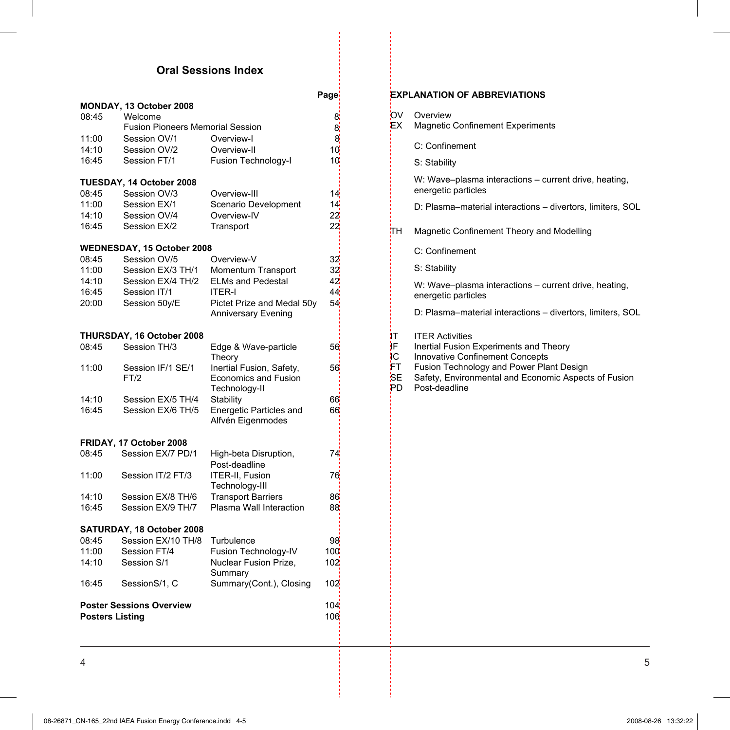# **Oral Sessions Index**

| MONDAY, 13 October 2008<br>08:45<br>Welcome<br>8<br><b>Fusion Pioneers Memorial Session</b><br>8<br>Session OV/1<br>11:00<br>Overview-I<br>8<br>14:10<br>Session OV/2<br>Overview-II<br>10 <sup>'</sup><br>16:45<br>Session FT/1<br><b>Fusion Technology-I</b><br>10<br>TUESDAY, 14 October 2008<br>08:45<br>Session OV/3<br>Overview-III<br>14i<br>Session EX/1<br>11:00<br>Scenario Development<br>14 <mark>.</mark><br>14:10<br>22<br>Session OV/4<br>Overview-IV<br>16:45<br>Session EX/2<br>Transport<br>22<br>WEDNESDAY, 15 October 2008<br>Session OV/5<br>Overview-V<br>08:45<br>32<br>11:00<br>Session EX/3 TH/1<br>Momentum Transport<br>32<br>42<br>Session EX/4 TH/2<br><b>ELMs and Pedestal</b><br>14:10<br>44<br>16:45<br>Session IT/1<br>ITER-I<br>54<br>Session 50y/E<br>Pictet Prize and Medal 50y<br>20:00<br>Anniversary Evening<br>THURSDAY, 16 October 2008<br>Session TH/3<br>08:45<br>Edge & Wave-particle<br>56¦<br>Theory<br>Session IF/1 SE/1<br>Inertial Fusion, Safety,<br>11:00<br>56<br>Economics and Fusion<br>FT/2<br>Technology-II<br>Session EX/5 TH/4<br>14:10<br>Stability<br>66<br>16:45<br>Session EX/6 TH/5<br>Energetic Particles and<br>66<br>Alfvén Eigenmodes<br>FRIDAY, 17 October 2008<br>Session EX/7 PD/1<br>08:45<br>High-beta Disruption,<br>74<br>Post-deadline<br>ITER-II, Fusion<br>Session IT/2 FT/3<br>11:00<br>76<br>Technology-III<br><b>Transport Barriers</b><br>Session EX/8 TH/6<br>14:10<br>86<br>Plasma Wall Interaction<br>Session EX/9 TH/7<br>16:45<br>88<br>SATURDAY, 18 October 2008<br>08:45<br>Session EX/10 TH/8<br>Turbulence<br>98<br>11:00<br>Session FT/4<br>Fusion Technology-IV<br>100<br>Nuclear Fusion Prize,<br>14:10<br>Session S/1<br>102<br>Summary<br>16:45<br>SessionS/1, C<br>Summary(Cont.), Closing<br>102<br><b>Poster Sessions Overview</b><br>104<br><b>Posters Listing</b><br>106 |  | Page |
|------------------------------------------------------------------------------------------------------------------------------------------------------------------------------------------------------------------------------------------------------------------------------------------------------------------------------------------------------------------------------------------------------------------------------------------------------------------------------------------------------------------------------------------------------------------------------------------------------------------------------------------------------------------------------------------------------------------------------------------------------------------------------------------------------------------------------------------------------------------------------------------------------------------------------------------------------------------------------------------------------------------------------------------------------------------------------------------------------------------------------------------------------------------------------------------------------------------------------------------------------------------------------------------------------------------------------------------------------------------------------------------------------------------------------------------------------------------------------------------------------------------------------------------------------------------------------------------------------------------------------------------------------------------------------------------------------------------------------------------------------------------------------------------------------------------------------------------------------------------------------|--|------|
|                                                                                                                                                                                                                                                                                                                                                                                                                                                                                                                                                                                                                                                                                                                                                                                                                                                                                                                                                                                                                                                                                                                                                                                                                                                                                                                                                                                                                                                                                                                                                                                                                                                                                                                                                                                                                                                                              |  |      |
|                                                                                                                                                                                                                                                                                                                                                                                                                                                                                                                                                                                                                                                                                                                                                                                                                                                                                                                                                                                                                                                                                                                                                                                                                                                                                                                                                                                                                                                                                                                                                                                                                                                                                                                                                                                                                                                                              |  |      |
|                                                                                                                                                                                                                                                                                                                                                                                                                                                                                                                                                                                                                                                                                                                                                                                                                                                                                                                                                                                                                                                                                                                                                                                                                                                                                                                                                                                                                                                                                                                                                                                                                                                                                                                                                                                                                                                                              |  |      |
|                                                                                                                                                                                                                                                                                                                                                                                                                                                                                                                                                                                                                                                                                                                                                                                                                                                                                                                                                                                                                                                                                                                                                                                                                                                                                                                                                                                                                                                                                                                                                                                                                                                                                                                                                                                                                                                                              |  |      |
|                                                                                                                                                                                                                                                                                                                                                                                                                                                                                                                                                                                                                                                                                                                                                                                                                                                                                                                                                                                                                                                                                                                                                                                                                                                                                                                                                                                                                                                                                                                                                                                                                                                                                                                                                                                                                                                                              |  |      |
|                                                                                                                                                                                                                                                                                                                                                                                                                                                                                                                                                                                                                                                                                                                                                                                                                                                                                                                                                                                                                                                                                                                                                                                                                                                                                                                                                                                                                                                                                                                                                                                                                                                                                                                                                                                                                                                                              |  |      |
|                                                                                                                                                                                                                                                                                                                                                                                                                                                                                                                                                                                                                                                                                                                                                                                                                                                                                                                                                                                                                                                                                                                                                                                                                                                                                                                                                                                                                                                                                                                                                                                                                                                                                                                                                                                                                                                                              |  |      |
|                                                                                                                                                                                                                                                                                                                                                                                                                                                                                                                                                                                                                                                                                                                                                                                                                                                                                                                                                                                                                                                                                                                                                                                                                                                                                                                                                                                                                                                                                                                                                                                                                                                                                                                                                                                                                                                                              |  |      |
|                                                                                                                                                                                                                                                                                                                                                                                                                                                                                                                                                                                                                                                                                                                                                                                                                                                                                                                                                                                                                                                                                                                                                                                                                                                                                                                                                                                                                                                                                                                                                                                                                                                                                                                                                                                                                                                                              |  |      |
|                                                                                                                                                                                                                                                                                                                                                                                                                                                                                                                                                                                                                                                                                                                                                                                                                                                                                                                                                                                                                                                                                                                                                                                                                                                                                                                                                                                                                                                                                                                                                                                                                                                                                                                                                                                                                                                                              |  |      |
|                                                                                                                                                                                                                                                                                                                                                                                                                                                                                                                                                                                                                                                                                                                                                                                                                                                                                                                                                                                                                                                                                                                                                                                                                                                                                                                                                                                                                                                                                                                                                                                                                                                                                                                                                                                                                                                                              |  |      |
|                                                                                                                                                                                                                                                                                                                                                                                                                                                                                                                                                                                                                                                                                                                                                                                                                                                                                                                                                                                                                                                                                                                                                                                                                                                                                                                                                                                                                                                                                                                                                                                                                                                                                                                                                                                                                                                                              |  |      |
|                                                                                                                                                                                                                                                                                                                                                                                                                                                                                                                                                                                                                                                                                                                                                                                                                                                                                                                                                                                                                                                                                                                                                                                                                                                                                                                                                                                                                                                                                                                                                                                                                                                                                                                                                                                                                                                                              |  |      |
|                                                                                                                                                                                                                                                                                                                                                                                                                                                                                                                                                                                                                                                                                                                                                                                                                                                                                                                                                                                                                                                                                                                                                                                                                                                                                                                                                                                                                                                                                                                                                                                                                                                                                                                                                                                                                                                                              |  |      |
|                                                                                                                                                                                                                                                                                                                                                                                                                                                                                                                                                                                                                                                                                                                                                                                                                                                                                                                                                                                                                                                                                                                                                                                                                                                                                                                                                                                                                                                                                                                                                                                                                                                                                                                                                                                                                                                                              |  |      |
|                                                                                                                                                                                                                                                                                                                                                                                                                                                                                                                                                                                                                                                                                                                                                                                                                                                                                                                                                                                                                                                                                                                                                                                                                                                                                                                                                                                                                                                                                                                                                                                                                                                                                                                                                                                                                                                                              |  |      |
|                                                                                                                                                                                                                                                                                                                                                                                                                                                                                                                                                                                                                                                                                                                                                                                                                                                                                                                                                                                                                                                                                                                                                                                                                                                                                                                                                                                                                                                                                                                                                                                                                                                                                                                                                                                                                                                                              |  |      |
|                                                                                                                                                                                                                                                                                                                                                                                                                                                                                                                                                                                                                                                                                                                                                                                                                                                                                                                                                                                                                                                                                                                                                                                                                                                                                                                                                                                                                                                                                                                                                                                                                                                                                                                                                                                                                                                                              |  |      |
|                                                                                                                                                                                                                                                                                                                                                                                                                                                                                                                                                                                                                                                                                                                                                                                                                                                                                                                                                                                                                                                                                                                                                                                                                                                                                                                                                                                                                                                                                                                                                                                                                                                                                                                                                                                                                                                                              |  |      |
|                                                                                                                                                                                                                                                                                                                                                                                                                                                                                                                                                                                                                                                                                                                                                                                                                                                                                                                                                                                                                                                                                                                                                                                                                                                                                                                                                                                                                                                                                                                                                                                                                                                                                                                                                                                                                                                                              |  |      |
|                                                                                                                                                                                                                                                                                                                                                                                                                                                                                                                                                                                                                                                                                                                                                                                                                                                                                                                                                                                                                                                                                                                                                                                                                                                                                                                                                                                                                                                                                                                                                                                                                                                                                                                                                                                                                                                                              |  |      |
|                                                                                                                                                                                                                                                                                                                                                                                                                                                                                                                                                                                                                                                                                                                                                                                                                                                                                                                                                                                                                                                                                                                                                                                                                                                                                                                                                                                                                                                                                                                                                                                                                                                                                                                                                                                                                                                                              |  |      |
|                                                                                                                                                                                                                                                                                                                                                                                                                                                                                                                                                                                                                                                                                                                                                                                                                                                                                                                                                                                                                                                                                                                                                                                                                                                                                                                                                                                                                                                                                                                                                                                                                                                                                                                                                                                                                                                                              |  |      |
|                                                                                                                                                                                                                                                                                                                                                                                                                                                                                                                                                                                                                                                                                                                                                                                                                                                                                                                                                                                                                                                                                                                                                                                                                                                                                                                                                                                                                                                                                                                                                                                                                                                                                                                                                                                                                                                                              |  |      |
|                                                                                                                                                                                                                                                                                                                                                                                                                                                                                                                                                                                                                                                                                                                                                                                                                                                                                                                                                                                                                                                                                                                                                                                                                                                                                                                                                                                                                                                                                                                                                                                                                                                                                                                                                                                                                                                                              |  |      |
|                                                                                                                                                                                                                                                                                                                                                                                                                                                                                                                                                                                                                                                                                                                                                                                                                                                                                                                                                                                                                                                                                                                                                                                                                                                                                                                                                                                                                                                                                                                                                                                                                                                                                                                                                                                                                                                                              |  |      |
|                                                                                                                                                                                                                                                                                                                                                                                                                                                                                                                                                                                                                                                                                                                                                                                                                                                                                                                                                                                                                                                                                                                                                                                                                                                                                                                                                                                                                                                                                                                                                                                                                                                                                                                                                                                                                                                                              |  |      |
|                                                                                                                                                                                                                                                                                                                                                                                                                                                                                                                                                                                                                                                                                                                                                                                                                                                                                                                                                                                                                                                                                                                                                                                                                                                                                                                                                                                                                                                                                                                                                                                                                                                                                                                                                                                                                                                                              |  |      |
|                                                                                                                                                                                                                                                                                                                                                                                                                                                                                                                                                                                                                                                                                                                                                                                                                                                                                                                                                                                                                                                                                                                                                                                                                                                                                                                                                                                                                                                                                                                                                                                                                                                                                                                                                                                                                                                                              |  |      |
|                                                                                                                                                                                                                                                                                                                                                                                                                                                                                                                                                                                                                                                                                                                                                                                                                                                                                                                                                                                                                                                                                                                                                                                                                                                                                                                                                                                                                                                                                                                                                                                                                                                                                                                                                                                                                                                                              |  |      |
|                                                                                                                                                                                                                                                                                                                                                                                                                                                                                                                                                                                                                                                                                                                                                                                                                                                                                                                                                                                                                                                                                                                                                                                                                                                                                                                                                                                                                                                                                                                                                                                                                                                                                                                                                                                                                                                                              |  |      |
|                                                                                                                                                                                                                                                                                                                                                                                                                                                                                                                                                                                                                                                                                                                                                                                                                                                                                                                                                                                                                                                                                                                                                                                                                                                                                                                                                                                                                                                                                                                                                                                                                                                                                                                                                                                                                                                                              |  |      |
|                                                                                                                                                                                                                                                                                                                                                                                                                                                                                                                                                                                                                                                                                                                                                                                                                                                                                                                                                                                                                                                                                                                                                                                                                                                                                                                                                                                                                                                                                                                                                                                                                                                                                                                                                                                                                                                                              |  |      |
|                                                                                                                                                                                                                                                                                                                                                                                                                                                                                                                                                                                                                                                                                                                                                                                                                                                                                                                                                                                                                                                                                                                                                                                                                                                                                                                                                                                                                                                                                                                                                                                                                                                                                                                                                                                                                                                                              |  |      |
|                                                                                                                                                                                                                                                                                                                                                                                                                                                                                                                                                                                                                                                                                                                                                                                                                                                                                                                                                                                                                                                                                                                                                                                                                                                                                                                                                                                                                                                                                                                                                                                                                                                                                                                                                                                                                                                                              |  |      |
|                                                                                                                                                                                                                                                                                                                                                                                                                                                                                                                                                                                                                                                                                                                                                                                                                                                                                                                                                                                                                                                                                                                                                                                                                                                                                                                                                                                                                                                                                                                                                                                                                                                                                                                                                                                                                                                                              |  |      |
|                                                                                                                                                                                                                                                                                                                                                                                                                                                                                                                                                                                                                                                                                                                                                                                                                                                                                                                                                                                                                                                                                                                                                                                                                                                                                                                                                                                                                                                                                                                                                                                                                                                                                                                                                                                                                                                                              |  |      |
|                                                                                                                                                                                                                                                                                                                                                                                                                                                                                                                                                                                                                                                                                                                                                                                                                                                                                                                                                                                                                                                                                                                                                                                                                                                                                                                                                                                                                                                                                                                                                                                                                                                                                                                                                                                                                                                                              |  |      |
|                                                                                                                                                                                                                                                                                                                                                                                                                                                                                                                                                                                                                                                                                                                                                                                                                                                                                                                                                                                                                                                                                                                                                                                                                                                                                                                                                                                                                                                                                                                                                                                                                                                                                                                                                                                                                                                                              |  |      |
|                                                                                                                                                                                                                                                                                                                                                                                                                                                                                                                                                                                                                                                                                                                                                                                                                                                                                                                                                                                                                                                                                                                                                                                                                                                                                                                                                                                                                                                                                                                                                                                                                                                                                                                                                                                                                                                                              |  |      |
|                                                                                                                                                                                                                                                                                                                                                                                                                                                                                                                                                                                                                                                                                                                                                                                                                                                                                                                                                                                                                                                                                                                                                                                                                                                                                                                                                                                                                                                                                                                                                                                                                                                                                                                                                                                                                                                                              |  |      |
|                                                                                                                                                                                                                                                                                                                                                                                                                                                                                                                                                                                                                                                                                                                                                                                                                                                                                                                                                                                                                                                                                                                                                                                                                                                                                                                                                                                                                                                                                                                                                                                                                                                                                                                                                                                                                                                                              |  |      |
|                                                                                                                                                                                                                                                                                                                                                                                                                                                                                                                                                                                                                                                                                                                                                                                                                                                                                                                                                                                                                                                                                                                                                                                                                                                                                                                                                                                                                                                                                                                                                                                                                                                                                                                                                                                                                                                                              |  |      |
|                                                                                                                                                                                                                                                                                                                                                                                                                                                                                                                                                                                                                                                                                                                                                                                                                                                                                                                                                                                                                                                                                                                                                                                                                                                                                                                                                                                                                                                                                                                                                                                                                                                                                                                                                                                                                                                                              |  |      |
|                                                                                                                                                                                                                                                                                                                                                                                                                                                                                                                                                                                                                                                                                                                                                                                                                                                                                                                                                                                                                                                                                                                                                                                                                                                                                                                                                                                                                                                                                                                                                                                                                                                                                                                                                                                                                                                                              |  |      |

|                                   | <b>EXPLANATION OF ABBREVIATIONS</b>                                                                                                                                                                                             |
|-----------------------------------|---------------------------------------------------------------------------------------------------------------------------------------------------------------------------------------------------------------------------------|
| OV.<br>ΈX                         | Overview<br><b>Magnetic Confinement Experiments</b>                                                                                                                                                                             |
|                                   | C: Confinement                                                                                                                                                                                                                  |
|                                   | S: Stability                                                                                                                                                                                                                    |
|                                   | W: Wave-plasma interactions – current drive, heating,<br>energetic particles                                                                                                                                                    |
|                                   | D: Plasma–material interactions – divertors, limiters, SOL                                                                                                                                                                      |
| πн                                | Magnetic Confinement Theory and Modelling                                                                                                                                                                                       |
|                                   | C: Confinement                                                                                                                                                                                                                  |
|                                   | S: Stability                                                                                                                                                                                                                    |
|                                   | W: Wave-plasma interactions - current drive, heating,<br>energetic particles                                                                                                                                                    |
|                                   | D: Plasma-material interactions - divertors, limiters, SOL                                                                                                                                                                      |
| łΤ<br>ĵΕ<br>łС<br>FT.<br>SE<br>PD | <b>ITER Activities</b><br>Inertial Fusion Experiments and Theory<br><b>Innovative Confinement Concepts</b><br>Fusion Technology and Power Plant Design<br>Safety, Environmental and Economic Aspects of Fusion<br>Post-deadline |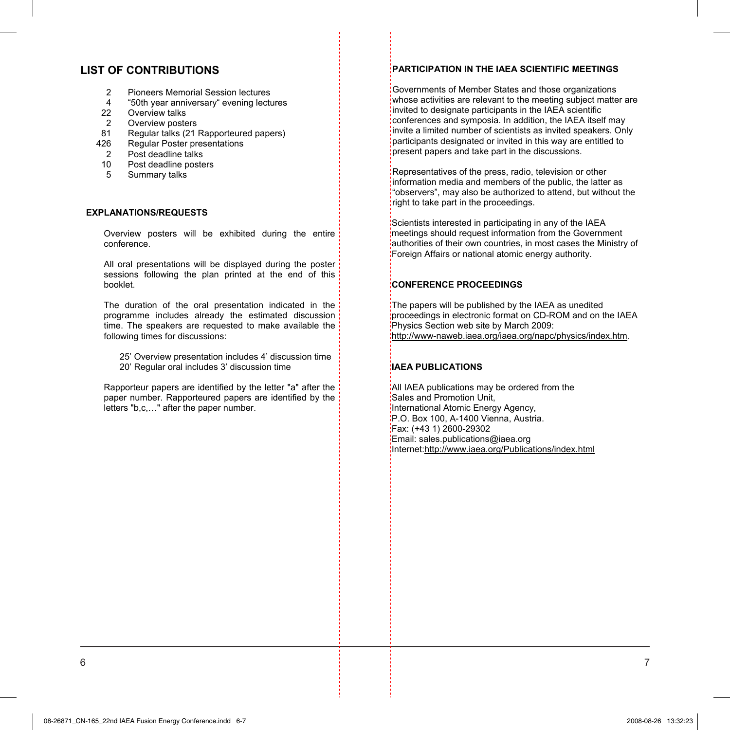#### **LIST OF CONTRIBUTIONS**

- 2 Pioneers Memorial Session lectures
- 4 "50th year anniversary" evening lectures
- 22 Overview talks
- $\mathfrak{p}$ Overview posters
- 81 Regular talks (21 Rapporteured papers)
- 426 Regular Poster presentations
- $\mathcal{P}$ Post deadline talks
- 10 Post deadline posters
- 5 Summary talks

#### **EXPLANATIONS/REQUESTS**

Overview posters will be exhibited during the entire conference.

All oral presentations will be displayed during the poster sessions following the plan printed at the end of this booklet.

The duration of the oral presentation indicated in the programme includes already the estimated discussion time. The speakers are requested to make available the following times for discussions:

25' Overview presentation includes 4' discussion time 20' Regular oral includes 3' discussion time

Rapporteur papers are identified by the letter "a" after the paper number. Rapporteured papers are identified by the letters "b,c,…" after the paper number.

#### **PARTICIPATION IN THE IAEA SCIENTIFIC MEETINGS**

Governments of Member States and those organizations whose activities are relevant to the meeting subject matter are invited to designate participants in the IAEA scientific conferences and symposia. In addition, the IAEA itself may invite a limited number of scientists as invited speakers. Only participants designated or invited in this way are entitled to present papers and take part in the discussions.

Representatives of the press, radio, television or other information media and members of the public, the latter as "observers", may also be authorized to attend, but without the right to take part in the proceedings.

Scientists interested in participating in any of the IAEA meetings should request information from the Government authorities of their own countries, in most cases the Ministry of Foreign Affairs or national atomic energy authority.

#### **CONFERENCE PROCEEDINGS**

The papers will be published by the IAEA as unedited proceedings in electronic format on CD-ROM and on the IAEA Physics Section web site by March 2009: http://www-naweb.iaea.org/iaea.org/napc/physics/index.htm.

#### **IAEA PUBLICATIONS**

All IAEA publications may be ordered from the Sales and Promotion Unit, International Atomic Energy Agency, P.O. Box 100, A-1400 Vienna, Austria. Fax: (+43 1) 2600-29302 Email: sales.publications@iaea.org Internet:http://www.iaea.org/Publications/index.html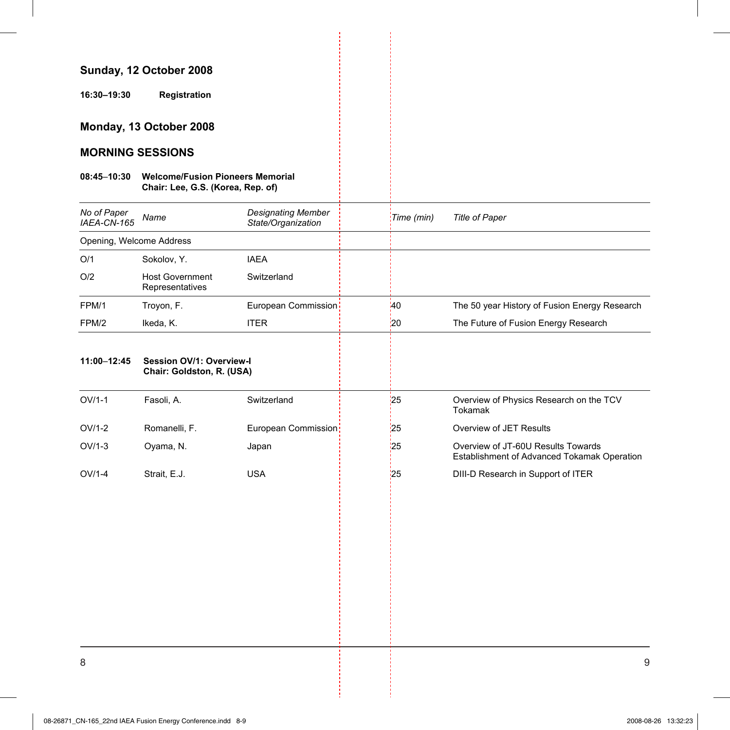### **Sunday, 12 October 2008**

**16:30–19:30 Registration** 

### **Monday, 13 October 2008**

### **MORNING SESSIONS**

#### **08:45**–**10:30 Welcome/Fusion Pioneers Memorial Chair: Lee, G.S. (Korea, Rep. of)**

| No of Paper<br>IAEA-CN-165 | Name                                      | <b>Designating Member</b><br>State/Organization | Time (min)   | Title of Paper                                |
|----------------------------|-------------------------------------------|-------------------------------------------------|--------------|-----------------------------------------------|
|                            | Opening, Welcome Address                  |                                                 |              |                                               |
| O/1                        | Sokolov, Y.                               | <b>IAEA</b>                                     |              |                                               |
| O/2                        | <b>Host Government</b><br>Representatives | Switzerland                                     |              |                                               |
| FPM/1                      | Troyon, F.                                | European Commission                             | $40^{\circ}$ | The 50 year History of Fusion Energy Research |
| FPM/2                      | Ikeda, K.                                 | <b>ITER</b>                                     | :20          | The Future of Fusion Energy Research          |
|                            |                                           |                                                 |              |                                               |

#### **11:00**–**12:45 Session OV/1: Overview-I Chair: Goldston, R. (USA)**

|          | <b>UTHER</b> UPINSION, IN 1995 |                     |     |                                                                                   |
|----------|--------------------------------|---------------------|-----|-----------------------------------------------------------------------------------|
| $OV/1-1$ | Fasoli, A.                     | Switzerland         | 25  | Overview of Physics Research on the TCV<br>Tokamak                                |
| $OV/1-2$ | Romanelli, F.                  | European Commission | 25  | Overview of JET Results                                                           |
| $OV/1-3$ | Ovama, N.                      | Japan               | 125 | Overview of JT-60U Results Towards<br>Establishment of Advanced Tokamak Operation |
| $OV/1-4$ | Strait, E.J.                   | USA                 | '25 | DIII-D Research in Support of ITER                                                |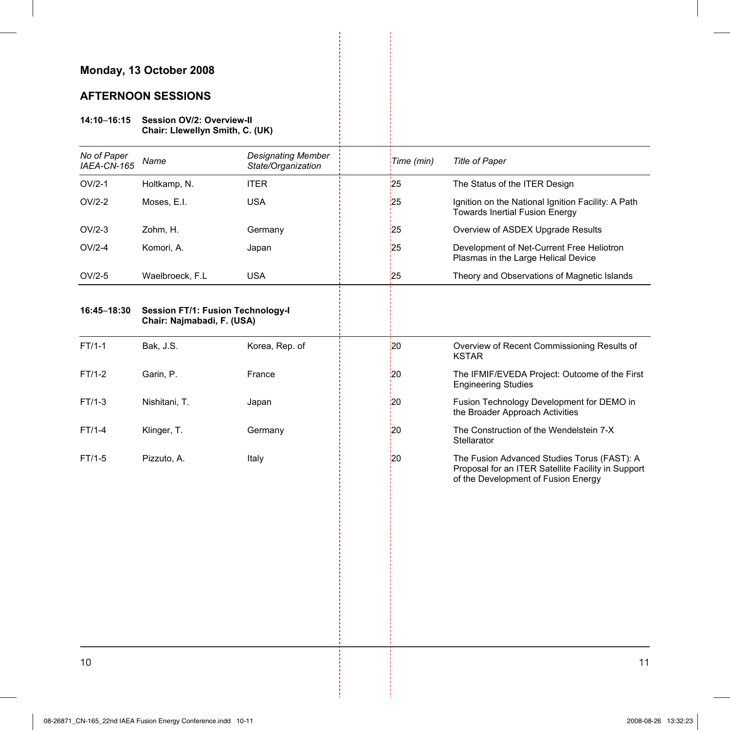### **Monday, 13 October 2008**

### **AFTERNOON SESSIONS**

#### **14:10**–**16:15 Session OV/2: Overview-II Chair: Llewellyn Smith, C. (UK)**

| No of Paper<br>IAEA-CN-165 | Name                                                                   | <b>Designating Member</b><br>State/Organization | Time (min) | Title of Paper                                                                                                                           |
|----------------------------|------------------------------------------------------------------------|-------------------------------------------------|------------|------------------------------------------------------------------------------------------------------------------------------------------|
| $OV/2-1$                   | Holtkamp, N.                                                           | <b>ITER</b>                                     | 125        | The Status of the ITER Design                                                                                                            |
| $OV/2-2$                   | Moses, E.I.                                                            | <b>USA</b>                                      | 25         | Ignition on the National Ignition Facility: A Path<br><b>Towards Inertial Fusion Energy</b>                                              |
| $OV/2-3$                   | Zohm, H.                                                               | Germany                                         | 25         | Overview of ASDEX Upgrade Results                                                                                                        |
| $OV/2-4$                   | Komori, A.                                                             | Japan                                           | 25         | Development of Net-Current Free Heliotron<br>Plasmas in the Large Helical Device                                                         |
| $OV/2-5$                   | Waelbroeck, F.L                                                        | <b>USA</b>                                      | 25         | Theory and Observations of Magnetic Islands                                                                                              |
| 16:45-18:30                | <b>Session FT/1: Fusion Technology-I</b><br>Chair: Najmabadi, F. (USA) |                                                 |            |                                                                                                                                          |
| $FT/1-1$                   | Bak, J.S.                                                              | Korea, Rep. of                                  | 20         | Overview of Recent Commissioning Results of<br><b>KSTAR</b>                                                                              |
| FT/1-2                     | Garin, P.                                                              | France                                          | 20         | The IFMIF/EVEDA Project: Outcome of the First<br><b>Engineering Studies</b>                                                              |
| $FT/1-3$                   | Nishitani, T.                                                          | Japan                                           | 20         | Fusion Technology Development for DEMO in<br>the Broader Approach Activities                                                             |
| FT/1-4                     | Klinger, T.                                                            | Germany                                         | 20         | The Construction of the Wendelstein 7-X<br>Stellarator                                                                                   |
| FT/1-5                     | Pizzuto, A.                                                            | Italy                                           | 20         | The Fusion Advanced Studies Torus (FAST): A<br>Proposal for an ITER Satellite Facility in Support<br>of the Development of Fusion Energy |
|                            |                                                                        |                                                 |            |                                                                                                                                          |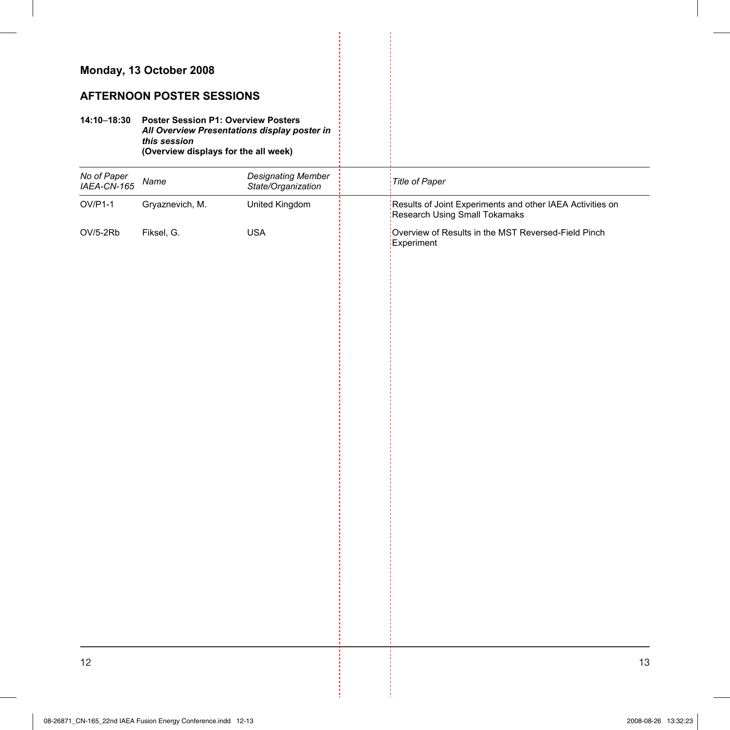## **Monday, 13 October 2008**

### **AFTERNOON POSTER SESSIONS**

#### **14:10**–**18:30 Poster Session P1: Overview Posters**  *All Overview Presentations display poster in this session*  **(Overview displays for the all week)**

| No of Paper<br>IAEA-CN-165 | Name            | <b>Designating Member</b><br>State/Organization | Title of Paper                                                                                   |
|----------------------------|-----------------|-------------------------------------------------|--------------------------------------------------------------------------------------------------|
| $OV/P1-1$                  | Gryaznevich, M. | United Kingdom                                  | :<br>Results of Joint Experiments and other IAEA Activities on<br>:Research Using Small Tokamaks |
| OV/5-2Rb                   | Fiksel, G.      | <b>USA</b>                                      | Overview of Results in the MST Reversed-Field Pinch<br>Experiment                                |
|                            |                 |                                                 |                                                                                                  |
|                            |                 |                                                 |                                                                                                  |
|                            |                 |                                                 |                                                                                                  |
|                            |                 |                                                 |                                                                                                  |
|                            |                 |                                                 |                                                                                                  |
|                            |                 |                                                 |                                                                                                  |
|                            |                 |                                                 |                                                                                                  |
|                            |                 |                                                 |                                                                                                  |
|                            |                 |                                                 |                                                                                                  |
|                            |                 |                                                 |                                                                                                  |
|                            |                 |                                                 |                                                                                                  |
|                            |                 |                                                 |                                                                                                  |
|                            |                 |                                                 |                                                                                                  |
|                            |                 |                                                 |                                                                                                  |
|                            |                 |                                                 |                                                                                                  |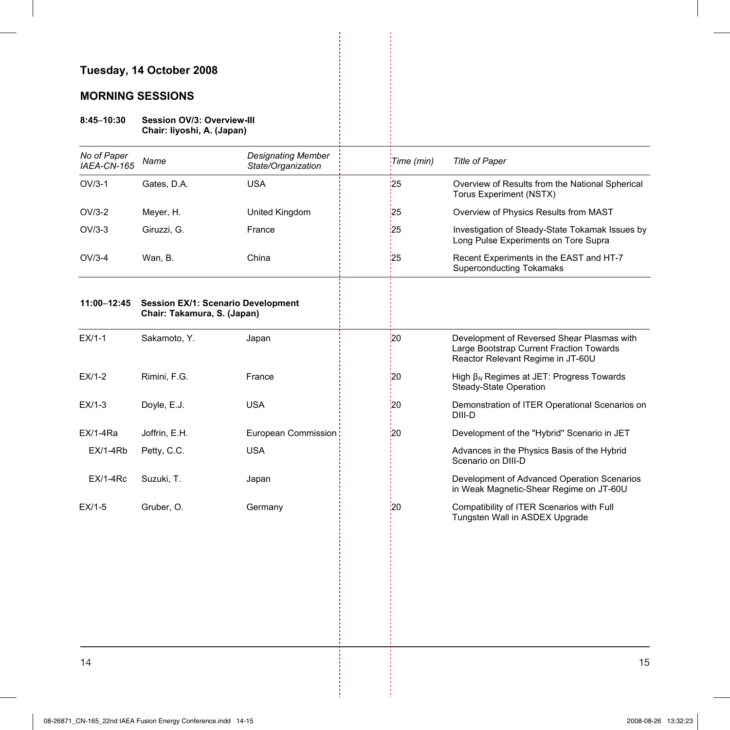# **Tuesday, 14 October 2008**

## **MORNING SESSIONS**

#### **8:45**–**10:30 Session OV/3: Overview-III Chair: Iiyoshi, A. (Japan)**

| No of Paper<br>IAEA-CN-165 | Name                                                                     | <b>Designating Member</b><br>State/Organization | Time (min)      | <b>Title of Paper</b>                                                                                                       |
|----------------------------|--------------------------------------------------------------------------|-------------------------------------------------|-----------------|-----------------------------------------------------------------------------------------------------------------------------|
| $OV/3-1$                   | Gates, D.A.                                                              | <b>USA</b>                                      | 125             | Overview of Results from the National Spherical<br><b>Torus Experiment (NSTX)</b>                                           |
| $OV/3-2$                   | Meyer, H.                                                                | United Kingdom                                  | '25             | Overview of Physics Results from MAST                                                                                       |
| $OV/3-3$                   | Giruzzi, G.                                                              | France                                          | 25              | Investigation of Steady-State Tokamak Issues by<br>Long Pulse Experiments on Tore Supra                                     |
| $OV/3-4$                   | Wan, B.                                                                  | China                                           | 25              | Recent Experiments in the EAST and HT-7<br><b>Superconducting Tokamaks</b>                                                  |
| 11:00-12:45                | <b>Session EX/1: Scenario Development</b><br>Chair: Takamura, S. (Japan) |                                                 |                 |                                                                                                                             |
| $EX/1-1$                   | Sakamoto, Y.                                                             | Japan                                           | 20              | Development of Reversed Shear Plasmas with<br>Large Bootstrap Current Fraction Towards<br>Reactor Relevant Regime in JT-60U |
| $EX/1-2$                   | Rimini, F.G.                                                             | France                                          | 20              | High $\beta_N$ Regimes at JET: Progress Towards<br>Steady-State Operation                                                   |
| $EX/1-3$                   | Doyle, E.J.                                                              | <b>USA</b>                                      | $\frac{1}{2}$   | Demonstration of ITER Operational Scenarios on<br>DIII-D                                                                    |
| $EX/1-4Ra$                 | Joffrin, E.H.                                                            | European Commission                             | 20              | Development of the "Hybrid" Scenario in JET                                                                                 |
| $EX/1-4Rb$                 | Petty, C.C.                                                              | <b>USA</b>                                      |                 | Advances in the Physics Basis of the Hybrid<br>Scenario on DIII-D                                                           |
| $EX/1-4Rc$                 | Suzuki, T.                                                               | Japan                                           |                 | Development of Advanced Operation Scenarios<br>in Weak Magnetic-Shear Regime on JT-60U                                      |
| $EX/1-5$                   | Gruber, O.                                                               | Germany                                         | $\overline{20}$ | Compatibility of ITER Scenarios with Full<br>Tungsten Wall in ASDEX Upgrade                                                 |
|                            |                                                                          |                                                 |                 |                                                                                                                             |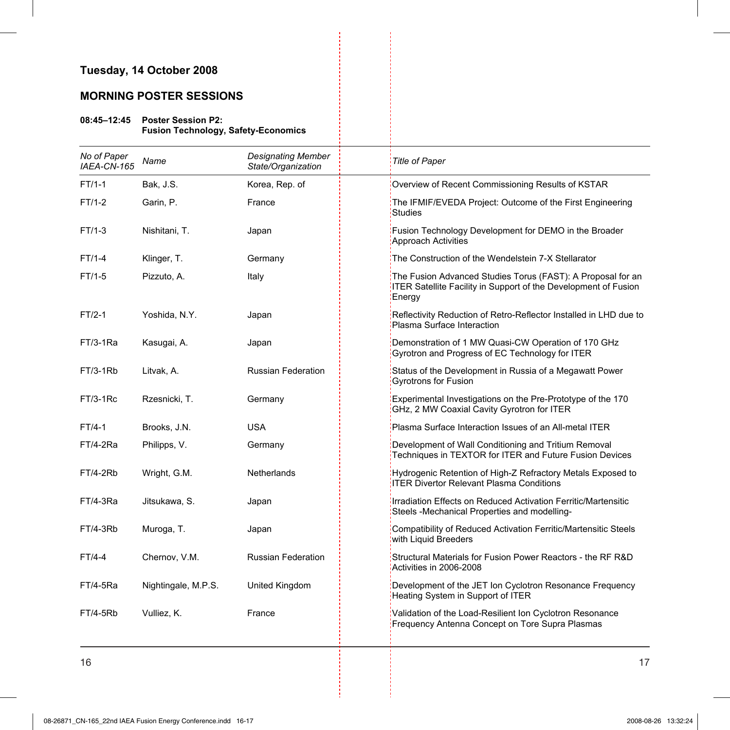### **Tuesday, 14 October 2008**

## **MORNING POSTER SESSIONS**

#### **08:45–12:45 Poster Session P2: Fusion Technology, Safety-Economics**

| No of Paper<br>IAEA-CN-165 | Name                | <b>Designating Member</b><br>State/Organization | Title of Paper                                                                                                                                  |
|----------------------------|---------------------|-------------------------------------------------|-------------------------------------------------------------------------------------------------------------------------------------------------|
| $FT/1-1$                   | Bak, J.S.           | Korea, Rep. of                                  | Overview of Recent Commissioning Results of KSTAR                                                                                               |
| $FT/1-2$                   | Garin, P.           | France                                          | The IFMIF/EVEDA Project: Outcome of the First Engineering<br><b>Studies</b>                                                                     |
| FT/1-3                     | Nishitani, T.       | Japan                                           | Fusion Technology Development for DEMO in the Broader<br>Approach Activities                                                                    |
| $FT/1-4$                   | Klinger, T.         | Germany                                         | The Construction of the Wendelstein 7-X Stellarator                                                                                             |
| $FT/1-5$                   | Pizzuto, A.         | Italy                                           | The Fusion Advanced Studies Torus (FAST): A Proposal for an<br><b>ITER Satellite Facility in Support of the Development of Fusion</b><br>Energy |
| $FT/2-1$                   | Yoshida, N.Y.       | Japan                                           | Reflectivity Reduction of Retro-Reflector Installed in LHD due to<br>Plasma Surface Interaction                                                 |
| $FT/3-1Ra$                 | Kasugai, A.         | Japan                                           | Demonstration of 1 MW Quasi-CW Operation of 170 GHz<br>Gyrotron and Progress of EC Technology for ITER                                          |
| FT/3-1Rb                   | Litvak, A.          | <b>Russian Federation</b>                       | Status of the Development in Russia of a Megawatt Power<br><b>Gyrotrons for Fusion</b>                                                          |
| $FT/3-1$ Rc                | Rzesnicki, T.       | Germany                                         | Experimental Investigations on the Pre-Prototype of the 170<br>GHz, 2 MW Coaxial Cavity Gyrotron for ITER                                       |
| $FT/4-1$                   | Brooks, J.N.        | <b>USA</b>                                      | Plasma Surface Interaction Issues of an All-metal ITER                                                                                          |
| FT/4-2Ra                   | Philipps, V.        | Germany                                         | Development of Wall Conditioning and Tritium Removal<br>Techniques in TEXTOR for ITER and Future Fusion Devices                                 |
| FT/4-2Rb                   | Wright, G.M.        | Netherlands                                     | Hydrogenic Retention of High-Z Refractory Metals Exposed to<br><b>ITER Divertor Relevant Plasma Conditions</b>                                  |
| FT/4-3Ra                   | Jitsukawa, S.       | Japan                                           | Irradiation Effects on Reduced Activation Ferritic/Martensitic<br>Steels -Mechanical Properties and modelling-                                  |
| FT/4-3Rb                   | Muroga, T.          | Japan                                           | Compatibility of Reduced Activation Ferritic/Martensitic Steels<br>with Liquid Breeders                                                         |
| FT/4-4                     | Chernov, V.M.       | <b>Russian Federation</b>                       | Structural Materials for Fusion Power Reactors - the RF R&D<br>Activities in 2006-2008                                                          |
| FT/4-5Ra                   | Nightingale, M.P.S. | United Kingdom                                  | Development of the JET Ion Cyclotron Resonance Frequency<br>Heating System in Support of ITER                                                   |
| FT/4-5Rb                   | Vulliez, K.         | France                                          | Validation of the Load-Resilient Ion Cyclotron Resonance<br>Frequency Antenna Concept on Tore Supra Plasmas                                     |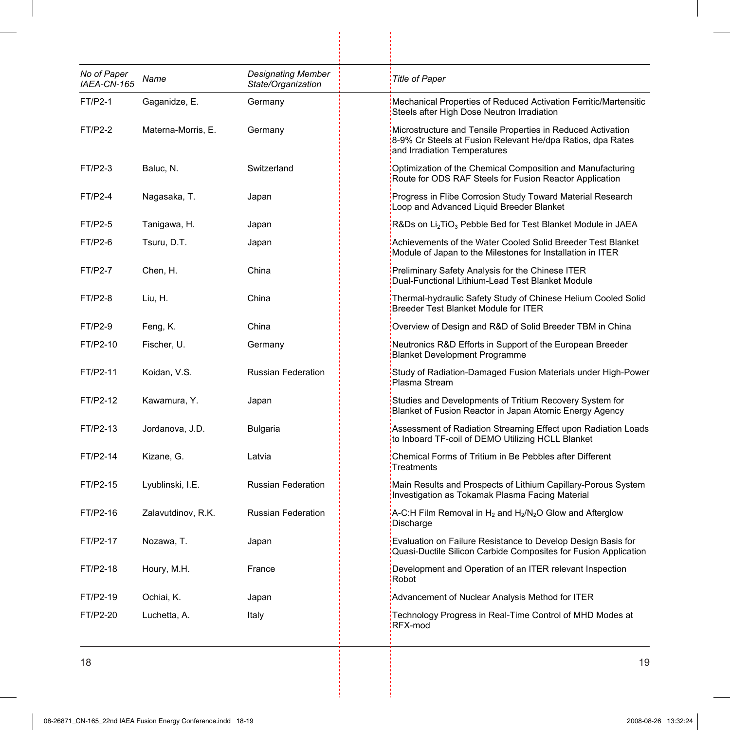| No of Paper<br>IAEA-CN-165 | Name               | <b>Designating Member</b><br>State/Organization | <b>Title of Paper</b>                                                                                                                                     |
|----------------------------|--------------------|-------------------------------------------------|-----------------------------------------------------------------------------------------------------------------------------------------------------------|
| FT/P2-1                    | Gaganidze, E.      | Germany                                         | Mechanical Properties of Reduced Activation Ferritic/Martensitic<br>Steels after High Dose Neutron Irradiation                                            |
| $FT/P2-2$                  | Materna-Morris, E. | Germany                                         | Microstructure and Tensile Properties in Reduced Activation<br>8-9% Cr Steels at Fusion Relevant He/dpa Ratios, dpa Rates<br>and Irradiation Temperatures |
| FT/P2-3                    | Baluc, N.          | Switzerland                                     | Optimization of the Chemical Composition and Manufacturing<br>Route for ODS RAF Steels for Fusion Reactor Application                                     |
| <b>FT/P2-4</b>             | Nagasaka, T.       | Japan                                           | Progress in Flibe Corrosion Study Toward Material Research<br>Loop and Advanced Liquid Breeder Blanket                                                    |
| FT/P2-5                    | Tanigawa, H.       | Japan                                           | $R&DS$ on $Li2TiO3$ Pebble Bed for Test Blanket Module in JAEA                                                                                            |
| FT/P2-6                    | Tsuru, D.T.        | Japan                                           | Achievements of the Water Cooled Solid Breeder Test Blanket<br>Module of Japan to the Milestones for Installation in ITER                                 |
| <b>FT/P2-7</b>             | Chen, H.           | China                                           | Preliminary Safety Analysis for the Chinese ITER<br>Dual-Functional Lithium-Lead Test Blanket Module                                                      |
| <b>FT/P2-8</b>             | Liu, H.            | China                                           | Thermal-hydraulic Safety Study of Chinese Helium Cooled Solid<br>Breeder Test Blanket Module for ITER                                                     |
| FT/P2-9                    | Feng, K.           | China                                           | Overview of Design and R&D of Solid Breeder TBM in China                                                                                                  |
| FT/P2-10                   | Fischer, U.        | Germany                                         | Neutronics R&D Efforts in Support of the European Breeder<br><b>Blanket Development Programme</b>                                                         |
| FT/P2-11                   | Koidan, V.S.       | <b>Russian Federation</b>                       | Study of Radiation-Damaged Fusion Materials under High-Power<br>Plasma Stream                                                                             |
| FT/P2-12                   | Kawamura, Y.       | Japan                                           | Studies and Developments of Tritium Recovery System for<br>Blanket of Fusion Reactor in Japan Atomic Energy Agency                                        |
| FT/P2-13                   | Jordanova, J.D.    | <b>Bulgaria</b>                                 | Assessment of Radiation Streaming Effect upon Radiation Loads<br>to Inboard TF-coil of DEMO Utilizing HCLL Blanket                                        |
| FT/P2-14                   | Kizane, G.         | Latvia                                          | Chemical Forms of Tritium in Be Pebbles after Different<br>Treatments                                                                                     |
| FT/P2-15                   | Lyublinski, I.E.   | <b>Russian Federation</b>                       | Main Results and Prospects of Lithium Capillary-Porous System<br>Investigation as Tokamak Plasma Facing Material                                          |
| FT/P2-16                   | Zalavutdinov, R.K. | <b>Russian Federation</b>                       | A-C:H Film Removal in $H_2$ and $H_2/N_2O$ Glow and Afterglow<br>Discharge                                                                                |
| FT/P2-17                   | Nozawa, T.         | Japan                                           | Evaluation on Failure Resistance to Develop Design Basis for<br>Quasi-Ductile Silicon Carbide Composites for Fusion Application                           |
| FT/P2-18                   | Houry, M.H.        | France                                          | Development and Operation of an ITER relevant Inspection<br>Robot                                                                                         |
| FT/P2-19                   | Ochiai, K.         | Japan                                           | Advancement of Nuclear Analysis Method for ITER                                                                                                           |
| FT/P2-20                   | Luchetta, A.       | Italy                                           | Technology Progress in Real-Time Control of MHD Modes at<br>RFX-mod                                                                                       |

ļ.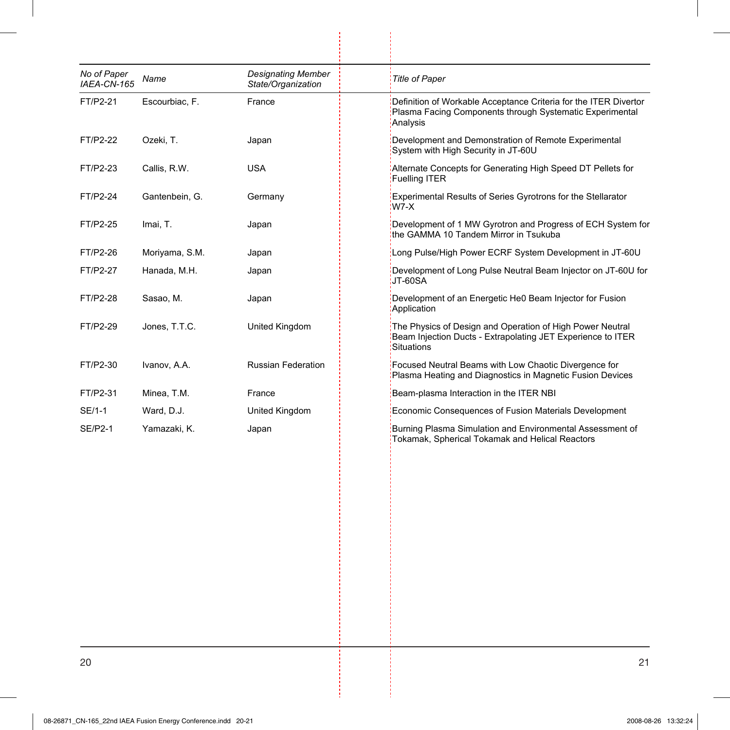| No of Paper<br>IAEA-CN-165 | Name           | <b>Designating Member</b><br>State/Organization | <b>Title of Paper</b>                                                                                                                    |
|----------------------------|----------------|-------------------------------------------------|------------------------------------------------------------------------------------------------------------------------------------------|
| FT/P2-21                   | Escourbiac, F. | France                                          | Definition of Workable Acceptance Criteria for the ITER Divertor<br>Plasma Facing Components through Systematic Experimental<br>Analysis |
| FT/P2-22                   | Ozeki, T.      | Japan                                           | Development and Demonstration of Remote Experimental<br>System with High Security in JT-60U                                              |
| FT/P2-23                   | Callis, R.W.   | <b>USA</b>                                      | Alternate Concepts for Generating High Speed DT Pellets for<br>Fuelling ITER                                                             |
| FT/P2-24                   | Gantenbein, G. | Germany                                         | Experimental Results of Series Gyrotrons for the Stellarator<br>:W7-X                                                                    |
| FT/P2-25                   | Imai, T.       | Japan                                           | Development of 1 MW Gyrotron and Progress of ECH System for<br>the GAMMA 10 Tandem Mirror in Tsukuba                                     |
| FT/P2-26                   | Moriyama, S.M. | Japan                                           | Long Pulse/High Power ECRF System Development in JT-60U                                                                                  |
| FT/P2-27                   | Hanada, M.H.   | Japan                                           | Development of Long Pulse Neutral Beam Injector on JT-60U for<br>JT-60SA                                                                 |
| FT/P2-28                   | Sasao, M.      | Japan                                           | Development of an Energetic He0 Beam Injector for Fusion<br>Application                                                                  |
| FT/P2-29                   | Jones, T.T.C.  | United Kingdom                                  | The Physics of Design and Operation of High Power Neutral<br>Beam Injection Ducts - Extrapolating JET Experience to ITER<br>Situations   |
| FT/P2-30                   | Ivanov, A.A.   | <b>Russian Federation</b>                       | Focused Neutral Beams with Low Chaotic Divergence for<br>Plasma Heating and Diagnostics in Magnetic Fusion Devices                       |
| FT/P2-31                   | Minea, T.M.    | France                                          | Beam-plasma Interaction in the ITER NBI                                                                                                  |
| SE/1-1                     | Ward, D.J.     | United Kingdom                                  | Economic Consequences of Fusion Materials Development                                                                                    |
| <b>SE/P2-1</b>             | Yamazaki, K.   | Japan                                           | Burning Plasma Simulation and Environmental Assessment of<br>Tokamak, Spherical Tokamak and Helical Reactors                             |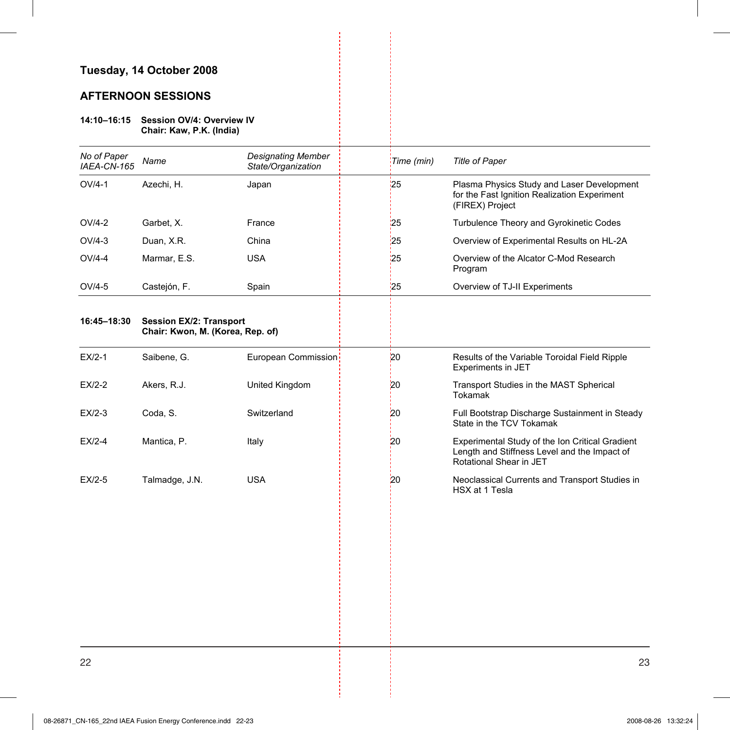# **Tuesday, 14 October 2008**

## **AFTERNOON SESSIONS**

#### **14:10–16:15 Session OV/4: Overview IV**

**Chair: Kaw, P.K. (India)** 

| No of Paper<br>IAEA-CN-165 | Name                                                               | <b>Designating Member</b><br>State/Organization | Time (min) | Title of Paper                                                                                                             |
|----------------------------|--------------------------------------------------------------------|-------------------------------------------------|------------|----------------------------------------------------------------------------------------------------------------------------|
| $OV/4-1$                   | Azechi, H.                                                         | Japan                                           | 25         | Plasma Physics Study and Laser Development<br>for the Fast Ignition Realization Experiment<br>(FIREX) Project              |
| OV/4-2                     | Garbet, X.                                                         | France                                          | 25         | Turbulence Theory and Gyrokinetic Codes                                                                                    |
| $OV/4-3$                   | Duan, X.R.                                                         | China                                           | 25         | Overview of Experimental Results on HL-2A                                                                                  |
| $OV/4-4$                   | Marmar, E.S.                                                       | <b>USA</b>                                      | 25         | Overview of the Alcator C-Mod Research<br>Program                                                                          |
| $OV/4-5$                   | Castejón, F.                                                       | Spain                                           | 25         | Overview of TJ-II Experiments                                                                                              |
| 16:45-18:30                | <b>Session EX/2: Transport</b><br>Chair: Kwon, M. (Korea, Rep. of) |                                                 |            |                                                                                                                            |
| $EX/2-1$                   | Saibene, G.                                                        | European Commission                             | 20         | Results of the Variable Toroidal Field Ripple<br>Experiments in JET                                                        |
| $EX/2-2$                   | Akers, R.J.                                                        | United Kingdom                                  | 20         | Transport Studies in the MAST Spherical<br>Tokamak                                                                         |
| EX/2-3                     | Coda, S.                                                           | Switzerland                                     | 20         | Full Bootstrap Discharge Sustainment in Steady<br>State in the TCV Tokamak                                                 |
| $EX/2-4$                   | Mantica, P.                                                        | Italy                                           | 20         | Experimental Study of the Ion Critical Gradient<br>Length and Stiffness Level and the Impact of<br>Rotational Shear in JET |
| $EX/2-5$                   | Talmadge, J.N.                                                     | <b>USA</b>                                      | 20         | Neoclassical Currents and Transport Studies in<br>HSX at 1 Tesla                                                           |
|                            |                                                                    |                                                 |            |                                                                                                                            |
|                            |                                                                    |                                                 |            |                                                                                                                            |
|                            |                                                                    |                                                 |            |                                                                                                                            |
|                            |                                                                    |                                                 |            |                                                                                                                            |
|                            |                                                                    |                                                 |            |                                                                                                                            |
|                            |                                                                    |                                                 |            |                                                                                                                            |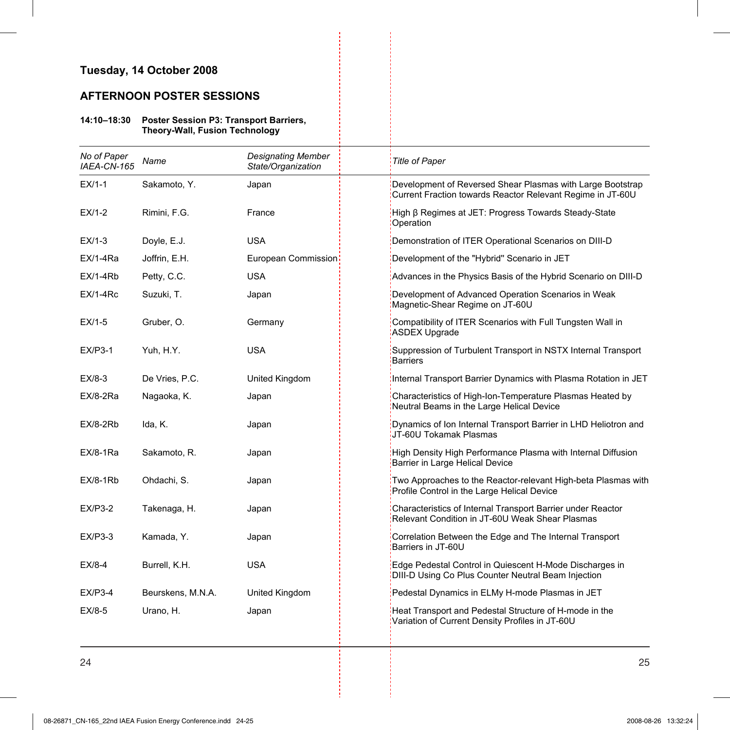### **Tuesday, 14 October 2008**

### **AFTERNOON POSTER SESSIONS**

#### **14:10–18:30 Poster Session P3: Transport Barriers, Theory-Wall, Fusion Technology**

| No of Paper<br>IAEA-CN-165 | Name              | <b>Designating Member</b><br>State/Organization | <b>Title of Paper</b>                                                                                                    |
|----------------------------|-------------------|-------------------------------------------------|--------------------------------------------------------------------------------------------------------------------------|
| $EX/1-1$                   | Sakamoto, Y.      | Japan                                           | Development of Reversed Shear Plasmas with Large Bootstrap<br>Current Fraction towards Reactor Relevant Regime in JT-60U |
| $EX/1-2$                   | Rimini, F.G.      | France                                          | High β Regimes at JET: Progress Towards Steady-State<br>Operation                                                        |
| $EX/1-3$                   | Doyle, E.J.       | <b>USA</b>                                      | Demonstration of ITER Operational Scenarios on DIII-D                                                                    |
| $EX/1-4Ra$                 | Joffrin, E.H.     | European Commission                             | Development of the "Hybrid" Scenario in JET                                                                              |
| $EX/1-4Rb$                 | Petty, C.C.       | <b>USA</b>                                      | Advances in the Physics Basis of the Hybrid Scenario on DIII-D                                                           |
| $EX/1-4Rc$                 | Suzuki, T.        | Japan                                           | Development of Advanced Operation Scenarios in Weak<br>Magnetic-Shear Regime on JT-60U                                   |
| $EX/1-5$                   | Gruber, O.        | Germany                                         | Compatibility of ITER Scenarios with Full Tungsten Wall in<br><b>ASDEX Upgrade</b>                                       |
| $EX/P3-1$                  | Yuh, H.Y.         | <b>USA</b>                                      | Suppression of Turbulent Transport in NSTX Internal Transport<br><b>Barriers</b>                                         |
| $EX/8-3$                   | De Vries, P.C.    | United Kingdom                                  | Internal Transport Barrier Dynamics with Plasma Rotation in JET                                                          |
| $EX/8-2Ra$                 | Nagaoka, K.       | Japan                                           | Characteristics of High-Ion-Temperature Plasmas Heated by<br>Neutral Beams in the Large Helical Device                   |
| $EX/8-2Rb$                 | Ida, K.           | Japan                                           | Dynamics of Ion Internal Transport Barrier in LHD Heliotron and<br>JT-60U Tokamak Plasmas                                |
| $EX/8-1Ra$                 | Sakamoto, R.      | Japan                                           | High Density High Performance Plasma with Internal Diffusion<br>Barrier in Large Helical Device                          |
| $EX/8-1Rb$                 | Ohdachi, S.       | Japan                                           | Two Approaches to the Reactor-relevant High-beta Plasmas with<br>Profile Control in the Large Helical Device             |
| $EX/P3-2$                  | Takenaga, H.      | Japan                                           | Characteristics of Internal Transport Barrier under Reactor<br>Relevant Condition in JT-60U Weak Shear Plasmas           |
| $EX/P3-3$                  | Kamada, Y.        | Japan                                           | Correlation Between the Edge and The Internal Transport<br>Barriers in JT-60U                                            |
| $EX/8-4$                   | Burrell, K.H.     | <b>USA</b>                                      | Edge Pedestal Control in Quiescent H-Mode Discharges in<br>DIII-D Using Co Plus Counter Neutral Beam Injection           |
| $EX/P3-4$                  | Beurskens, M.N.A. | United Kingdom                                  | Pedestal Dynamics in ELMy H-mode Plasmas in JET                                                                          |
| $EX/8-5$                   | Urano, H.         | Japan                                           | Heat Transport and Pedestal Structure of H-mode in the<br>Variation of Current Density Profiles in JT-60U                |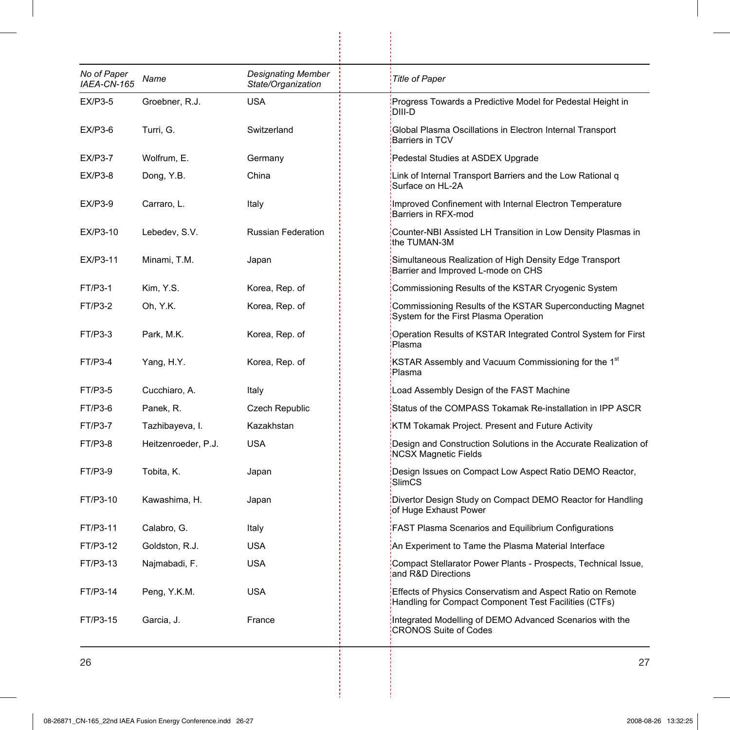| No of Paper<br>IAEA-CN-165 | Name                | <b>Designating Member</b><br>State/Organization | <b>Title of Paper</b>                                                                                               |
|----------------------------|---------------------|-------------------------------------------------|---------------------------------------------------------------------------------------------------------------------|
| $EX/P3-5$                  | Groebner, R.J.      | USA                                             | Progress Towards a Predictive Model for Pedestal Height in<br>DIII-D                                                |
| <b>EX/P3-6</b>             | Turri, G.           | Switzerland                                     | Global Plasma Oscillations in Electron Internal Transport<br>Barriers in TCV                                        |
| <b>EX/P3-7</b>             | Wolfrum, E.         | Germany                                         | Pedestal Studies at ASDEX Upgrade                                                                                   |
| $EX/P3-8$                  | Dong, Y.B.          | China                                           | Link of Internal Transport Barriers and the Low Rational q<br>Surface on HL-2A                                      |
| EX/P3-9                    | Carraro, L.         | Italy                                           | Improved Confinement with Internal Electron Temperature<br>Barriers in RFX-mod                                      |
| EX/P3-10                   | Lebedev, S.V.       | <b>Russian Federation</b>                       | Counter-NBI Assisted LH Transition in Low Density Plasmas in<br>the TUMAN-3M                                        |
| EX/P3-11                   | Minami, T.M.        | Japan                                           | Simultaneous Realization of High Density Edge Transport<br>Barrier and Improved L-mode on CHS                       |
| FT/P3-1                    | Kim, Y.S.           | Korea, Rep. of                                  | Commissioning Results of the KSTAR Cryogenic System                                                                 |
| FT/P3-2                    | Oh, Y.K.            | Korea, Rep. of                                  | Commissioning Results of the KSTAR Superconducting Magnet<br>System for the First Plasma Operation                  |
| FT/P3-3                    | Park, M.K.          | Korea, Rep. of                                  | Operation Results of KSTAR Integrated Control System for First<br>Plasma                                            |
| FT/P3-4                    | Yang, H.Y.          | Korea, Rep. of                                  | KSTAR Assembly and Vacuum Commissioning for the 1 <sup>st</sup><br>Plasma                                           |
| FT/P3-5                    | Cucchiaro, A.       | Italy                                           | Load Assembly Design of the FAST Machine                                                                            |
| FT/P3-6                    | Panek, R.           | Czech Republic                                  | Status of the COMPASS Tokamak Re-installation in IPP ASCR                                                           |
| FT/P3-7                    | Tazhibayeva, I.     | Kazakhstan                                      | KTM Tokamak Project. Present and Future Activity                                                                    |
| FT/P3-8                    | Heitzenroeder, P.J. | <b>USA</b>                                      | Design and Construction Solutions in the Accurate Realization of<br><b>NCSX Magnetic Fields</b>                     |
| FT/P3-9                    | Tobita, K.          | Japan                                           | Design Issues on Compact Low Aspect Ratio DEMO Reactor,<br>SlimCS                                                   |
| FT/P3-10                   | Kawashima, H.       | Japan                                           | Divertor Design Study on Compact DEMO Reactor for Handling<br>of Huge Exhaust Power                                 |
| FT/P3-11                   | Calabro, G.         | Italy                                           | <b>FAST Plasma Scenarios and Equilibrium Configurations</b>                                                         |
| FT/P3-12                   | Goldston, R.J.      | <b>USA</b>                                      | An Experiment to Tame the Plasma Material Interface                                                                 |
| FT/P3-13                   | Najmabadi, F.       | <b>USA</b>                                      | Compact Stellarator Power Plants - Prospects, Technical Issue,<br>and R&D Directions                                |
| FT/P3-14                   | Peng, Y.K.M.        | <b>USA</b>                                      | Effects of Physics Conservatism and Aspect Ratio on Remote<br>Handling for Compact Component Test Facilities (CTFs) |
| FT/P3-15                   | Garcia, J.          | France                                          | Integrated Modelling of DEMO Advanced Scenarios with the<br><b>CRONOS Suite of Codes</b>                            |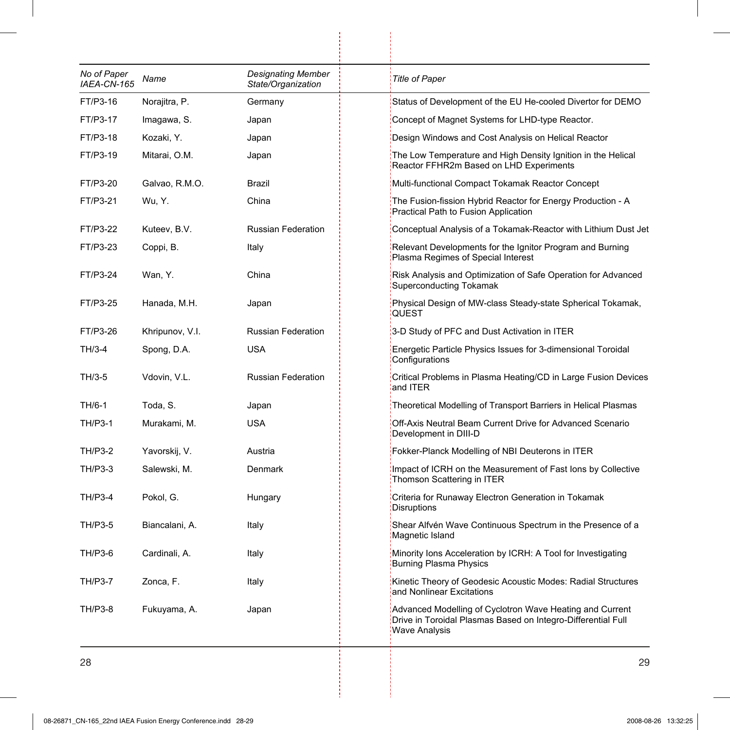| No of Paper<br>IAEA-CN-165 | Name            | <b>Designating Member</b><br>State/Organization | <b>Title of Paper</b>                                                                                                                            |
|----------------------------|-----------------|-------------------------------------------------|--------------------------------------------------------------------------------------------------------------------------------------------------|
| FT/P3-16                   | Norajitra, P.   | Germany                                         | Status of Development of the EU He-cooled Divertor for DEMO                                                                                      |
| FT/P3-17                   | Imagawa, S.     | Japan                                           | Concept of Magnet Systems for LHD-type Reactor.                                                                                                  |
| FT/P3-18                   | Kozaki, Y.      | Japan                                           | Design Windows and Cost Analysis on Helical Reactor                                                                                              |
| FT/P3-19                   | Mitarai, O.M.   | Japan                                           | The Low Temperature and High Density Ignition in the Helical<br>Reactor FFHR2m Based on LHD Experiments                                          |
| FT/P3-20                   | Galvao, R.M.O.  | Brazil                                          | Multi-functional Compact Tokamak Reactor Concept                                                                                                 |
| FT/P3-21                   | Wu, Y.          | China                                           | The Fusion-fission Hybrid Reactor for Energy Production - A<br>Practical Path to Fusion Application                                              |
| FT/P3-22                   | Kuteev, B.V.    | <b>Russian Federation</b>                       | Conceptual Analysis of a Tokamak-Reactor with Lithium Dust Jet                                                                                   |
| FT/P3-23                   | Coppi, B.       | Italy                                           | Relevant Developments for the Ignitor Program and Burning<br>Plasma Regimes of Special Interest                                                  |
| FT/P3-24                   | Wan, Y.         | China                                           | Risk Analysis and Optimization of Safe Operation for Advanced<br><b>Superconducting Tokamak</b>                                                  |
| FT/P3-25                   | Hanada, M.H.    | Japan                                           | Physical Design of MW-class Steady-state Spherical Tokamak,<br><b>QUEST</b>                                                                      |
| FT/P3-26                   | Khripunov, V.I. | <b>Russian Federation</b>                       | 3-D Study of PFC and Dust Activation in ITER                                                                                                     |
| TH/3-4                     | Spong, D.A.     | USA                                             | Energetic Particle Physics Issues for 3-dimensional Toroidal<br>Configurations                                                                   |
| TH/3-5                     | Vdovin, V.L.    | Russian Federation                              | Critical Problems in Plasma Heating/CD in Large Fusion Devices<br>and ITER                                                                       |
| TH/6-1                     | Toda, S.        | Japan                                           | Theoretical Modelling of Transport Barriers in Helical Plasmas                                                                                   |
| <b>TH/P3-1</b>             | Murakami, M.    | <b>USA</b>                                      | Off-Axis Neutral Beam Current Drive for Advanced Scenario<br>Development in DIII-D                                                               |
| <b>TH/P3-2</b>             | Yavorskij, V.   | Austria                                         | Fokker-Planck Modelling of NBI Deuterons in ITER                                                                                                 |
| <b>TH/P3-3</b>             | Salewski, M.    | Denmark                                         | Impact of ICRH on the Measurement of Fast Ions by Collective<br>Thomson Scattering in ITER                                                       |
| <b>TH/P3-4</b>             | Pokol, G.       | Hungary                                         | Criteria for Runaway Electron Generation in Tokamak<br>Disruptions                                                                               |
| <b>TH/P3-5</b>             | Biancalani, A.  | Italy                                           | Shear Alfvén Wave Continuous Spectrum in the Presence of a<br>Magnetic Island                                                                    |
| TH/P3-6                    | Cardinali, A.   | Italy                                           | Minority lons Acceleration by ICRH: A Tool for Investigating<br>Burning Plasma Physics                                                           |
| <b>TH/P3-7</b>             | Zonca, F.       | Italy                                           | Kinetic Theory of Geodesic Acoustic Modes: Radial Structures<br>and Nonlinear Excitations                                                        |
| TH/P3-8                    | Fukuyama, A.    | Japan                                           | Advanced Modelling of Cyclotron Wave Heating and Current<br>Drive in Toroidal Plasmas Based on Integro-Differential Full<br><b>Wave Analysis</b> |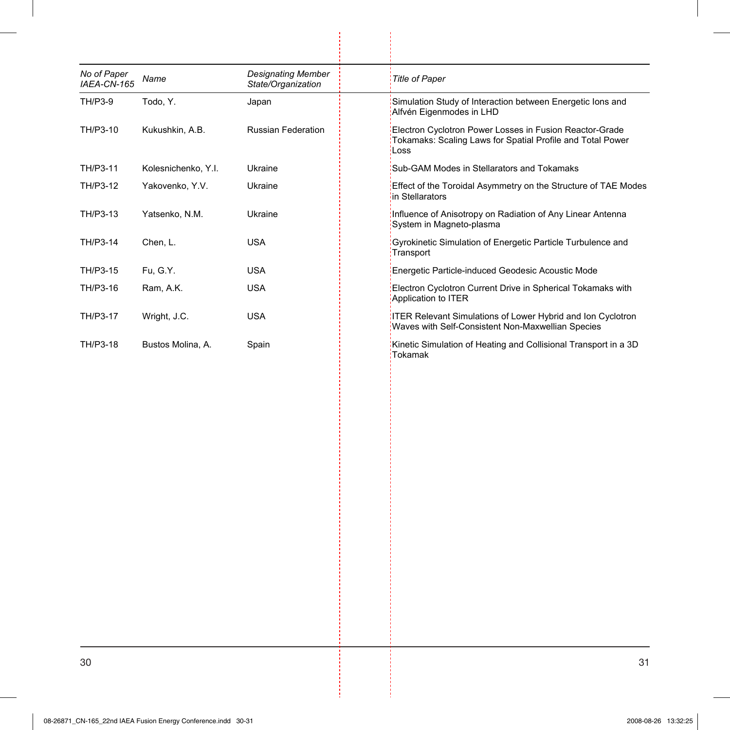| No of Paper<br>IAEA-CN-165 | Name                | <b>Designating Member</b><br>State/Organization | <b>Title of Paper</b>                                                                                                         |
|----------------------------|---------------------|-------------------------------------------------|-------------------------------------------------------------------------------------------------------------------------------|
| TH/P3-9                    | Todo, Y.            | Japan                                           | Simulation Study of Interaction between Energetic lons and<br>Alfvén Eigenmodes in LHD                                        |
| TH/P3-10                   | Kukushkin, A.B.     | <b>Russian Federation</b>                       | Electron Cyclotron Power Losses in Fusion Reactor-Grade<br>Tokamaks: Scaling Laws for Spatial Profile and Total Power<br>Loss |
| TH/P3-11                   | Kolesnichenko, Y.I. | Ukraine                                         | Sub-GAM Modes in Stellarators and Tokamaks                                                                                    |
| TH/P3-12                   | Yakovenko, Y.V.     | Ukraine                                         | Effect of the Toroidal Asymmetry on the Structure of TAE Modes<br>in Stellarators                                             |
| TH/P3-13                   | Yatsenko, N.M.      | Ukraine                                         | Influence of Anisotropy on Radiation of Any Linear Antenna<br>System in Magneto-plasma                                        |
| TH/P3-14                   | Chen, L.            | <b>USA</b>                                      | Gyrokinetic Simulation of Energetic Particle Turbulence and<br>Transport                                                      |
| TH/P3-15                   | Fu, G.Y.            | <b>USA</b>                                      | Energetic Particle-induced Geodesic Acoustic Mode                                                                             |
| TH/P3-16                   | Ram, A.K.           | <b>USA</b>                                      | Electron Cyclotron Current Drive in Spherical Tokamaks with<br>Application to ITER                                            |
| TH/P3-17                   | Wright, J.C.        | <b>USA</b>                                      | <b>ITER Relevant Simulations of Lower Hybrid and Ion Cyclotron</b><br>Waves with Self-Consistent Non-Maxwellian Species       |
| TH/P3-18                   | Bustos Molina, A.   | Spain                                           | Kinetic Simulation of Heating and Collisional Transport in a 3D<br>Tokamak                                                    |
|                            |                     |                                                 |                                                                                                                               |
|                            |                     |                                                 |                                                                                                                               |
|                            |                     |                                                 |                                                                                                                               |
|                            |                     |                                                 |                                                                                                                               |
|                            |                     |                                                 |                                                                                                                               |
|                            |                     |                                                 |                                                                                                                               |
|                            |                     |                                                 |                                                                                                                               |
|                            |                     |                                                 |                                                                                                                               |

 $\begin{array}{c} \begin{array}{c} \begin{array}{c} \end{array} \\ \begin{array}{c} \end{array} \end{array} \end{array}$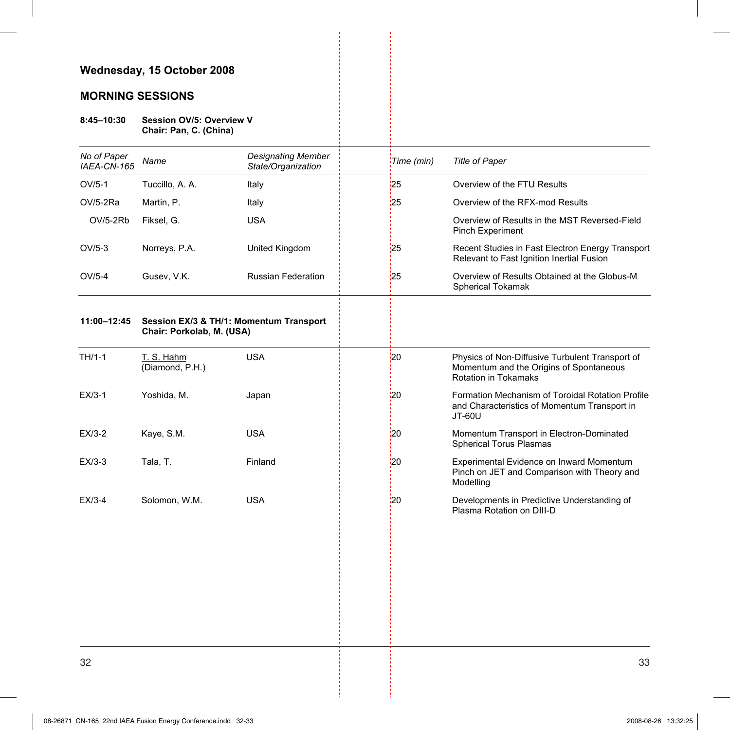## **MORNING SESSIONS**

#### **8:45–10:30 Session OV/5: Overview V Chair: Pan, C. (China)**

| No of Paper<br>IAEA-CN-165 | Name                          | <b>Designating Member</b><br>State/Organization | Time (min) | <b>Title of Paper</b>                                                                                                     |
|----------------------------|-------------------------------|-------------------------------------------------|------------|---------------------------------------------------------------------------------------------------------------------------|
| $OV/5-1$                   | Tuccillo, A. A.               | Italy                                           | 25         | Overview of the FTU Results                                                                                               |
| OV/5-2Ra                   | Martin, P.                    | Italy                                           | 25         | Overview of the RFX-mod Results                                                                                           |
| OV/5-2Rb                   | Fiksel, G.                    | <b>USA</b>                                      |            | Overview of Results in the MST Reversed-Field<br><b>Pinch Experiment</b>                                                  |
| $OV/5-3$                   | Norreys, P.A.                 | United Kingdom                                  | 25         | Recent Studies in Fast Electron Energy Transport<br>Relevant to Fast Ignition Inertial Fusion                             |
| $OV/5-4$                   | Gusev, V.K.                   | <b>Russian Federation</b>                       | 25         | Overview of Results Obtained at the Globus-M<br><b>Spherical Tokamak</b>                                                  |
| 11:00-12:45                | Chair: Porkolab, M. (USA)     | Session EX/3 & TH/1: Momentum Transport         |            |                                                                                                                           |
| TH/1-1                     | T. S. Hahm<br>(Diamond, P.H.) | <b>USA</b>                                      | <b>20</b>  | Physics of Non-Diffusive Turbulent Transport of<br>Momentum and the Origins of Spontaneous<br><b>Rotation in Tokamaks</b> |
| $EX/3-1$                   | Yoshida, M.                   | Japan                                           | '20        | Formation Mechanism of Toroidal Rotation Profile<br>and Characteristics of Momentum Transport in<br>JT-60U                |
| $EX/3-2$                   | Kaye, S.M.                    | <b>USA</b>                                      | 20         | Momentum Transport in Electron-Dominated<br><b>Spherical Torus Plasmas</b>                                                |
| $EX/3-3$                   | Tala, T.                      | Finland                                         | 20         | Experimental Evidence on Inward Momentum<br>Pinch on JET and Comparison with Theory and<br>Modelling                      |
| EX/3-4                     | Solomon, W.M.                 | <b>USA</b>                                      | 20         | Developments in Predictive Understanding of<br>Plasma Rotation on DIII-D                                                  |
|                            |                               |                                                 |            |                                                                                                                           |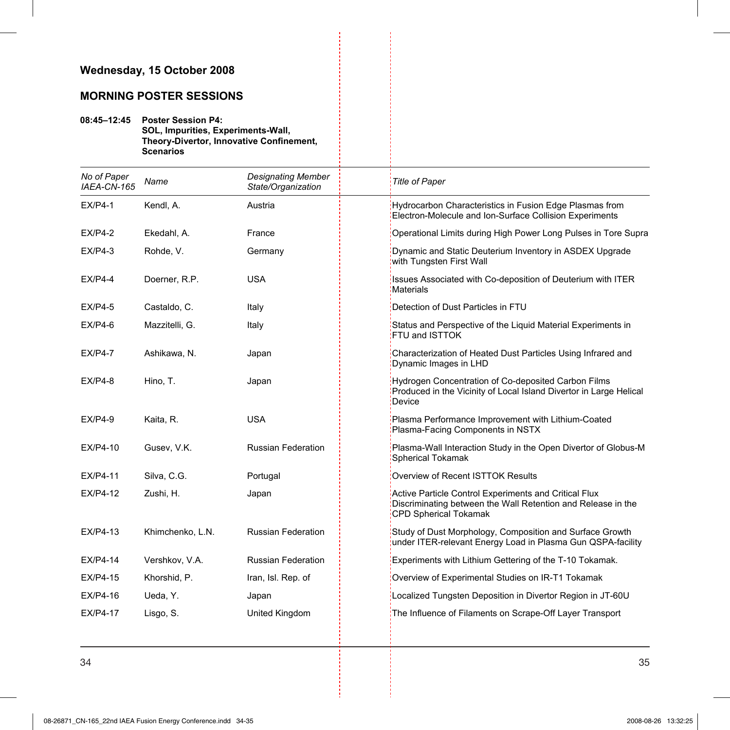## **MORNING POSTER SESSIONS**

**08:45–12:45 Poster Session P4: SOL, Impurities, Experiments-Wall, Theory-Divertor, Innovative Confinement, Scenarios** 

| No of Paper<br>IAEA-CN-165 | Name             | <b>Designating Member</b><br>State/Organization | <b>Title of Paper</b>                                                                                                                                 |
|----------------------------|------------------|-------------------------------------------------|-------------------------------------------------------------------------------------------------------------------------------------------------------|
| $EX/P4-1$                  | Kendl, A.        | Austria                                         | Hydrocarbon Characteristics in Fusion Edge Plasmas from<br>Electron-Molecule and Ion-Surface Collision Experiments                                    |
| $EX/P4-2$                  | Ekedahl, A.      | France                                          | Operational Limits during High Power Long Pulses in Tore Supra                                                                                        |
| $EX/P4-3$                  | Rohde, V.        | Germany                                         | Dynamic and Static Deuterium Inventory in ASDEX Upgrade<br>with Tungsten First Wall                                                                   |
| $EX/P4-4$                  | Doerner, R.P.    | <b>USA</b>                                      | Issues Associated with Co-deposition of Deuterium with ITER<br><b>Materials</b>                                                                       |
| $EX/P4-5$                  | Castaldo, C.     | Italy                                           | Detection of Dust Particles in FTU                                                                                                                    |
| $EX/P4-6$                  | Mazzitelli, G.   | Italy                                           | Status and Perspective of the Liquid Material Experiments in<br>FTU and ISTTOK                                                                        |
| $EX/P4-7$                  | Ashikawa, N.     | Japan                                           | Characterization of Heated Dust Particles Using Infrared and<br>Dynamic Images in LHD                                                                 |
| $EX/P4-8$                  | Hino, T.         | Japan                                           | Hydrogen Concentration of Co-deposited Carbon Films<br>Produced in the Vicinity of Local Island Divertor in Large Helical<br>Device                   |
| $EX/P4-9$                  | Kaita, R.        | <b>USA</b>                                      | Plasma Performance Improvement with Lithium-Coated<br>Plasma-Facing Components in NSTX                                                                |
| EX/P4-10                   | Gusev, V.K.      | <b>Russian Federation</b>                       | Plasma-Wall Interaction Study in the Open Divertor of Globus-M<br>Spherical Tokamak                                                                   |
| EX/P4-11                   | Silva, C.G.      | Portugal                                        | Overview of Recent ISTTOK Results                                                                                                                     |
| EX/P4-12                   | Zushi, H.        | Japan                                           | Active Particle Control Experiments and Critical Flux<br>Discriminating between the Wall Retention and Release in the<br><b>CPD Spherical Tokamak</b> |
| EX/P4-13                   | Khimchenko, L.N. | <b>Russian Federation</b>                       | Study of Dust Morphology, Composition and Surface Growth<br>under ITER-relevant Energy Load in Plasma Gun QSPA-facility                               |
| EX/P4-14                   | Vershkov, V.A.   | <b>Russian Federation</b>                       | Experiments with Lithium Gettering of the T-10 Tokamak.                                                                                               |
| EX/P4-15                   | Khorshid, P.     | Iran, Isl. Rep. of                              | Overview of Experimental Studies on IR-T1 Tokamak                                                                                                     |
| EX/P4-16                   | Ueda, Y.         | Japan                                           | Localized Tungsten Deposition in Divertor Region in JT-60U                                                                                            |
| <b>EX/P4-17</b>            | Lisgo, S.        | United Kingdom                                  | The Influence of Filaments on Scrape-Off Layer Transport                                                                                              |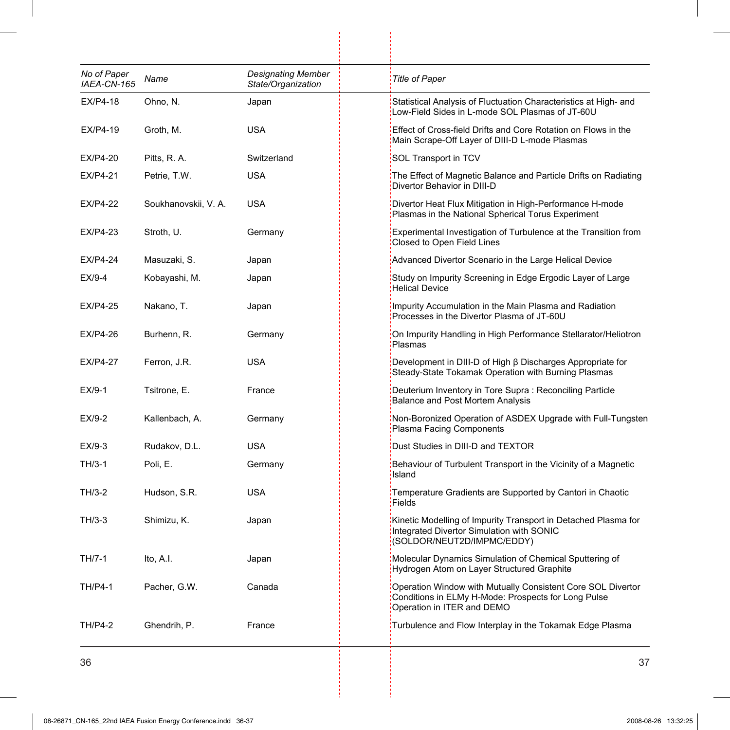| No of Paper<br>IAEA-CN-165 | Name                 | <b>Designating Member</b><br>State/Organization | <b>Title of Paper</b>                                                                                                                            |
|----------------------------|----------------------|-------------------------------------------------|--------------------------------------------------------------------------------------------------------------------------------------------------|
| EX/P4-18                   | Ohno, N.             | Japan                                           | Statistical Analysis of Fluctuation Characteristics at High- and<br>Low-Field Sides in L-mode SOL Plasmas of JT-60U                              |
| EX/P4-19                   | Groth, M.            | <b>USA</b>                                      | Effect of Cross-field Drifts and Core Rotation on Flows in the<br>Main Scrape-Off Layer of DIII-D L-mode Plasmas                                 |
| EX/P4-20                   | Pitts, R. A.         | Switzerland                                     | SOL Transport in TCV                                                                                                                             |
| <b>EX/P4-21</b>            | Petrie, T.W.         | <b>USA</b>                                      | The Effect of Magnetic Balance and Particle Drifts on Radiating<br>Divertor Behavior in DIII-D                                                   |
| EX/P4-22                   | Soukhanovskii, V. A. | USA                                             | Divertor Heat Flux Mitigation in High-Performance H-mode<br>Plasmas in the National Spherical Torus Experiment                                   |
| EX/P4-23                   | Stroth, U.           | Germany                                         | Experimental Investigation of Turbulence at the Transition from<br>Closed to Open Field Lines                                                    |
| EX/P4-24                   | Masuzaki, S.         | Japan                                           | Advanced Divertor Scenario in the Large Helical Device                                                                                           |
| $EX/9-4$                   | Kobayashi, M.        | Japan                                           | Study on Impurity Screening in Edge Ergodic Layer of Large<br>Helical Device                                                                     |
| <b>EX/P4-25</b>            | Nakano, T.           | Japan                                           | Impurity Accumulation in the Main Plasma and Radiation<br>Processes in the Divertor Plasma of JT-60U                                             |
| EX/P4-26                   | Burhenn, R.          | Germany                                         | On Impurity Handling in High Performance Stellarator/Heliotron<br>Plasmas                                                                        |
| <b>EX/P4-27</b>            | Ferron, J.R.         | <b>USA</b>                                      | Development in DIII-D of High β Discharges Appropriate for<br>Steady-State Tokamak Operation with Burning Plasmas                                |
| $EX/9-1$                   | Tsitrone, E.         | France                                          | Deuterium Inventory in Tore Supra: Reconciling Particle<br><b>Balance and Post Mortem Analysis</b>                                               |
| EX/9-2                     | Kallenbach, A.       | Germany                                         | Non-Boronized Operation of ASDEX Upgrade with Full-Tungsten<br>Plasma Facing Components                                                          |
| EX/9-3                     | Rudakov, D.L.        | <b>USA</b>                                      | Dust Studies in DIII-D and TEXTOR                                                                                                                |
| TH/3-1                     | Poli, E.             | Germany                                         | Behaviour of Turbulent Transport in the Vicinity of a Magnetic<br>Island                                                                         |
| TH/3-2                     | Hudson, S.R.         | <b>USA</b>                                      | Temperature Gradients are Supported by Cantori in Chaotic<br>Fields                                                                              |
| TH/3-3                     | Shimizu, K.          | Japan                                           | Kinetic Modelling of Impurity Transport in Detached Plasma for<br>Integrated Divertor Simulation with SONIC<br>(SOLDOR/NEUT2D/IMPMC/EDDY)        |
| TH/7-1                     | Ito, A.I.            | Japan                                           | Molecular Dynamics Simulation of Chemical Sputtering of<br>Hydrogen Atom on Layer Structured Graphite                                            |
| <b>TH/P4-1</b>             | Pacher, G.W.         | Canada                                          | Operation Window with Mutually Consistent Core SOL Divertor<br>Conditions in ELMy H-Mode: Prospects for Long Pulse<br>Operation in ITER and DEMO |
| <b>TH/P4-2</b>             | Ghendrih, P.         | France                                          | Turbulence and Flow Interplay in the Tokamak Edge Plasma                                                                                         |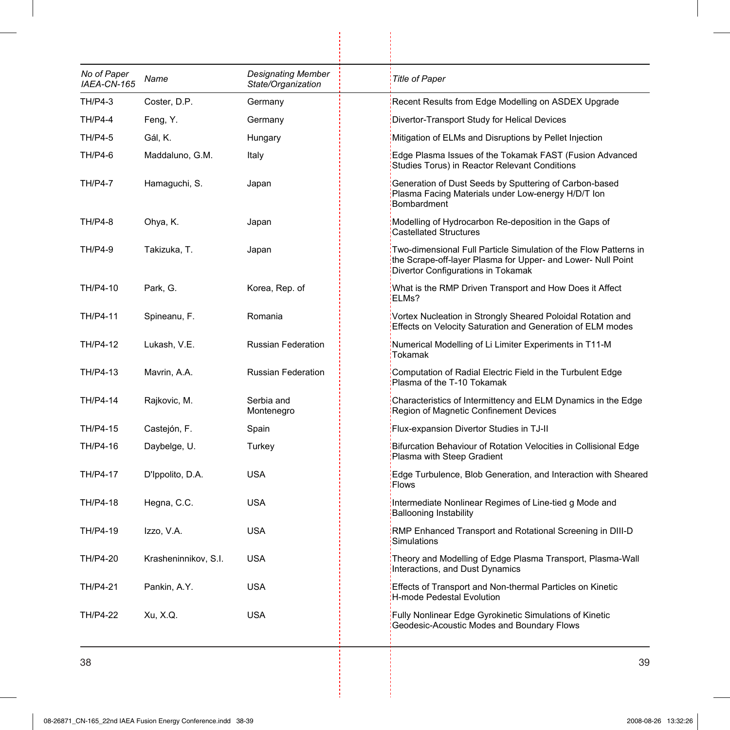| No of Paper<br>IAEA-CN-165 | Name                 | <b>Designating Member</b><br>State/Organization | <b>Title of Paper</b>                                                                                                                                                  |
|----------------------------|----------------------|-------------------------------------------------|------------------------------------------------------------------------------------------------------------------------------------------------------------------------|
| TH/P4-3                    | Coster, D.P.         | Germany                                         | Recent Results from Edge Modelling on ASDEX Upgrade                                                                                                                    |
| <b>TH/P4-4</b>             | Feng, Y.             | Germany                                         | Divertor-Transport Study for Helical Devices                                                                                                                           |
| <b>TH/P4-5</b>             | Gál, K.              | Hungary                                         | Mitigation of ELMs and Disruptions by Pellet Injection                                                                                                                 |
| TH/P4-6                    | Maddaluno, G.M.      | Italy                                           | Edge Plasma Issues of the Tokamak FAST (Fusion Advanced<br>Studies Torus) in Reactor Relevant Conditions                                                               |
| <b>TH/P4-7</b>             | Hamaguchi, S.        | Japan                                           | Generation of Dust Seeds by Sputtering of Carbon-based<br>Plasma Facing Materials under Low-energy H/D/T Ion<br>Bombardment                                            |
| <b>TH/P4-8</b>             | Ohya, K.             | Japan                                           | Modelling of Hydrocarbon Re-deposition in the Gaps of<br><b>Castellated Structures</b>                                                                                 |
| <b>TH/P4-9</b>             | Takizuka, T.         | Japan                                           | Two-dimensional Full Particle Simulation of the Flow Patterns in<br>the Scrape-off-layer Plasma for Upper- and Lower- Null Point<br>Divertor Configurations in Tokamak |
| TH/P4-10                   | Park, G.             | Korea, Rep. of                                  | What is the RMP Driven Transport and How Does it Affect<br>ELMs?                                                                                                       |
| TH/P4-11                   | Spineanu, F.         | Romania                                         | Vortex Nucleation in Strongly Sheared Poloidal Rotation and<br>Effects on Velocity Saturation and Generation of ELM modes                                              |
| TH/P4-12                   | Lukash, V.E.         | Russian Federation                              | Numerical Modelling of Li Limiter Experiments in T11-M<br><b>Tokamak</b>                                                                                               |
| TH/P4-13                   | Mavrin, A.A.         | Russian Federation                              | Computation of Radial Electric Field in the Turbulent Edge<br>Plasma of the T-10 Tokamak                                                                               |
| TH/P4-14                   | Rajkovic, M.         | Serbia and<br>Montenegro                        | Characteristics of Intermittency and ELM Dynamics in the Edge<br>Region of Magnetic Confinement Devices                                                                |
| TH/P4-15                   | Castejón, F.         | Spain                                           | Flux-expansion Divertor Studies in TJ-II                                                                                                                               |
| TH/P4-16                   | Daybelge, U.         | Turkey                                          | Bifurcation Behaviour of Rotation Velocities in Collisional Edge<br>Plasma with Steep Gradient                                                                         |
| TH/P4-17                   | D'Ippolito, D.A.     | <b>USA</b>                                      | Edge Turbulence, Blob Generation, and Interaction with Sheared<br>Flows                                                                                                |
| TH/P4-18                   | Hegna, C.C.          | <b>USA</b>                                      | Intermediate Nonlinear Regimes of Line-tied g Mode and<br><b>Ballooning Instability</b>                                                                                |
| TH/P4-19                   | Izzo, V.A.           | <b>USA</b>                                      | RMP Enhanced Transport and Rotational Screening in DIII-D<br>Simulations                                                                                               |
| TH/P4-20                   | Krasheninnikov, S.I. | <b>USA</b>                                      | Theory and Modelling of Edge Plasma Transport, Plasma-Wall<br>Interactions, and Dust Dynamics                                                                          |
| TH/P4-21                   | Pankin, A.Y.         | <b>USA</b>                                      | Effects of Transport and Non-thermal Particles on Kinetic<br>H-mode Pedestal Evolution                                                                                 |
| TH/P4-22                   | Xu, X.Q.             | <b>USA</b>                                      | Fully Nonlinear Edge Gyrokinetic Simulations of Kinetic<br>Geodesic-Acoustic Modes and Boundary Flows                                                                  |
|                            |                      |                                                 |                                                                                                                                                                        |

 $\frac{1}{2}$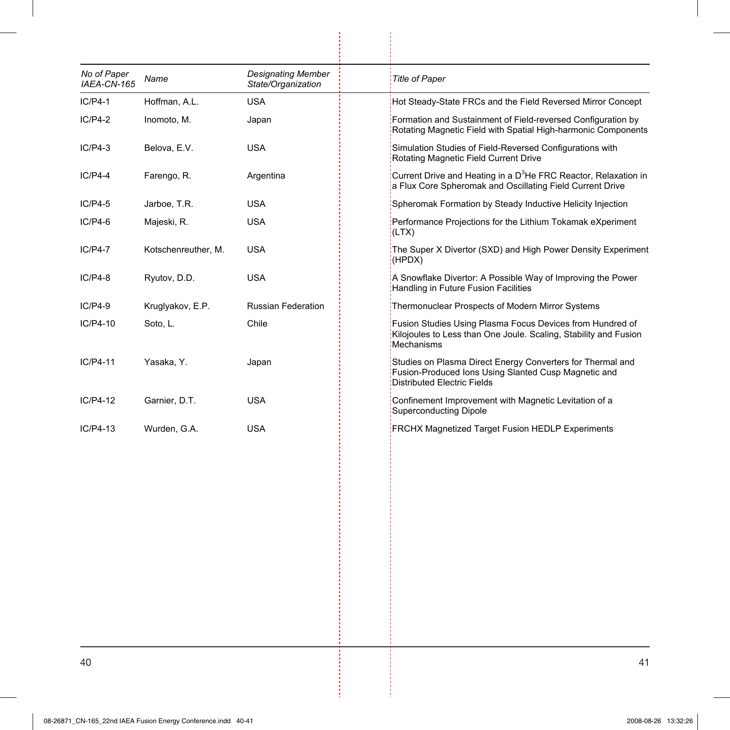| Name                | <b>Designating Member</b><br>State/Organization | <b>Title of Paper</b>                                                                                                                                    |
|---------------------|-------------------------------------------------|----------------------------------------------------------------------------------------------------------------------------------------------------------|
| Hoffman, A.L.       | <b>USA</b>                                      | Hot Steady-State FRCs and the Field Reversed Mirror Concept                                                                                              |
| Inomoto, M.         | Japan                                           | Formation and Sustainment of Field-reversed Configuration by<br>Rotating Magnetic Field with Spatial High-harmonic Components                            |
| Belova, E.V.        | USA                                             | Simulation Studies of Field-Reversed Configurations with<br>Rotating Magnetic Field Current Drive                                                        |
| Farengo, R.         | Argentina                                       | Current Drive and Heating in a D <sup>3</sup> He FRC Reactor, Relaxation in<br>a Flux Core Spheromak and Oscillating Field Current Drive                 |
| Jarboe, T.R.        | USA                                             | Spheromak Formation by Steady Inductive Helicity Injection                                                                                               |
| Majeski, R.         | <b>USA</b>                                      | Performance Projections for the Lithium Tokamak eXperiment<br>(LTX)                                                                                      |
| Kotschenreuther, M. | <b>USA</b>                                      | The Super X Divertor (SXD) and High Power Density Experiment<br>(HPDX)                                                                                   |
| Ryutov, D.D.        | USA                                             | A Snowflake Divertor: A Possible Way of Improving the Power<br>Handling in Future Fusion Facilities                                                      |
| Kruglyakov, E.P.    | <b>Russian Federation</b>                       | Thermonuclear Prospects of Modern Mirror Systems                                                                                                         |
| Soto, L.            | Chile                                           | Fusion Studies Using Plasma Focus Devices from Hundred of<br>Kilojoules to Less than One Joule. Scaling, Stability and Fusion<br>Mechanisms              |
| Yasaka, Y.          | Japan                                           | Studies on Plasma Direct Energy Converters for Thermal and<br>Fusion-Produced Ions Using Slanted Cusp Magnetic and<br><b>Distributed Electric Fields</b> |
| Garnier, D.T.       | <b>USA</b>                                      | Confinement Improvement with Magnetic Levitation of a<br>Superconducting Dipole                                                                          |
| Wurden, G.A.        | <b>USA</b>                                      | <b>FRCHX Magnetized Target Fusion HEDLP Experiments</b>                                                                                                  |
|                     |                                                 |                                                                                                                                                          |
|                     |                                                 |                                                                                                                                                          |
|                     |                                                 |                                                                                                                                                          |
|                     |                                                 |                                                                                                                                                          |
|                     |                                                 |                                                                                                                                                          |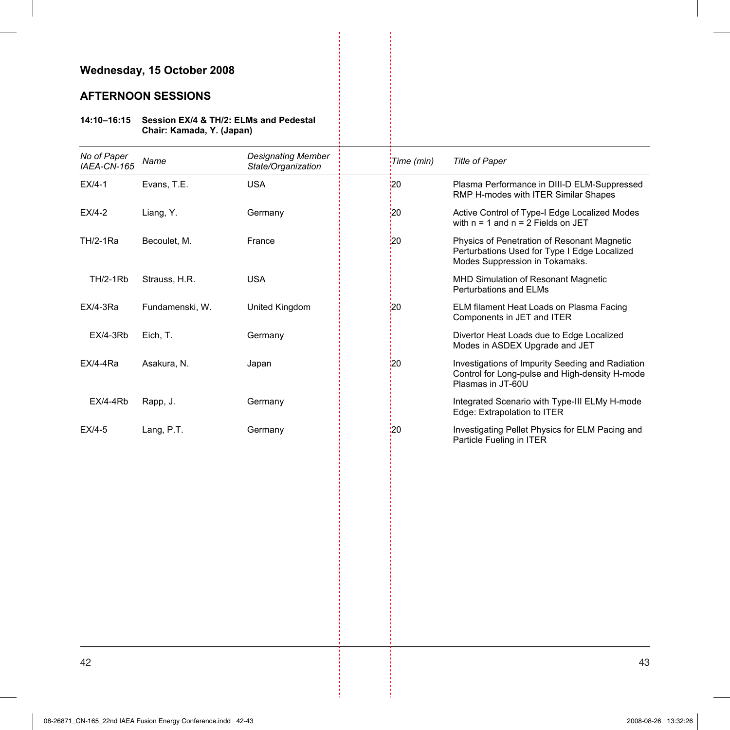## **AFTERNOON SESSIONS**

#### **14:10–16:15 Session EX/4 & TH/2: ELMs and Pedestal Chair: Kamada, Y. (Japan)**

| No of Paper<br>IAEA-CN-165 | Name            | Designating Member<br>State/Organization | Time (min)     | <b>Title of Paper</b>                                                                                                         |
|----------------------------|-----------------|------------------------------------------|----------------|-------------------------------------------------------------------------------------------------------------------------------|
| $EX/4-1$                   | Evans, T.E.     | <b>USA</b>                               | 120            | Plasma Performance in DIII-D ELM-Suppressed<br>RMP H-modes with ITER Similar Shapes                                           |
| $EX/4-2$                   | Liang, Y.       | Germany                                  | $\frac{1}{2}0$ | Active Control of Type-I Edge Localized Modes<br>with $n = 1$ and $n = 2$ Fields on JET                                       |
| TH/2-1Ra                   | Becoulet, M.    | France                                   | :20            | Physics of Penetration of Resonant Magnetic<br>Perturbations Used for Type I Edge Localized<br>Modes Suppression in Tokamaks. |
| <b>TH/2-1Rb</b>            | Strauss, H.R.   | <b>USA</b>                               |                | <b>MHD Simulation of Resonant Magnetic</b><br><b>Perturbations and ELMs</b>                                                   |
| $EX/4-3Ra$                 | Fundamenski, W. | United Kingdom                           | 20             | ELM filament Heat Loads on Plasma Facing<br>Components in JET and ITER                                                        |
| $EX/4-3Rb$                 | Eich, T.        | Germany                                  |                | Divertor Heat Loads due to Edge Localized<br>Modes in ASDEX Upgrade and JET                                                   |
| $EX/4-4Ra$                 | Asakura, N.     | Japan                                    | 120            | Investigations of Impurity Seeding and Radiation<br>Control for Long-pulse and High-density H-mode<br>Plasmas in JT-60U       |
| $EX/4-4Rb$                 | Rapp, J.        | Germany                                  |                | Integrated Scenario with Type-III ELMy H-mode<br>Edge: Extrapolation to ITER                                                  |
| $EX/4-5$                   | Lang, P.T.      | Germany                                  | 120            | Investigating Pellet Physics for ELM Pacing and<br>Particle Fueling in ITER                                                   |
|                            |                 |                                          |                |                                                                                                                               |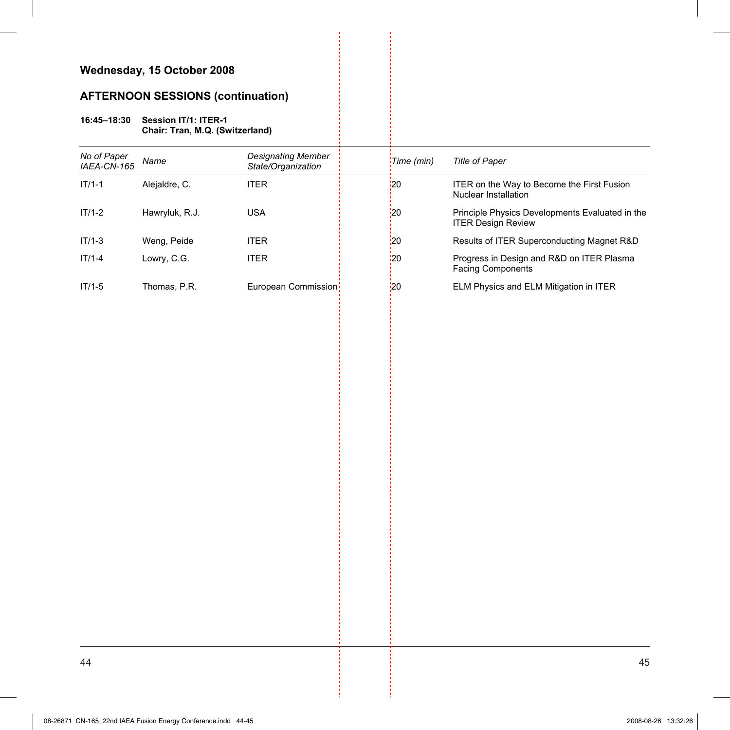# **AFTERNOON SESSIONS (continuation)**

#### **16:45–18:30 Session IT/1: ITER-1 Chair: Tran, M.Q. (Switzerland)**

| No of Paper<br>IAEA-CN-165 | Name           | Designating Member<br>State/Organization | Time (min)  | Title of Paper                                                               |
|----------------------------|----------------|------------------------------------------|-------------|------------------------------------------------------------------------------|
| $IT/1-1$                   | Alejaldre, C.  | <b>ITER</b>                              | ¦20         | ITER on the Way to Become the First Fusion<br>Nuclear Installation           |
| $IT/1-2$                   | Hawryluk, R.J. | <b>USA</b>                               | <u>'</u> 20 | Principle Physics Developments Evaluated in the<br><b>ITER Design Review</b> |
| $IT/1-3$                   | Weng, Peide    | <b>ITER</b>                              | :20         | Results of ITER Superconducting Magnet R&D                                   |
| $IT/1-4$                   | Lowry, C.G.    | <b>ITER</b>                              | '20         | Progress in Design and R&D on ITER Plasma<br><b>Facing Components</b>        |
| $IT/1-5$                   | Thomas, P.R.   | European Commission                      | '20         | ELM Physics and ELM Mitigation in ITER                                       |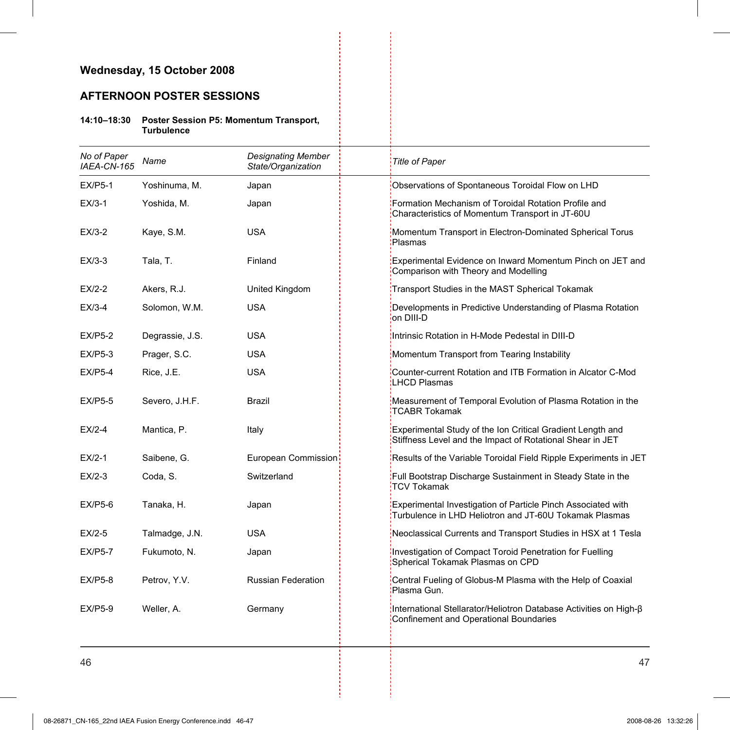## **AFTERNOON POSTER SESSIONS**

**14:10–18:30 Poster Session P5: Momentum Transport, Turbulence** 

| No of Paper<br>IAEA-CN-165 | Name            | <b>Designating Member</b><br>State/Organization | <b>Title of Paper</b>                                                                                                   |
|----------------------------|-----------------|-------------------------------------------------|-------------------------------------------------------------------------------------------------------------------------|
| <b>EX/P5-1</b>             | Yoshinuma, M.   | Japan                                           | Observations of Spontaneous Toroidal Flow on LHD                                                                        |
| $EX/3-1$                   | Yoshida, M.     | Japan                                           | Formation Mechanism of Toroidal Rotation Profile and<br>Characteristics of Momentum Transport in JT-60U                 |
| $EX/3-2$                   | Kaye, S.M.      | <b>USA</b>                                      | Momentum Transport in Electron-Dominated Spherical Torus<br>Plasmas                                                     |
| $EX/3-3$                   | Tala, T.        | Finland                                         | Experimental Evidence on Inward Momentum Pinch on JET and<br>Comparison with Theory and Modelling                       |
| $EX/2-2$                   | Akers, R.J.     | United Kingdom                                  | Transport Studies in the MAST Spherical Tokamak                                                                         |
| $EX/3-4$                   | Solomon, W.M.   | <b>USA</b>                                      | Developments in Predictive Understanding of Plasma Rotation<br>on DIII-D                                                |
| <b>EX/P5-2</b>             | Degrassie, J.S. | <b>USA</b>                                      | Intrinsic Rotation in H-Mode Pedestal in DIII-D                                                                         |
| <b>EX/P5-3</b>             | Prager, S.C.    | <b>USA</b>                                      | Momentum Transport from Tearing Instability                                                                             |
| $EX/P5-4$                  | Rice, J.E.      | <b>USA</b>                                      | Counter-current Rotation and ITB Formation in Alcator C-Mod<br>LHCD Plasmas                                             |
| <b>EX/P5-5</b>             | Severo, J.H.F.  | <b>Brazil</b>                                   | Measurement of Temporal Evolution of Plasma Rotation in the<br>TCABR Tokamak                                            |
| $E X/2-4$                  | Mantica, P.     | Italy                                           | Experimental Study of the Ion Critical Gradient Length and<br>Stiffness Level and the Impact of Rotational Shear in JET |
| $EX/2-1$                   | Saibene, G.     | European Commission                             | Results of the Variable Toroidal Field Ripple Experiments in JET                                                        |
| $EX/2-3$                   | Coda, S.        | Switzerland                                     | Full Bootstrap Discharge Sustainment in Steady State in the<br>TCV Tokamak                                              |
| <b>EX/P5-6</b>             | Tanaka, H.      | Japan                                           | Experimental Investigation of Particle Pinch Associated with<br>Turbulence in LHD Heliotron and JT-60U Tokamak Plasmas  |
| $EX/2-5$                   | Talmadge, J.N.  | <b>USA</b>                                      | Neoclassical Currents and Transport Studies in HSX at 1 Tesla                                                           |
| <b>EX/P5-7</b>             | Fukumoto, N.    | Japan                                           | Investigation of Compact Toroid Penetration for Fuelling<br>Spherical Tokamak Plasmas on CPD                            |
| <b>EX/P5-8</b>             | Petrov, Y.V.    | <b>Russian Federation</b>                       | Central Fueling of Globus-M Plasma with the Help of Coaxial<br>Plasma Gun.                                              |
| <b>EX/P5-9</b>             | Weller, A.      | Germany                                         | International Stellarator/Heliotron Database Activities on High-ß<br>Confinement and Operational Boundaries             |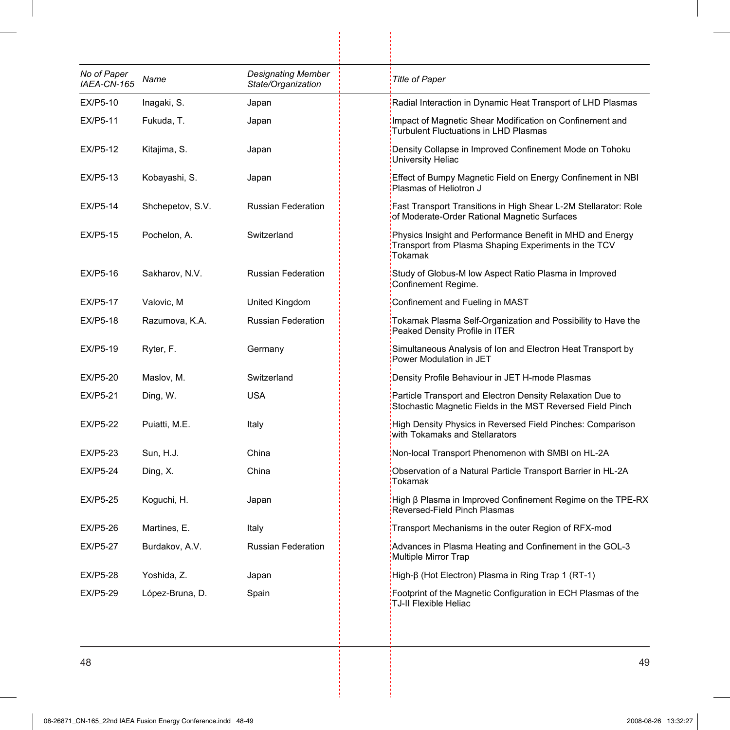| No of Paper<br>IAEA-CN-165 | Name             | <b>Designating Member</b><br>State/Organization | <b>Title of Paper</b>                                                                                                        |
|----------------------------|------------------|-------------------------------------------------|------------------------------------------------------------------------------------------------------------------------------|
| EX/P5-10                   | Inagaki, S.      | Japan                                           | Radial Interaction in Dynamic Heat Transport of LHD Plasmas                                                                  |
| EX/P5-11                   | Fukuda, T.       | Japan                                           | Impact of Magnetic Shear Modification on Confinement and<br>Turbulent Fluctuations in LHD Plasmas                            |
| EX/P5-12                   | Kitajima, S.     | Japan                                           | Density Collapse in Improved Confinement Mode on Tohoku<br>University Heliac                                                 |
| EX/P5-13                   | Kobayashi, S.    | Japan                                           | Effect of Bumpy Magnetic Field on Energy Confinement in NBI<br>Plasmas of Heliotron J                                        |
| EX/P5-14                   | Shchepetov, S.V. | Russian Federation                              | Fast Transport Transitions in High Shear L-2M Stellarator: Role<br>of Moderate-Order Rational Magnetic Surfaces              |
| EX/P5-15                   | Pochelon, A.     | Switzerland                                     | Physics Insight and Performance Benefit in MHD and Energy<br>Transport from Plasma Shaping Experiments in the TCV<br>Tokamak |
| EX/P5-16                   | Sakharov, N.V.   | <b>Russian Federation</b>                       | Study of Globus-M low Aspect Ratio Plasma in Improved<br>Confinement Regime.                                                 |
| EX/P5-17                   | Valovic, M       | United Kingdom                                  | Confinement and Fueling in MAST                                                                                              |
| <b>EX/P5-18</b>            | Razumova, K.A.   | <b>Russian Federation</b>                       | Tokamak Plasma Self-Organization and Possibility to Have the<br>Peaked Density Profile in ITER                               |
| EX/P5-19                   | Ryter, F.        | Germany                                         | Simultaneous Analysis of Ion and Electron Heat Transport by<br>Power Modulation in JET                                       |
| EX/P5-20                   | Maslov, M.       | Switzerland                                     | Density Profile Behaviour in JET H-mode Plasmas                                                                              |
| <b>EX/P5-21</b>            | Ding, W.         | <b>USA</b>                                      | Particle Transport and Electron Density Relaxation Due to<br>Stochastic Magnetic Fields in the MST Reversed Field Pinch      |
| <b>EX/P5-22</b>            | Puiatti, M.E.    | Italy                                           | High Density Physics in Reversed Field Pinches: Comparison<br>with Tokamaks and Stellarators                                 |
| <b>EX/P5-23</b>            | Sun. H.J.        | China                                           | Non-local Transport Phenomenon with SMBI on HL-2A                                                                            |
| <b>EX/P5-24</b>            | Ding, X.         | China                                           | Observation of a Natural Particle Transport Barrier in HL-2A<br>Tokamak                                                      |
| <b>EX/P5-25</b>            | Koguchi, H.      | Japan                                           | High β Plasma in Improved Confinement Regime on the TPE-RX<br>Reversed-Field Pinch Plasmas                                   |
| EX/P5-26                   | Martines, E.     | Italy                                           | Transport Mechanisms in the outer Region of RFX-mod                                                                          |
| <b>EX/P5-27</b>            | Burdakov, A.V.   | <b>Russian Federation</b>                       | Advances in Plasma Heating and Confinement in the GOL-3<br>Multiple Mirror Trap                                              |
| EX/P5-28                   | Yoshida, Z.      | Japan                                           | High-β (Hot Electron) Plasma in Ring Trap 1 (RT-1)                                                                           |
| <b>EX/P5-29</b>            | López-Bruna, D.  | Spain                                           | Footprint of the Magnetic Configuration in ECH Plasmas of the<br>TJ-II Flexible Heliac                                       |

 $\begin{bmatrix} 1 \\ 1 \end{bmatrix}$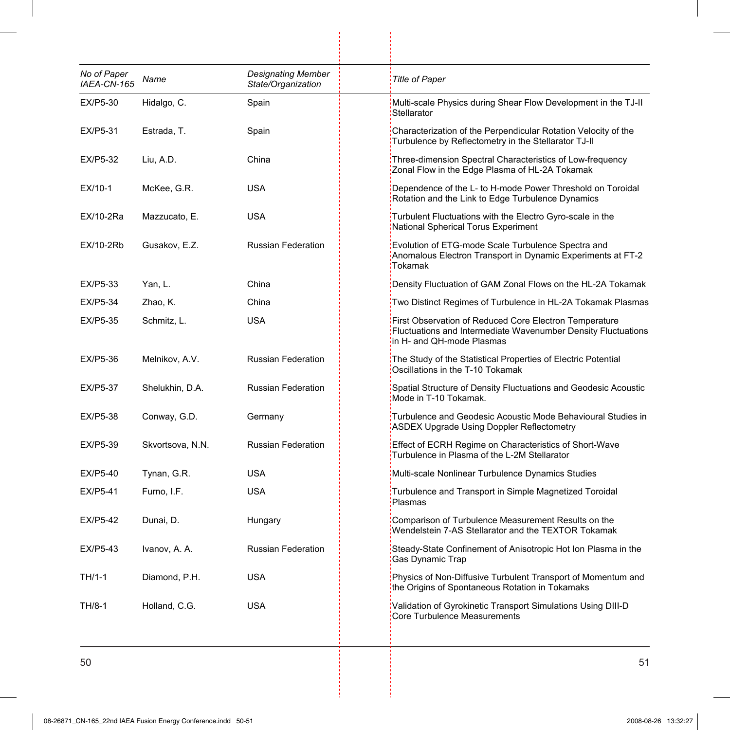| No of Paper<br>IAEA-CN-165 | Name             | <b>Designating Member</b><br>State/Organization | <b>Title of Paper</b>               |                                                                                                                         |
|----------------------------|------------------|-------------------------------------------------|-------------------------------------|-------------------------------------------------------------------------------------------------------------------------|
| EX/P5-30                   | Hidalgo, C.      | Spain                                           | Stellarator                         | Multi-scale Physics during Shear Flow Development in the TJ-II                                                          |
| EX/P5-31                   | Estrada, T.      | Spain                                           |                                     | Characterization of the Perpendicular Rotation Velocity of the<br>Turbulence by Reflectometry in the Stellarator TJ-II  |
| EX/P5-32                   | Liu, A.D.        | China                                           |                                     | Three-dimension Spectral Characteristics of Low-frequency<br>Zonal Flow in the Edge Plasma of HL-2A Tokamak             |
| EX/10-1                    | McKee, G.R.      | USA                                             |                                     | Dependence of the L- to H-mode Power Threshold on Toroidal<br>Rotation and the Link to Edge Turbulence Dynamics         |
| EX/10-2Ra                  | Mazzucato, E.    | USA                                             | National Spherical Torus Experiment | Turbulent Fluctuations with the Electro Gyro-scale in the                                                               |
| EX/10-2Rb                  | Gusakov, E.Z.    | Russian Federation                              | Tokamak                             | Evolution of ETG-mode Scale Turbulence Spectra and<br>Anomalous Electron Transport in Dynamic Experiments at FT-2       |
| EX/P5-33                   | Yan, L.          | China                                           |                                     | Density Fluctuation of GAM Zonal Flows on the HL-2A Tokamak                                                             |
| EX/P5-34                   | Zhao, K.         | China                                           |                                     | Two Distinct Regimes of Turbulence in HL-2A Tokamak Plasmas                                                             |
| EX/P5-35                   | Schmitz, L.      | <b>USA</b>                                      | in H- and QH-mode Plasmas           | First Observation of Reduced Core Electron Temperature<br>Fluctuations and Intermediate Wavenumber Density Fluctuations |
| EX/P5-36                   | Melnikov, A.V.   | <b>Russian Federation</b>                       | Oscillations in the T-10 Tokamak    | The Study of the Statistical Properties of Electric Potential                                                           |
| <b>EX/P5-37</b>            | Shelukhin, D.A.  | <b>Russian Federation</b>                       | Mode in T-10 Tokamak.               | Spatial Structure of Density Fluctuations and Geodesic Acoustic                                                         |
| EX/P5-38                   | Conway, G.D.     | Germany                                         |                                     | Turbulence and Geodesic Acoustic Mode Behavioural Studies in<br><b>ASDEX Upgrade Using Doppler Reflectometry</b>        |
| EX/P5-39                   | Skvortsova, N.N. | <b>Russian Federation</b>                       |                                     | Effect of ECRH Regime on Characteristics of Short-Wave<br>Turbulence in Plasma of the L-2M Stellarator                  |
| EX/P5-40                   | Tynan, G.R.      | <b>USA</b>                                      |                                     | Multi-scale Nonlinear Turbulence Dynamics Studies                                                                       |
| <b>EX/P5-41</b>            | Furno, I.F.      | <b>USA</b>                                      | Plasmas                             | Turbulence and Transport in Simple Magnetized Toroidal                                                                  |
| <b>EX/P5-42</b>            | Dunai, D.        | Hungary                                         |                                     | Comparison of Turbulence Measurement Results on the<br>Wendelstein 7-AS Stellarator and the TEXTOR Tokamak              |
| EX/P5-43                   | Ivanov, A. A.    | <b>Russian Federation</b>                       | Gas Dynamic Trap                    | Steady-State Confinement of Anisotropic Hot Ion Plasma in the                                                           |
| TH/1-1                     | Diamond, P.H.    | <b>USA</b>                                      |                                     | Physics of Non-Diffusive Turbulent Transport of Momentum and<br>the Origins of Spontaneous Rotation in Tokamaks         |
| TH/8-1                     | Holland, C.G.    | <b>USA</b>                                      | Core Turbulence Measurements        | Validation of Gyrokinetic Transport Simulations Using DIII-D                                                            |

 $\begin{array}{c} \begin{array}{c} \begin{array}{c} \begin{array}{c} \end{array} \\ \begin{array}{c} \end{array} \end{array} \end{array} \end{array}$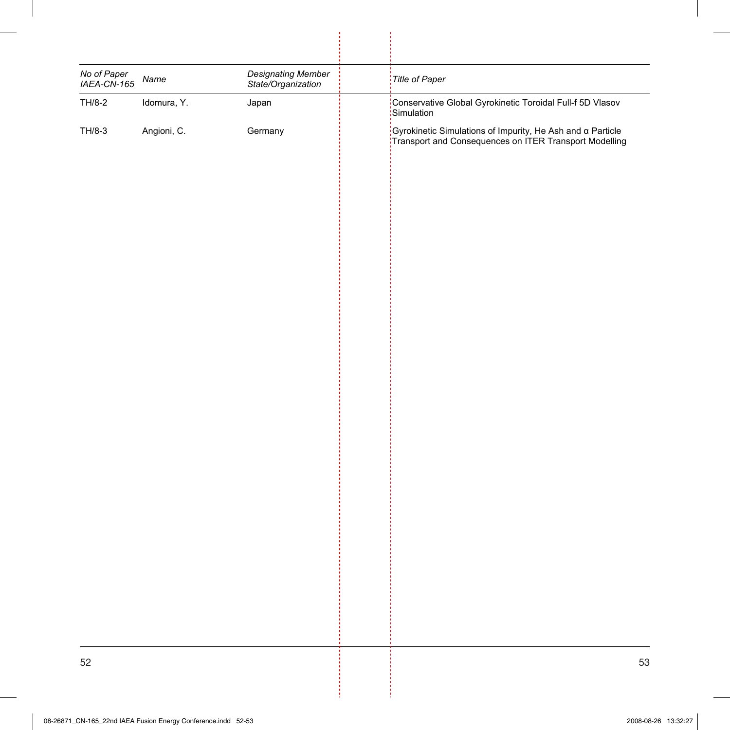| No of Paper<br>IAEA-CN-165 | Name        | <b>Designating Member</b><br>State/Organization | Title of Paper                                                                                                            |
|----------------------------|-------------|-------------------------------------------------|---------------------------------------------------------------------------------------------------------------------------|
| TH/8-2                     | Idomura, Y. | Japan                                           | Conservative Global Gyrokinetic Toroidal Full-f 5D Vlasov<br>Simulation                                                   |
| TH/8-3                     | Angioni, C. | Germany                                         | ;<br>Gyrokinetic Simulations of Impurity, He Ash and α Particle<br>Transport and Consequences on ITER Transport Modelling |
|                            |             |                                                 |                                                                                                                           |
|                            |             |                                                 |                                                                                                                           |
|                            |             |                                                 |                                                                                                                           |
|                            |             |                                                 |                                                                                                                           |
|                            |             |                                                 |                                                                                                                           |
|                            |             |                                                 |                                                                                                                           |
|                            |             |                                                 |                                                                                                                           |
|                            |             |                                                 |                                                                                                                           |
|                            |             |                                                 |                                                                                                                           |
|                            |             |                                                 |                                                                                                                           |
|                            |             |                                                 |                                                                                                                           |
|                            |             |                                                 |                                                                                                                           |
|                            |             |                                                 |                                                                                                                           |
|                            |             |                                                 |                                                                                                                           |
|                            |             |                                                 |                                                                                                                           |
|                            |             |                                                 |                                                                                                                           |

 $\frac{1}{2}$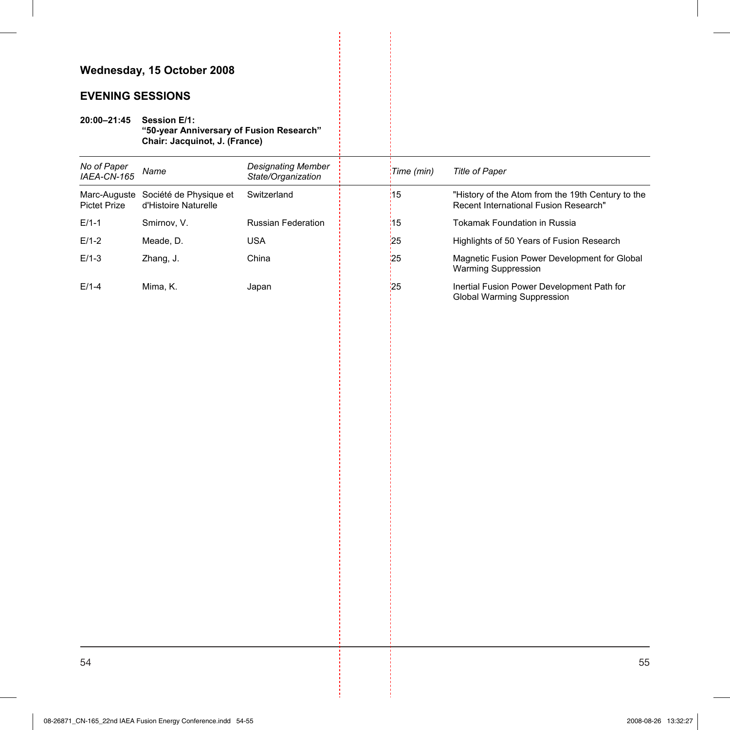## **EVENING SESSIONS**

**20:00–21:45 Session E/1: "50-year Anniversary of Fusion Research" Chair: Jacquinot, J. (France)** 

| No of Paper<br>IAEA-CN-165 | Name                                                        | <b>Designating Member</b><br>State/Organization | Time (min)     | Title of Paper                                                                             |
|----------------------------|-------------------------------------------------------------|-------------------------------------------------|----------------|--------------------------------------------------------------------------------------------|
| <b>Pictet Prize</b>        | Marc-Auguste Société de Physique et<br>d'Histoire Naturelle | Switzerland                                     | $\frac{1}{15}$ | "History of the Atom from the 19th Century to the<br>Recent International Fusion Research" |
| $E/1-1$                    | Smirnov, V.                                                 | Russian Federation                              | $\frac{1}{15}$ | Tokamak Foundation in Russia                                                               |
| $E/1-2$                    | Meade, D.                                                   | <b>USA</b>                                      | 25             | Highlights of 50 Years of Fusion Research                                                  |
| $E/1-3$                    | Zhang, J.                                                   | China                                           | 25             | Magnetic Fusion Power Development for Global<br><b>Warming Suppression</b>                 |
| $E/1-4$                    | Mima, K.                                                    | Japan                                           | 25             | Inertial Fusion Power Development Path for<br>Global Warming Suppression                   |
|                            |                                                             |                                                 |                |                                                                                            |
|                            |                                                             |                                                 |                |                                                                                            |
|                            |                                                             |                                                 |                |                                                                                            |
|                            |                                                             |                                                 |                |                                                                                            |
|                            |                                                             |                                                 |                |                                                                                            |
|                            |                                                             |                                                 |                |                                                                                            |
|                            |                                                             |                                                 |                |                                                                                            |
|                            |                                                             |                                                 |                |                                                                                            |
|                            |                                                             |                                                 |                |                                                                                            |
|                            |                                                             |                                                 |                |                                                                                            |
|                            |                                                             |                                                 |                |                                                                                            |
|                            |                                                             |                                                 |                |                                                                                            |
|                            |                                                             |                                                 |                |                                                                                            |
|                            |                                                             |                                                 |                |                                                                                            |
|                            |                                                             |                                                 |                |                                                                                            |
|                            |                                                             |                                                 |                |                                                                                            |
|                            |                                                             |                                                 |                |                                                                                            |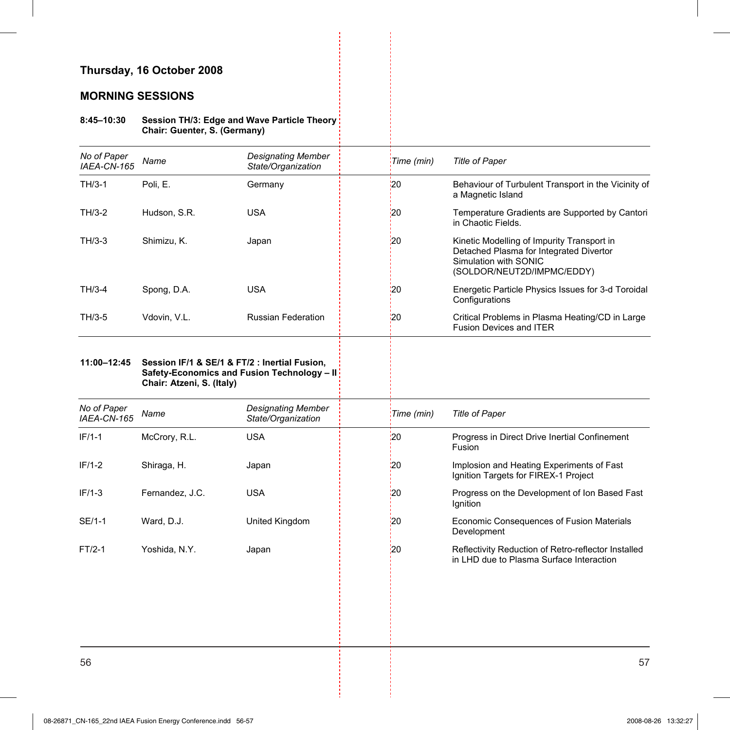### **Thursday, 16 October 2008**

### **MORNING SESSIONS**

#### **8:45–10:30 Session TH/3: Edge and Wave Particle Theory Chair: Guenter, S. (Germany)**

| No of Paper<br>IAEA-CN-165 | Name                      | <b>Designating Member</b><br>State/Organization                                              | Time (min)      | <b>Title of Paper</b>                                                                                                                        |
|----------------------------|---------------------------|----------------------------------------------------------------------------------------------|-----------------|----------------------------------------------------------------------------------------------------------------------------------------------|
| $TH/3-1$                   | Poli, E.                  | Germany                                                                                      | 20              | Behaviour of Turbulent Transport in the Vicinity of<br>a Magnetic Island                                                                     |
| $TH/3-2$                   | Hudson, S.R.              | <b>USA</b>                                                                                   | $\frac{1}{2}$   | Temperature Gradients are Supported by Cantori<br>in Chaotic Fields.                                                                         |
| $TH/3-3$                   | Shimizu, K.               | Japan                                                                                        | 20              | Kinetic Modelling of Impurity Transport in<br>Detached Plasma for Integrated Divertor<br>Simulation with SONIC<br>(SOLDOR/NEUT2D/IMPMC/EDDY) |
| $TH/3-4$                   | Spong, D.A.               | <b>USA</b>                                                                                   | '20             | Energetic Particle Physics Issues for 3-d Toroidal<br>Configurations                                                                         |
| TH/3-5                     | Vdovin, V.L.              | <b>Russian Federation</b>                                                                    | '20             | Critical Problems in Plasma Heating/CD in Large<br><b>Fusion Devices and ITER</b>                                                            |
| 11:00-12:45                | Chair: Atzeni, S. (Italy) | Session IF/1 & SE/1 & FT/2 : Inertial Fusion,<br>Safety-Economics and Fusion Technology - II |                 |                                                                                                                                              |
| No of Paper<br>IAEA-CN-165 | Name                      | <b>Designating Member</b><br>State/Organization                                              | Time (min)      | <b>Title of Paper</b>                                                                                                                        |
| $IF/1-1$                   | McCrory, R.L.             | <b>USA</b>                                                                                   | $\overline{20}$ | Progress in Direct Drive Inertial Confinement<br>Fusion                                                                                      |
| $IF/1-2$                   | Shiraga, H.               | Japan                                                                                        | :20             | Implosion and Heating Experiments of Fast<br>Ignition Targets for FIREX-1 Project                                                            |
| $IF/1-3$                   | Fernandez, J.C.           | <b>USA</b>                                                                                   | 20              | Progress on the Development of Ion Based Fast<br>Ignition                                                                                    |
| SE/1-1                     | Ward, D.J.                | United Kingdom                                                                               | 20              | Economic Consequences of Fusion Materials<br>Development                                                                                     |
| $FT/2-1$                   | Yoshida, N.Y.             | Japan                                                                                        | 20              | Reflectivity Reduction of Retro-reflector Installed<br>in LHD due to Plasma Surface Interaction                                              |
|                            |                           |                                                                                              |                 |                                                                                                                                              |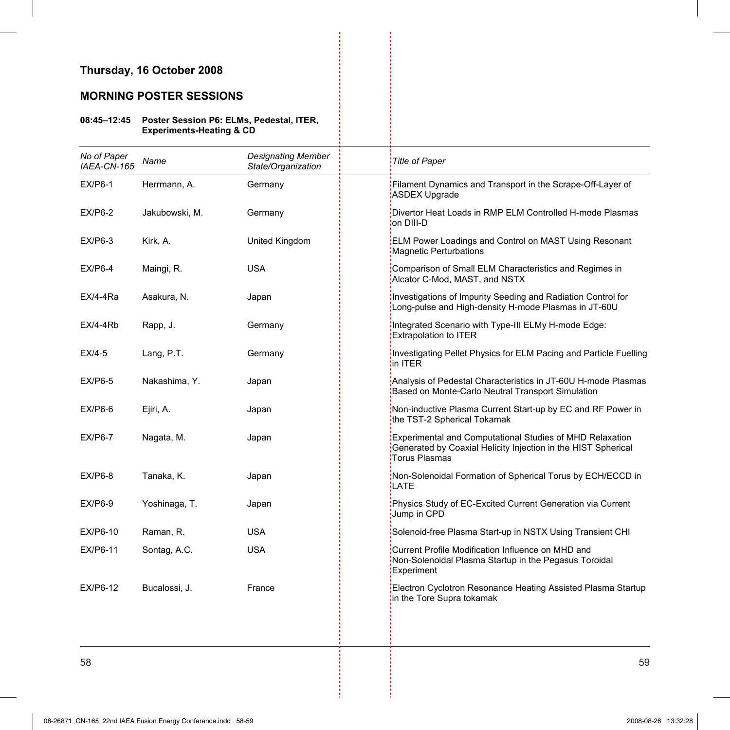### **Thursday, 16 October 2008**

### **MORNING POSTER SESSIONS**

#### **08:45–12:45 Poster Session P6: ELMs, Pedestal, ITER, Experiments-Heating & CD**

| No of Paper<br>IAEA-CN-165 | Name           | <b>Designating Member</b><br>State/Organization | <b>Title of Paper</b>                                                                                                                      |
|----------------------------|----------------|-------------------------------------------------|--------------------------------------------------------------------------------------------------------------------------------------------|
|                            |                |                                                 |                                                                                                                                            |
| $EX/P6-1$                  | Herrmann, A.   | Germany                                         | Filament Dynamics and Transport in the Scrape-Off-Layer of<br>ASDEX Upgrade                                                                |
| $EX/P6-2$                  | Jakubowski, M. | Germany                                         | Divertor Heat Loads in RMP ELM Controlled H-mode Plasmas<br>on DIII-D                                                                      |
| $EX/P6-3$                  | Kirk, A.       | United Kingdom                                  | ELM Power Loadings and Control on MAST Using Resonant<br><b>Magnetic Perturbations</b>                                                     |
| $EX/P6-4$                  | Maingi, R.     | USA                                             | Comparison of Small ELM Characteristics and Regimes in<br>Alcator C-Mod, MAST, and NSTX                                                    |
| EX/4-4Ra                   | Asakura, N.    | Japan                                           | Investigations of Impurity Seeding and Radiation Control for<br>Long-pulse and High-density H-mode Plasmas in JT-60U                       |
| $EX/4-4Rb$                 | Rapp, J.       | Germany                                         | Integrated Scenario with Type-III ELMy H-mode Edge:<br><b>Extrapolation to ITER</b>                                                        |
| $EX/4-5$                   | Lang, P.T.     | Germany                                         | Investigating Pellet Physics for ELM Pacing and Particle Fuelling<br>in ITER                                                               |
| $EX/P6-5$                  | Nakashima, Y.  | Japan                                           | Analysis of Pedestal Characteristics in JT-60U H-mode Plasmas<br>Based on Monte-Carlo Neutral Transport Simulation                         |
| $EX/P6-6$                  | Ejiri, A.      | Japan                                           | Non-inductive Plasma Current Start-up by EC and RF Power in<br>the TST-2 Spherical Tokamak                                                 |
| $EX/P6-7$                  | Nagata, M.     | Japan                                           | Experimental and Computational Studies of MHD Relaxation<br>Generated by Coaxial Helicity Injection in the HIST Spherical<br>Torus Plasmas |
| $EX/P6-8$                  | Tanaka, K.     | Japan                                           | Non-Solenoidal Formation of Spherical Torus by ECH/ECCD in<br>LATE                                                                         |
| $EX/P6-9$                  | Yoshinaga, T.  | Japan                                           | Physics Study of EC-Excited Current Generation via Current<br>Jump in CPD                                                                  |
| EX/P6-10                   | Raman, R.      | <b>USA</b>                                      | Solenoid-free Plasma Start-up in NSTX Using Transient CHI                                                                                  |
| EX/P6-11                   | Sontag, A.C.   | <b>USA</b>                                      | Current Profile Modification Influence on MHD and<br>Non-Solenoidal Plasma Startup in the Pegasus Toroidal<br><b>Experiment</b>            |
| EX/P6-12                   | Bucalossi, J.  | France                                          | Electron Cyclotron Resonance Heating Assisted Plasma Startup<br>in the Tore Supra tokamak                                                  |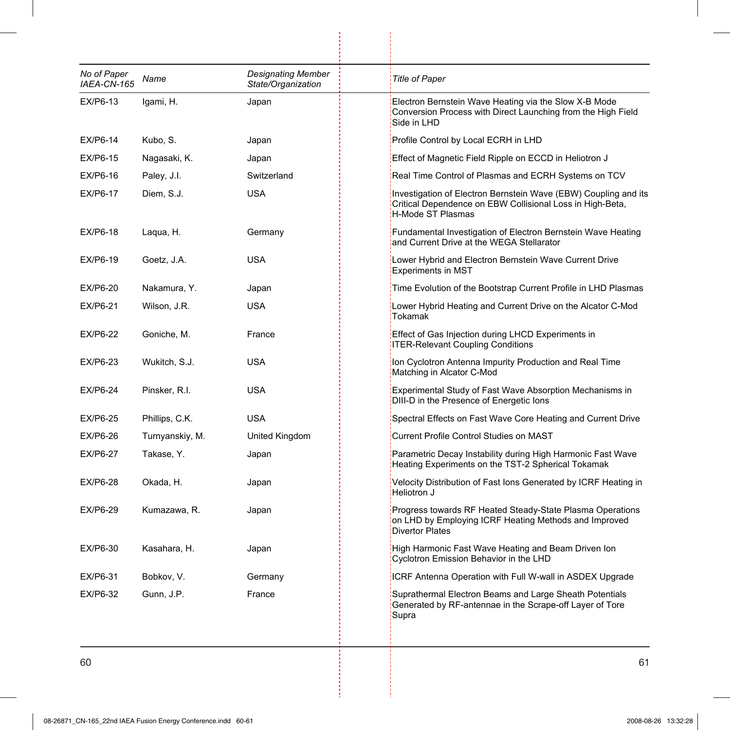| No of Paper<br>IAEA-CN-165 | Name            | <b>Designating Member</b><br>State/Organization | <b>Title of Paper</b>                                                                                                                             |
|----------------------------|-----------------|-------------------------------------------------|---------------------------------------------------------------------------------------------------------------------------------------------------|
| EX/P6-13                   | Igami, H.       | Japan                                           | Electron Bernstein Wave Heating via the Slow X-B Mode<br>Conversion Process with Direct Launching from the High Field<br>Side in LHD              |
| EX/P6-14                   | Kubo, S.        | Japan                                           | Profile Control by Local ECRH in LHD                                                                                                              |
| EX/P6-15                   | Nagasaki, K.    | Japan                                           | Effect of Magnetic Field Ripple on ECCD in Heliotron J                                                                                            |
| EX/P6-16                   | Paley, J.I.     | Switzerland                                     | Real Time Control of Plasmas and ECRH Systems on TCV                                                                                              |
| EX/P6-17                   | Diem, S.J.      | <b>USA</b>                                      | Investigation of Electron Bernstein Wave (EBW) Coupling and its<br>Critical Dependence on EBW Collisional Loss in High-Beta,<br>H-Mode ST Plasmas |
| EX/P6-18                   | Laqua, H.       | Germany                                         | Fundamental Investigation of Electron Bernstein Wave Heating<br>and Current Drive at the WEGA Stellarator                                         |
| EX/P6-19                   | Goetz, J.A.     | <b>USA</b>                                      | Lower Hybrid and Electron Bernstein Wave Current Drive<br><b>Experiments in MST</b>                                                               |
| EX/P6-20                   | Nakamura, Y.    | Japan                                           | Time Evolution of the Bootstrap Current Profile in LHD Plasmas                                                                                    |
| EX/P6-21                   | Wilson, J.R.    | USA                                             | Lower Hybrid Heating and Current Drive on the Alcator C-Mod<br>Tokamak                                                                            |
| EX/P6-22                   | Goniche, M.     | France                                          | Effect of Gas Injection during LHCD Experiments in<br><b>ITER-Relevant Coupling Conditions</b>                                                    |
| EX/P6-23                   | Wukitch, S.J.   | USA                                             | Ion Cyclotron Antenna Impurity Production and Real Time<br>Matching in Alcator C-Mod                                                              |
| EX/P6-24                   | Pinsker, R.I.   | USA                                             | Experimental Study of Fast Wave Absorption Mechanisms in<br>DIII-D in the Presence of Energetic lons                                              |
| EX/P6-25                   | Phillips, C.K.  | <b>USA</b>                                      | Spectral Effects on Fast Wave Core Heating and Current Drive                                                                                      |
| EX/P6-26                   | Turnyanskiy, M. | United Kingdom                                  | <b>Current Profile Control Studies on MAST</b>                                                                                                    |
| <b>EX/P6-27</b>            | Takase, Y.      | Japan                                           | Parametric Decay Instability during High Harmonic Fast Wave<br>Heating Experiments on the TST-2 Spherical Tokamak                                 |
| <b>EX/P6-28</b>            | Okada, H.       | Japan                                           | Velocity Distribution of Fast lons Generated by ICRF Heating in<br>Heliotron J                                                                    |
| EX/P6-29                   | Kumazawa, R.    | Japan                                           | Progress towards RF Heated Steady-State Plasma Operations<br>on LHD by Employing ICRF Heating Methods and Improved<br><b>Divertor Plates</b>      |
| EX/P6-30                   | Kasahara, H.    | Japan                                           | High Harmonic Fast Wave Heating and Beam Driven Ion<br>Cyclotron Emission Behavior in the LHD                                                     |
| EX/P6-31                   | Bobkov, V.      | Germany                                         | ICRF Antenna Operation with Full W-wall in ASDEX Upgrade                                                                                          |
| <b>EX/P6-32</b>            | Gunn, J.P.      | France                                          | Suprathermal Electron Beams and Large Sheath Potentials<br>Generated by RF-antennae in the Scrape-off Layer of Tore<br>Supra                      |

ł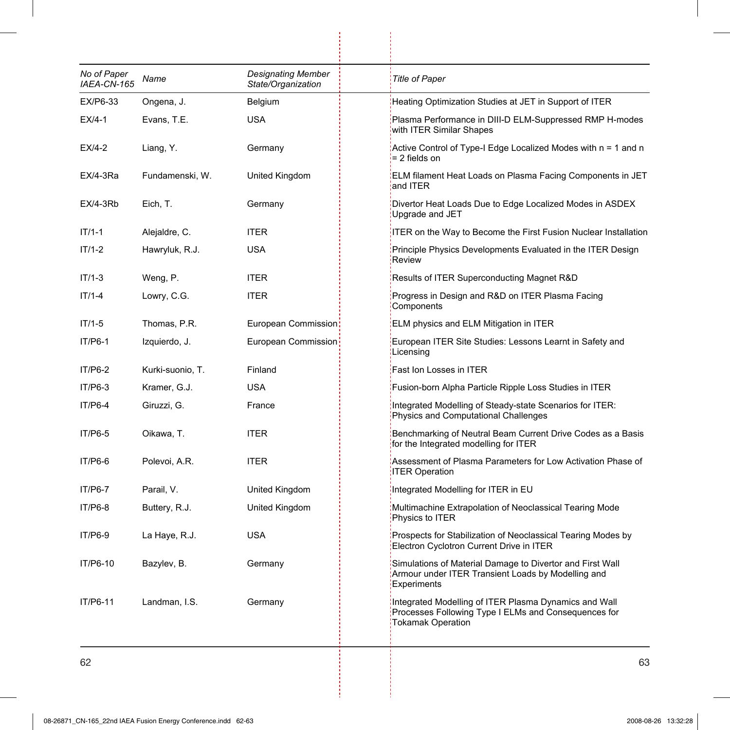| No of Paper<br>IAEA-CN-165 | Name             | <b>Designating Member</b><br>State/Organization | <b>Title of Paper</b>                                                                                                                 |
|----------------------------|------------------|-------------------------------------------------|---------------------------------------------------------------------------------------------------------------------------------------|
| EX/P6-33                   | Ongena, J.       | Belgium                                         | Heating Optimization Studies at JET in Support of ITER                                                                                |
| $EX/4-1$                   | Evans, T.E.      | <b>USA</b>                                      | Plasma Performance in DIII-D ELM-Suppressed RMP H-modes<br>with ITER Similar Shapes                                                   |
| $EX/4-2$                   | Liang, Y.        | Germany                                         | Active Control of Type-I Edge Localized Modes with n = 1 and n<br>= 2 fields on                                                       |
| $EX/4-3Ra$                 | Fundamenski, W.  | United Kingdom                                  | ELM filament Heat Loads on Plasma Facing Components in JET<br>and ITER                                                                |
| $EX/4-3Rb$                 | Eich, T.         | Germany                                         | Divertor Heat Loads Due to Edge Localized Modes in ASDEX<br>Upgrade and JET                                                           |
| $IT/1-1$                   | Alejaldre, C.    | <b>ITER</b>                                     | ITER on the Way to Become the First Fusion Nuclear Installation                                                                       |
| $IT/1-2$                   | Hawryluk, R.J.   | <b>USA</b>                                      | Principle Physics Developments Evaluated in the ITER Design<br>Review                                                                 |
| $IT/1-3$                   | Weng, P.         | <b>ITER</b>                                     | Results of ITER Superconducting Magnet R&D                                                                                            |
| $IT/1-4$                   | Lowry, C.G.      | <b>ITER</b>                                     | Progress in Design and R&D on ITER Plasma Facing<br>Components                                                                        |
| $IT/1-5$                   | Thomas, P.R.     | European Commission:                            | ELM physics and ELM Mitigation in ITER                                                                                                |
| IT/P6-1                    | Izquierdo, J.    | European Commission                             | European ITER Site Studies: Lessons Learnt in Safety and<br>Licensing                                                                 |
| IT/P6-2                    | Kurki-suonio, T. | Finland                                         | Fast Ion Losses in ITER                                                                                                               |
| $IT/P6-3$                  | Kramer, G.J.     | <b>USA</b>                                      | Fusion-born Alpha Particle Ripple Loss Studies in ITER                                                                                |
| $IT/P6-4$                  | Giruzzi, G.      | France                                          | Integrated Modelling of Steady-state Scenarios for ITER:<br>Physics and Computational Challenges                                      |
| IT/P6-5                    | Oikawa, T.       | <b>ITER</b>                                     | Benchmarking of Neutral Beam Current Drive Codes as a Basis<br>for the Integrated modelling for ITER                                  |
| IT/P6-6                    | Polevoi, A.R.    | <b>ITER</b>                                     | Assessment of Plasma Parameters for Low Activation Phase of<br><b>ITER Operation</b>                                                  |
| <b>IT/P6-7</b>             | Parail, V.       | United Kingdom                                  | Integrated Modelling for ITER in EU                                                                                                   |
| IT/P6-8                    | Buttery, R.J.    | United Kingdom                                  | Multimachine Extrapolation of Neoclassical Tearing Mode<br>Physics to ITER                                                            |
| IT/P6-9                    | La Haye, R.J.    | <b>USA</b>                                      | Prospects for Stabilization of Neoclassical Tearing Modes by<br>Electron Cyclotron Current Drive in ITER                              |
| IT/P6-10                   | Bazylev, B.      | Germany                                         | Simulations of Material Damage to Divertor and First Wall<br>Armour under ITER Transient Loads by Modelling and<br><b>Experiments</b> |
| IT/P6-11                   | Landman, I.S.    | Germany                                         | Integrated Modelling of ITER Plasma Dynamics and Wall<br>Processes Following Type I ELMs and Consequences for<br>Tokamak Operation    |

ł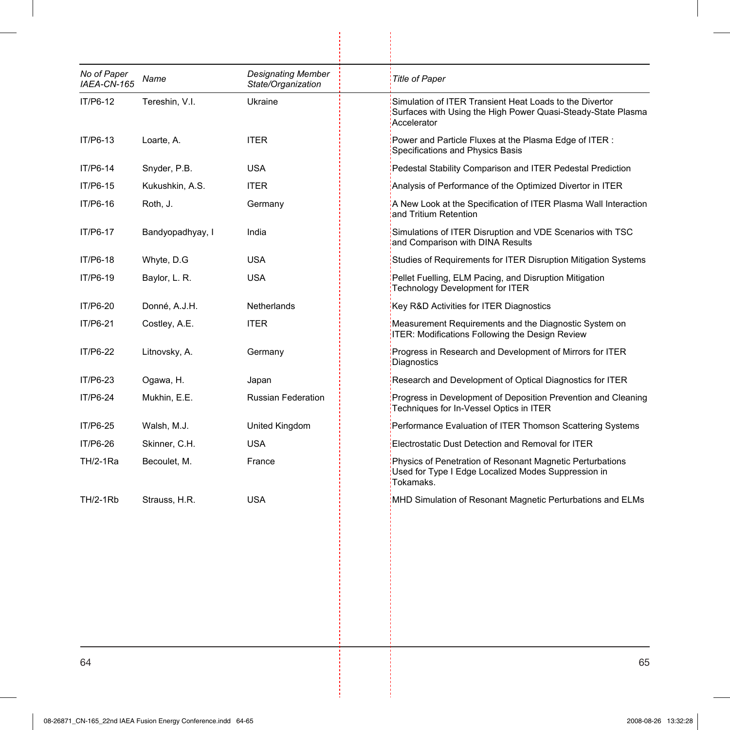| No of Paper<br>IAEA-CN-165 | Name             | <b>Designating Member</b><br>State/Organization | <b>Title of Paper</b>                                                                                                                  |
|----------------------------|------------------|-------------------------------------------------|----------------------------------------------------------------------------------------------------------------------------------------|
| IT/P6-12                   | Tereshin, V.I.   | Ukraine                                         | Simulation of ITER Transient Heat Loads to the Divertor<br>Surfaces with Using the High Power Quasi-Steady-State Plasma<br>Accelerator |
| IT/P6-13                   | Loarte, A.       | <b>ITER</b>                                     | Power and Particle Fluxes at the Plasma Edge of ITER:<br>Specifications and Physics Basis                                              |
| IT/P6-14                   | Snyder, P.B.     | <b>USA</b>                                      | Pedestal Stability Comparison and ITER Pedestal Prediction                                                                             |
| IT/P6-15                   | Kukushkin, A.S.  | <b>ITER</b>                                     | Analysis of Performance of the Optimized Divertor in ITER                                                                              |
| IT/P6-16                   | Roth, J.         | Germany                                         | A New Look at the Specification of ITER Plasma Wall Interaction<br>and Tritium Retention                                               |
| IT/P6-17                   | Bandyopadhyay, I | India                                           | Simulations of ITER Disruption and VDE Scenarios with TSC<br>and Comparison with DINA Results                                          |
| IT/P6-18                   | Whyte, D.G       | <b>USA</b>                                      | Studies of Requirements for ITER Disruption Mitigation Systems                                                                         |
| IT/P6-19                   | Baylor, L. R.    | USA                                             | Pellet Fuelling, ELM Pacing, and Disruption Mitigation<br>Technology Development for ITER                                              |
| IT/P6-20                   | Donné, A.J.H.    | Netherlands                                     | Key R&D Activities for ITER Diagnostics                                                                                                |
| IT/P6-21                   | Costley, A.E.    | <b>ITER</b>                                     | Measurement Requirements and the Diagnostic System on<br>ITER: Modifications Following the Design Review                               |
| IT/P6-22                   | Litnovsky, A.    | Germany                                         | Progress in Research and Development of Mirrors for ITER<br>Diagnostics                                                                |
| IT/P6-23                   | Ogawa, H.        | Japan                                           | Research and Development of Optical Diagnostics for ITER                                                                               |
| IT/P6-24                   | Mukhin, E.E.     | <b>Russian Federation</b>                       | Progress in Development of Deposition Prevention and Cleaning<br>Techniques for In-Vessel Optics in ITER                               |
| IT/P6-25                   | Walsh, M.J.      | United Kingdom                                  | Performance Evaluation of ITER Thomson Scattering Systems                                                                              |
| IT/P6-26                   | Skinner, C.H.    | <b>USA</b>                                      | Electrostatic Dust Detection and Removal for ITER                                                                                      |
| <b>TH/2-1Ra</b>            | Becoulet, M.     | France                                          | Physics of Penetration of Resonant Magnetic Perturbations<br>Used for Type I Edge Localized Modes Suppression in<br>Tokamaks.          |
| <b>TH/2-1Rb</b>            | Strauss, H.R.    | <b>USA</b>                                      | MHD Simulation of Resonant Magnetic Perturbations and ELMs                                                                             |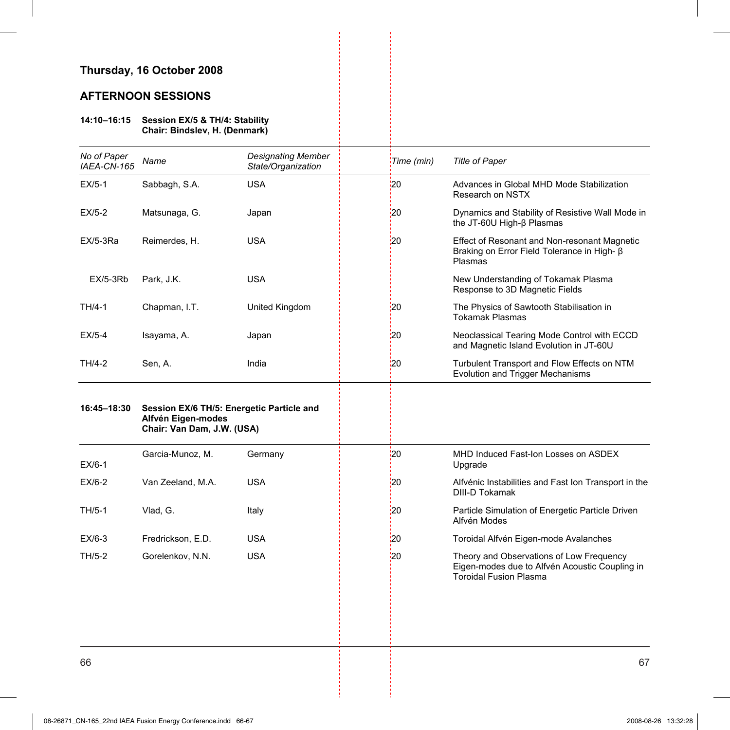### **Thursday, 16 October 2008**

### **AFTERNOON SESSIONS**

#### **14:10–16:15 Session EX/5 & TH/4: Stability Chair: Bindslev, H. (Denmark)**

| No of Paper<br>IAEA-CN-165 | Name                                                                                          | <b>Designating Member</b><br>State/Organization | Time (min)      | <b>Title of Paper</b>                                                                                                       |
|----------------------------|-----------------------------------------------------------------------------------------------|-------------------------------------------------|-----------------|-----------------------------------------------------------------------------------------------------------------------------|
| $EX/5-1$                   | Sabbagh, S.A.                                                                                 | <b>USA</b>                                      | '20             | Advances in Global MHD Mode Stabilization<br>Research on NSTX                                                               |
| $EX/5-2$                   | Matsunaga, G.                                                                                 | Japan                                           | 20              | Dynamics and Stability of Resistive Wall Mode in<br>the JT-60U High-β Plasmas                                               |
| $EX/5-3Ra$                 | Reimerdes, H.                                                                                 | <b>USA</b>                                      | 20              | Effect of Resonant and Non-resonant Magnetic<br>Braking on Error Field Tolerance in High- ß<br>Plasmas                      |
| $EX/5-3Rb$                 | Park, J.K.                                                                                    | <b>USA</b>                                      |                 | New Understanding of Tokamak Plasma<br>Response to 3D Magnetic Fields                                                       |
| TH/4-1                     | Chapman, I.T.                                                                                 | United Kingdom                                  | 20              | The Physics of Sawtooth Stabilisation in<br><b>Tokamak Plasmas</b>                                                          |
| $EX/5-4$                   | Isayama, A.                                                                                   | Japan                                           | 20              | Neoclassical Tearing Mode Control with ECCD<br>and Magnetic Island Evolution in JT-60U                                      |
| TH/4-2                     | Sen, A.                                                                                       | India                                           | 20              | Turbulent Transport and Flow Effects on NTM<br><b>Evolution and Trigger Mechanisms</b>                                      |
| 16:45-18:30                | Session EX/6 TH/5: Energetic Particle and<br>Alfvén Eigen-modes<br>Chair: Van Dam, J.W. (USA) |                                                 |                 |                                                                                                                             |
| $EX/6-1$                   | Garcia-Munoz, M.                                                                              | Germany                                         | 20 <sub>1</sub> | MHD Induced Fast-Ion Losses on ASDEX<br>Upgrade                                                                             |
| $EX/6-2$                   | Van Zeeland, M.A.                                                                             | <b>USA</b>                                      | 20              | Alfvénic Instabilities and Fast Ion Transport in the<br><b>DIII-D Tokamak</b>                                               |
| TH/5-1                     | Vlad, G.                                                                                      | Italy                                           | 20              | Particle Simulation of Energetic Particle Driven<br>Alfvén Modes                                                            |
| $EX/6-3$                   | Fredrickson, E.D.                                                                             | <b>USA</b>                                      | 20              | Toroidal Alfvén Eigen-mode Avalanches                                                                                       |
| TH/5-2                     | Gorelenkov, N.N.                                                                              | <b>USA</b>                                      | 120             | Theory and Observations of Low Frequency<br>Eigen-modes due to Alfvén Acoustic Coupling in<br><b>Toroidal Fusion Plasma</b> |
|                            |                                                                                               |                                                 |                 |                                                                                                                             |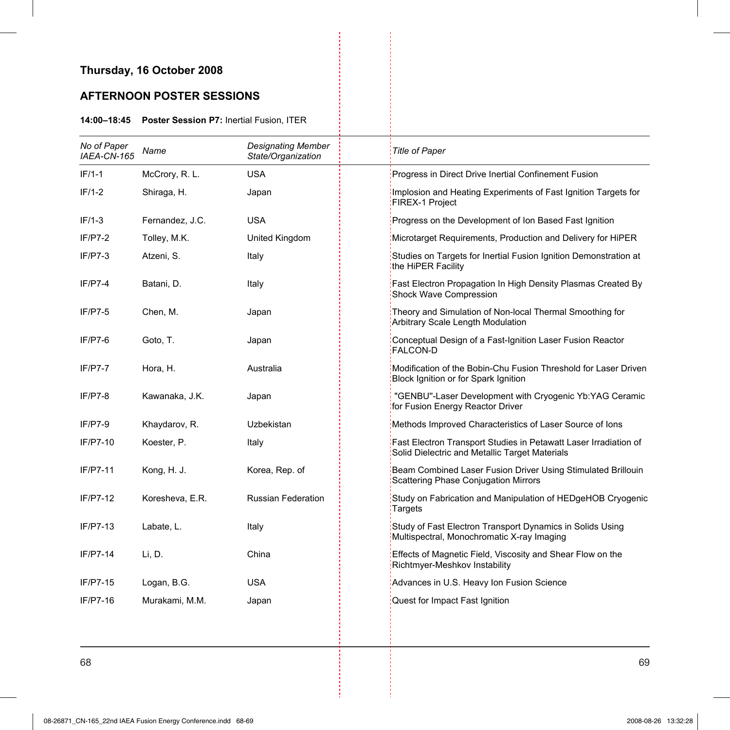# **Thursday, 16 October 2008**

# **AFTERNOON POSTER SESSIONS**

#### **14:00–18:45 Poster Session P7:** Inertial Fusion, ITER

| No of Paper<br>IAEA-CN-165 | Name            | <b>Designating Member</b><br>State/Organization | <b>Title of Paper</b>                                                                                              |
|----------------------------|-----------------|-------------------------------------------------|--------------------------------------------------------------------------------------------------------------------|
| $IF/1-1$                   | McCrory, R.L.   | <b>USA</b>                                      | Progress in Direct Drive Inertial Confinement Fusion                                                               |
| $IF/1-2$                   | Shiraga, H.     | Japan                                           | Implosion and Heating Experiments of Fast Ignition Targets for<br>FIREX-1 Project                                  |
| $IF/1-3$                   | Fernandez, J.C. | <b>USA</b>                                      | Progress on the Development of Ion Based Fast Ignition                                                             |
| $IF/P7-2$                  | Tolley, M.K.    | United Kingdom                                  | Microtarget Requirements, Production and Delivery for HiPER                                                        |
| $IF/P7-3$                  | Atzeni, S.      | Italy                                           | Studies on Targets for Inertial Fusion Ignition Demonstration at<br>the HiPER Facility                             |
| $IF/P7-4$                  | Batani, D.      | Italy                                           | Fast Electron Propagation In High Density Plasmas Created By<br>Shock Wave Compression                             |
| $IF/P7-5$                  | Chen, M.        | Japan                                           | Theory and Simulation of Non-local Thermal Smoothing for<br>Arbitrary Scale Length Modulation                      |
| $IF/P7-6$                  | Goto, T.        | Japan                                           | Conceptual Design of a Fast-Ignition Laser Fusion Reactor<br><b>FALCON-D</b>                                       |
| $IF/P7-7$                  | Hora, H.        | Australia                                       | Modification of the Bobin-Chu Fusion Threshold for Laser Driven<br>Block Ignition or for Spark Ignition            |
| $IF/P7-8$                  | Kawanaka, J.K.  | Japan                                           | "GENBU"-Laser Development with Cryogenic Yb:YAG Ceramic<br>for Fusion Energy Reactor Driver                        |
| $IF/P7-9$                  | Khaydarov, R.   | Uzbekistan                                      | Methods Improved Characteristics of Laser Source of Ions                                                           |
| IF/P7-10                   | Koester, P.     | Italy                                           | Fast Electron Transport Studies in Petawatt Laser Irradiation of<br>Solid Dielectric and Metallic Target Materials |
| IF/P7-11                   | Kong, H. J.     | Korea, Rep. of                                  | Beam Combined Laser Fusion Driver Using Stimulated Brillouin<br>Scattering Phase Conjugation Mirrors               |
| IF/P7-12                   | Koresheva, E.R. | <b>Russian Federation</b>                       | Study on Fabrication and Manipulation of HEDgeHOB Cryogenic<br>Targets                                             |
| IF/P7-13                   | Labate, L.      | Italy                                           | Study of Fast Electron Transport Dynamics in Solids Using<br>Multispectral, Monochromatic X-ray Imaging            |
| IF/P7-14                   | Li, D.          | China                                           | Effects of Magnetic Field, Viscosity and Shear Flow on the<br>Richtmyer-Meshkov Instability                        |
| IF/P7-15                   | Logan, B.G.     | <b>USA</b>                                      | Advances in U.S. Heavy Ion Fusion Science                                                                          |
| IF/P7-16                   | Murakami, M.M.  | Japan                                           | Quest for Impact Fast Ignition                                                                                     |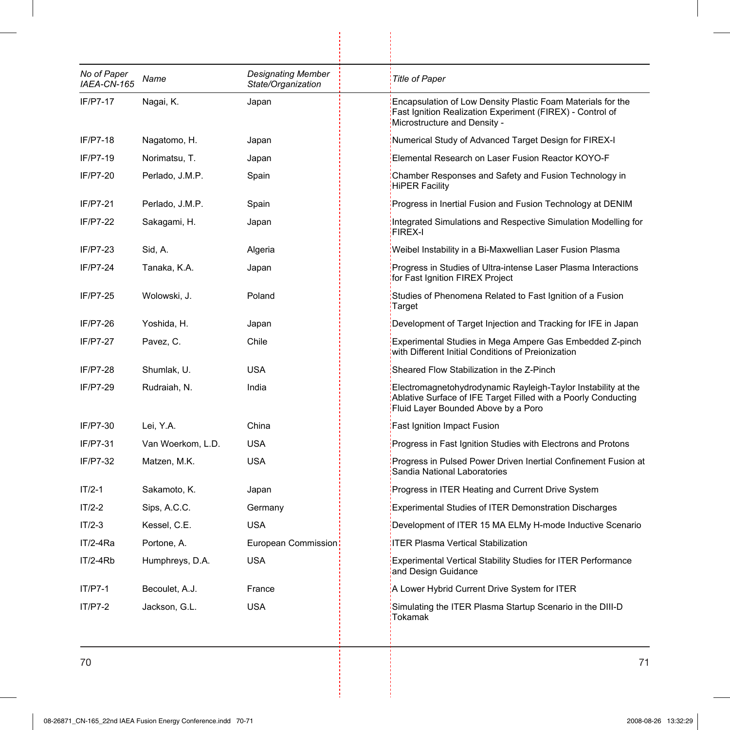| No of Paper<br>IAEA-CN-165 | Name              | <b>Designating Member</b><br>State/Organization | <b>Title of Paper</b>                                                                                                                                                  |
|----------------------------|-------------------|-------------------------------------------------|------------------------------------------------------------------------------------------------------------------------------------------------------------------------|
| IF/P7-17                   | Nagai, K.         | Japan                                           | Encapsulation of Low Density Plastic Foam Materials for the<br>Fast Ignition Realization Experiment (FIREX) - Control of<br>Microstructure and Density -               |
| IF/P7-18                   | Nagatomo, H.      | Japan                                           | Numerical Study of Advanced Target Design for FIREX-I                                                                                                                  |
| IF/P7-19                   | Norimatsu, T.     | Japan                                           | Elemental Research on Laser Fusion Reactor KOYO-F                                                                                                                      |
| IF/P7-20                   | Perlado, J.M.P.   | Spain                                           | Chamber Responses and Safety and Fusion Technology in<br><b>HiPER Facility</b>                                                                                         |
| IF/P7-21                   | Perlado, J.M.P.   | Spain                                           | Progress in Inertial Fusion and Fusion Technology at DENIM                                                                                                             |
| IF/P7-22                   | Sakagami, H.      | Japan                                           | Integrated Simulations and Respective Simulation Modelling for<br><b>FIREX-I</b>                                                                                       |
| IF/P7-23                   | Sid, A.           | Algeria                                         | Weibel Instability in a Bi-Maxwellian Laser Fusion Plasma                                                                                                              |
| IF/P7-24                   | Tanaka, K.A.      | Japan                                           | Progress in Studies of Ultra-intense Laser Plasma Interactions<br>for Fast Ignition FIREX Project                                                                      |
| IF/P7-25                   | Wolowski, J.      | Poland                                          | Studies of Phenomena Related to Fast Ignition of a Fusion<br>Target                                                                                                    |
| IF/P7-26                   | Yoshida, H.       | Japan                                           | Development of Target Injection and Tracking for IFE in Japan                                                                                                          |
| IF/P7-27                   | Pavez, C.         | Chile                                           | Experimental Studies in Mega Ampere Gas Embedded Z-pinch<br>with Different Initial Conditions of Preionization                                                         |
| IF/P7-28                   | Shumlak, U.       | USA                                             | Sheared Flow Stabilization in the Z-Pinch                                                                                                                              |
| IF/P7-29                   | Rudraiah, N.      | India                                           | Electromagnetohydrodynamic Rayleigh-Taylor Instability at the<br>Ablative Surface of IFE Target Filled with a Poorly Conducting<br>Fluid Layer Bounded Above by a Poro |
| IF/P7-30                   | Lei, Y.A.         | China                                           | <b>Fast Ignition Impact Fusion</b>                                                                                                                                     |
| IF/P7-31                   | Van Woerkom, L.D. | <b>USA</b>                                      | Progress in Fast Ignition Studies with Electrons and Protons                                                                                                           |
| IF/P7-32                   | Matzen, M.K.      | <b>USA</b>                                      | Progress in Pulsed Power Driven Inertial Confinement Fusion at<br>Sandia National Laboratories                                                                         |
| $IT/2-1$                   | Sakamoto, K.      | Japan                                           | Progress in ITER Heating and Current Drive System                                                                                                                      |
| $IT/2-2$                   | Sips, A.C.C.      | Germany                                         | <b>Experimental Studies of ITER Demonstration Discharges</b>                                                                                                           |
| $IT/2-3$                   | Kessel, C.E.      | USA                                             | Development of ITER 15 MA ELMy H-mode Inductive Scenario                                                                                                               |
| $IT/2-4Ra$                 | Portone, A.       | European Commission                             | <b>ITER Plasma Vertical Stabilization</b>                                                                                                                              |
| $IT/2-4Rb$                 | Humphreys, D.A.   | <b>USA</b>                                      | <b>Experimental Vertical Stability Studies for ITER Performance</b><br>and Design Guidance                                                                             |
| IT/P7-1                    | Becoulet, A.J.    | France                                          | A Lower Hybrid Current Drive System for ITER                                                                                                                           |
| $IT/P7-2$                  | Jackson, G.L.     | <b>USA</b>                                      | Simulating the ITER Plasma Startup Scenario in the DIII-D<br>Tokamak                                                                                                   |

ł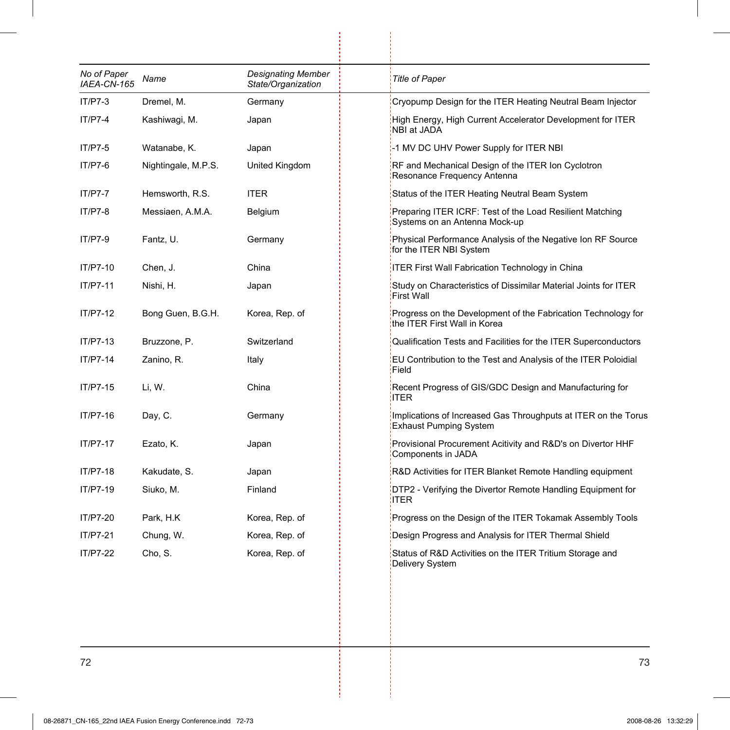| No of Paper<br>IAEA-CN-165 | Name                | <b>Designating Member</b><br>State/Organization | <b>Title of Paper</b>                                                                           |
|----------------------------|---------------------|-------------------------------------------------|-------------------------------------------------------------------------------------------------|
| $IT/P7-3$                  | Dremel, M.          | Germany                                         | Cryopump Design for the ITER Heating Neutral Beam Injector                                      |
| $IT/P7-4$                  | Kashiwagi, M.       | Japan                                           | High Energy, High Current Accelerator Development for ITER<br>NBI at JADA                       |
| $IT/P7-5$                  | Watanabe, K.        | Japan                                           | -1 MV DC UHV Power Supply for ITER NBI                                                          |
| IT/P7-6                    | Nightingale, M.P.S. | United Kingdom                                  | RF and Mechanical Design of the ITER Ion Cyclotron<br>Resonance Frequency Antenna               |
| <b>IT/P7-7</b>             | Hemsworth, R.S.     | <b>ITER</b>                                     | Status of the ITER Heating Neutral Beam System                                                  |
| IT/P7-8                    | Messiaen, A.M.A.    | Belgium                                         | Preparing ITER ICRF: Test of the Load Resilient Matching<br>Systems on an Antenna Mock-up       |
| IT/P7-9                    | Fantz, U.           | Germany                                         | Physical Performance Analysis of the Negative Ion RF Source<br>for the ITER NBI System          |
| IT/P7-10                   | Chen, J.            | China                                           | ITER First Wall Fabrication Technology in China                                                 |
| IT/P7-11                   | Nishi, H.           | Japan                                           | Study on Characteristics of Dissimilar Material Joints for ITER<br><b>First Wall</b>            |
| IT/P7-12                   | Bong Guen, B.G.H.   | Korea, Rep. of                                  | Progress on the Development of the Fabrication Technology for<br>the ITER First Wall in Korea   |
| IT/P7-13                   | Bruzzone, P.        | Switzerland                                     | Qualification Tests and Facilities for the ITER Superconductors                                 |
| IT/P7-14                   | Zanino, R.          | Italy                                           | EU Contribution to the Test and Analysis of the ITER Poloidial<br>Field                         |
| IT/P7-15                   | Li, W.              | China                                           | Recent Progress of GIS/GDC Design and Manufacturing for<br>ITER:                                |
| IT/P7-16                   | Day, C.             | Germany                                         | Implications of Increased Gas Throughputs at ITER on the Torus<br><b>Exhaust Pumping System</b> |
| IT/P7-17                   | Ezato, K.           | Japan                                           | Provisional Procurement Acitivity and R&D's on Divertor HHF<br>Components in JADA               |
| IT/P7-18                   | Kakudate, S.        | Japan                                           | R&D Activities for ITER Blanket Remote Handling equipment                                       |
| IT/P7-19                   | Siuko, M.           | Finland                                         | DTP2 - Verifying the Divertor Remote Handling Equipment for<br>ITER:                            |
| IT/P7-20                   | Park, H.K           | Korea, Rep. of                                  | Progress on the Design of the ITER Tokamak Assembly Tools                                       |
| IT/P7-21                   | Chung, W.           | Korea, Rep. of                                  | Design Progress and Analysis for ITER Thermal Shield                                            |
| IT/P7-22                   | Cho, S.             | Korea, Rep. of                                  | Status of R&D Activities on the ITER Tritium Storage and<br>Delivery System                     |

 $\begin{array}{c} \begin{array}{c} \begin{array}{c} \begin{array}{c} \end{array} \\ \begin{array}{c} \end{array} \end{array} \end{array} \end{array}$ 

j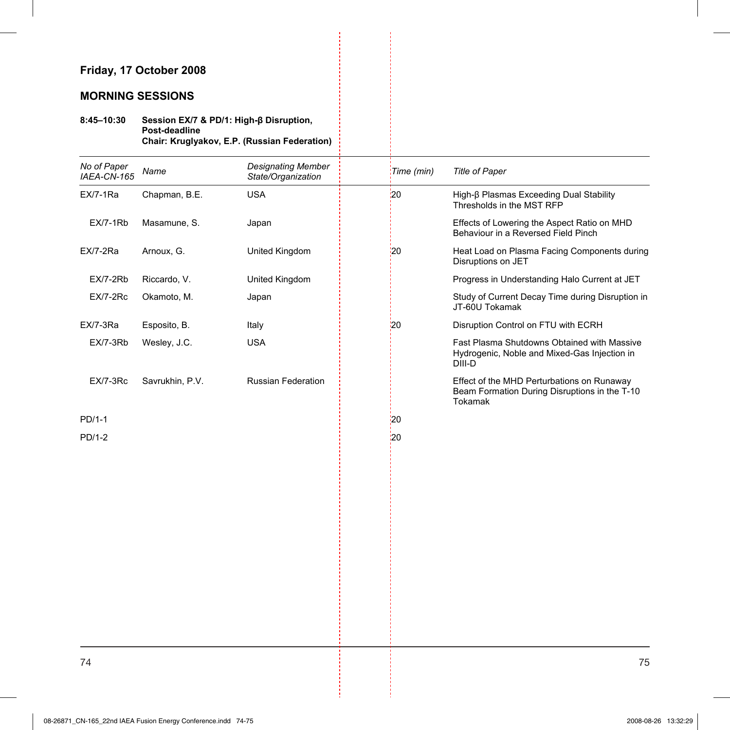### **MORNING SESSIONS**

#### **8:45–10:30 Session EX/7 & PD/1: High-ȕ Disruption, Post-deadline Chair: Kruglyakov, E.P. (Russian Federation)**

| No of Paper<br>IAEA-CN-165 | Name            | <b>Designating Member</b><br>State/Organization | Time (min)    | <b>Title of Paper</b>                                                                                  |
|----------------------------|-----------------|-------------------------------------------------|---------------|--------------------------------------------------------------------------------------------------------|
| EX/7-1Ra                   | Chapman, B.E.   | <b>USA</b>                                      | $\frac{1}{2}$ | High-β Plasmas Exceeding Dual Stability<br>Thresholds in the MST RFP                                   |
| <b>EX/7-1Rb</b>            | Masamune, S.    | Japan                                           |               | Effects of Lowering the Aspect Ratio on MHD<br>Behaviour in a Reversed Field Pinch                     |
| EX/7-2Ra                   | Arnoux, G.      | United Kingdom                                  | 120           | Heat Load on Plasma Facing Components during<br>Disruptions on JET                                     |
| EX/7-2Rb                   | Riccardo, V.    | United Kingdom                                  |               | Progress in Understanding Halo Current at JET                                                          |
| <b>EX/7-2Rc</b>            | Okamoto, M.     | Japan                                           |               | Study of Current Decay Time during Disruption in<br>JT-60U Tokamak                                     |
| <b>EX/7-3Ra</b>            | Esposito, B.    | Italy                                           | 20            | Disruption Control on FTU with ECRH                                                                    |
| EX/7-3Rb                   | Wesley, J.C.    | <b>USA</b>                                      |               | Fast Plasma Shutdowns Obtained with Massive<br>Hydrogenic, Noble and Mixed-Gas Injection in<br>DIII-D  |
| <b>EX/7-3Rc</b>            | Savrukhin, P.V. | <b>Russian Federation</b>                       |               | Effect of the MHD Perturbations on Runaway<br>Beam Formation During Disruptions in the T-10<br>Tokamak |
| PD/1-1                     |                 |                                                 | 20            |                                                                                                        |
| PD/1-2                     |                 |                                                 | 20            |                                                                                                        |
|                            |                 |                                                 |               |                                                                                                        |
|                            |                 |                                                 |               |                                                                                                        |
|                            |                 |                                                 |               |                                                                                                        |
|                            |                 |                                                 |               |                                                                                                        |
|                            |                 |                                                 |               |                                                                                                        |
|                            |                 |                                                 |               |                                                                                                        |
|                            |                 |                                                 |               |                                                                                                        |
|                            |                 |                                                 |               |                                                                                                        |
|                            |                 |                                                 |               |                                                                                                        |
|                            |                 |                                                 |               |                                                                                                        |
|                            |                 |                                                 |               |                                                                                                        |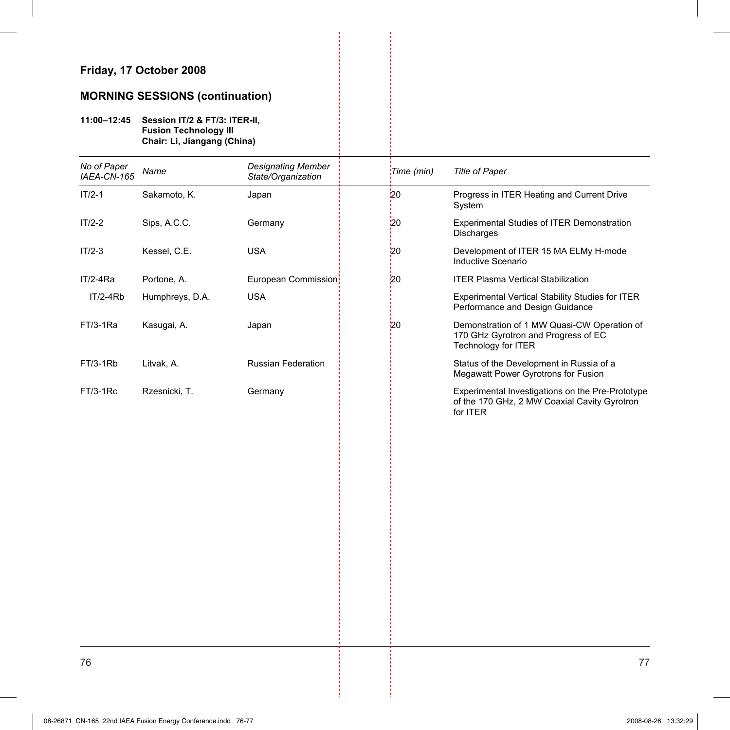### **MORNING SESSIONS (continuation)**

#### **11:00–12:45 Session IT/2 & FT/3: ITER-II, Fusion Technology III Chair: Li, Jiangang (China)**

| No of Paper<br>IAEA-CN-165 | Name            | <b>Designating Member</b><br>State/Organization | Time (min) | <b>Title of Paper</b>                                                                                        |
|----------------------------|-----------------|-------------------------------------------------|------------|--------------------------------------------------------------------------------------------------------------|
| $IT/2-1$                   | Sakamoto, K.    | Japan                                           | 20         | Progress in ITER Heating and Current Drive<br>System                                                         |
| $IT/2-2$                   | Sips, A.C.C.    | Germany                                         | 20         | <b>Experimental Studies of ITER Demonstration</b><br><b>Discharges</b>                                       |
| $IT/2-3$                   | Kessel, C.E.    | <b>USA</b>                                      | 20         | Development of ITER 15 MA ELMy H-mode<br>Inductive Scenario                                                  |
| $IT/2-4Ra$                 | Portone, A.     | European Commission                             | 20         | <b>ITER Plasma Vertical Stabilization</b>                                                                    |
| $IT/2-4Rb$                 | Humphreys, D.A. | <b>USA</b>                                      |            | Experimental Vertical Stability Studies for ITER<br>Performance and Design Guidance                          |
| $FT/3-1Ra$                 | Kasugai, A.     | Japan                                           | 20         | Demonstration of 1 MW Quasi-CW Operation of<br>170 GHz Gyrotron and Progress of EC<br>Technology for ITER    |
| FT/3-1Rb                   | Litvak, A.      | <b>Russian Federation</b>                       |            | Status of the Development in Russia of a<br>Megawatt Power Gyrotrons for Fusion                              |
| $FT/3-1RC$                 | Rzesnicki, T.   | Germany                                         |            | Experimental Investigations on the Pre-Prototype<br>of the 170 GHz, 2 MW Coaxial Cavity Gyrotron<br>for ITER |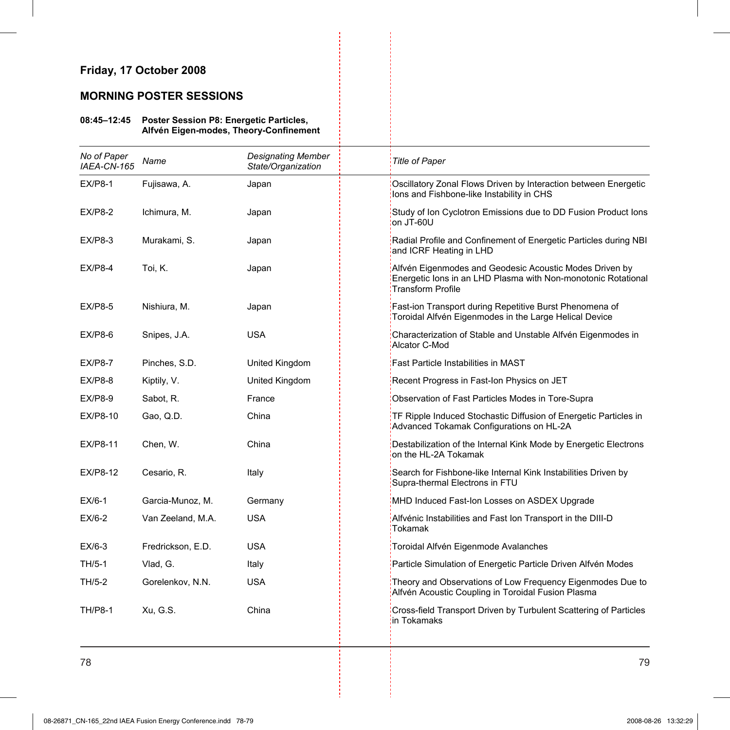### **MORNING POSTER SESSIONS**

#### **08:45–12:45 Poster Session P8: Energetic Particles, Alfvén Eigen-modes, Theory-Confinement**

| No of Paper<br>IAEA-CN-165 | Name              | <b>Designating Member</b><br>State/Organization | <b>Title of Paper</b>                                                                                                                         |
|----------------------------|-------------------|-------------------------------------------------|-----------------------------------------------------------------------------------------------------------------------------------------------|
| <b>EX/P8-1</b>             | Fujisawa, A.      | Japan                                           | Oscillatory Zonal Flows Driven by Interaction between Energetic<br>lons and Fishbone-like Instability in CHS                                  |
| $EX/P8-2$                  | Ichimura, M.      | Japan                                           | Study of Ion Cyclotron Emissions due to DD Fusion Product Ions<br>on JT-60U                                                                   |
| <b>EX/P8-3</b>             | Murakami, S.      | Japan                                           | Radial Profile and Confinement of Energetic Particles during NBI<br>and ICRF Heating in LHD                                                   |
| <b>EX/P8-4</b>             | Toi, K.           | Japan                                           | Alfvén Eigenmodes and Geodesic Acoustic Modes Driven by<br>Energetic Ions in an LHD Plasma with Non-monotonic Rotational<br>Transform Profile |
| $EX/P8-5$                  | Nishiura, M.      | Japan                                           | Fast-ion Transport during Repetitive Burst Phenomena of<br>Toroidal Alfvén Eigenmodes in the Large Helical Device                             |
| $EX/P8-6$                  | Snipes, J.A.      | <b>USA</b>                                      | Characterization of Stable and Unstable Alfvén Eigenmodes in<br>Alcator C-Mod                                                                 |
| $EX/P8-7$                  | Pinches, S.D.     | United Kingdom                                  | Fast Particle Instabilities in MAST                                                                                                           |
| $EX/P8-8$                  | Kiptily, V.       | United Kingdom                                  | Recent Progress in Fast-Ion Physics on JET                                                                                                    |
| $EX/P8-9$                  | Sabot, R.         | France                                          | Observation of Fast Particles Modes in Tore-Supra                                                                                             |
| EX/P8-10                   | Gao, Q.D.         | China                                           | TF Ripple Induced Stochastic Diffusion of Energetic Particles in<br>Advanced Tokamak Configurations on HL-2A                                  |
| <b>EX/P8-11</b>            | Chen, W.          | China                                           | Destabilization of the Internal Kink Mode by Energetic Electrons<br>on the HL-2A Tokamak                                                      |
| EX/P8-12                   | Cesario, R.       | Italy                                           | Search for Fishbone-like Internal Kink Instabilities Driven by<br>Supra-thermal Electrons in FTU                                              |
| $EX/6-1$                   | Garcia-Munoz, M.  | Germany                                         | MHD Induced Fast-Ion Losses on ASDEX Upgrade                                                                                                  |
| $EX/6-2$                   | Van Zeeland, M.A. | <b>USA</b>                                      | Alfvénic Instabilities and Fast Ion Transport in the DIII-D<br>Tokamak                                                                        |
| $EX/6-3$                   | Fredrickson, E.D. | <b>USA</b>                                      | Toroidal Alfvén Eigenmode Avalanches                                                                                                          |
| $TH/5-1$                   | Vlad, G.          | Italy                                           | Particle Simulation of Energetic Particle Driven Alfvén Modes                                                                                 |
| TH/5-2                     | Gorelenkov, N.N.  | <b>USA</b>                                      | Theory and Observations of Low Frequency Eigenmodes Due to<br>Alfvén Acoustic Coupling in Toroidal Fusion Plasma                              |
| <b>TH/P8-1</b>             | Xu, G.S.          | China                                           | Cross-field Transport Driven by Turbulent Scattering of Particles<br>in Tokamaks                                                              |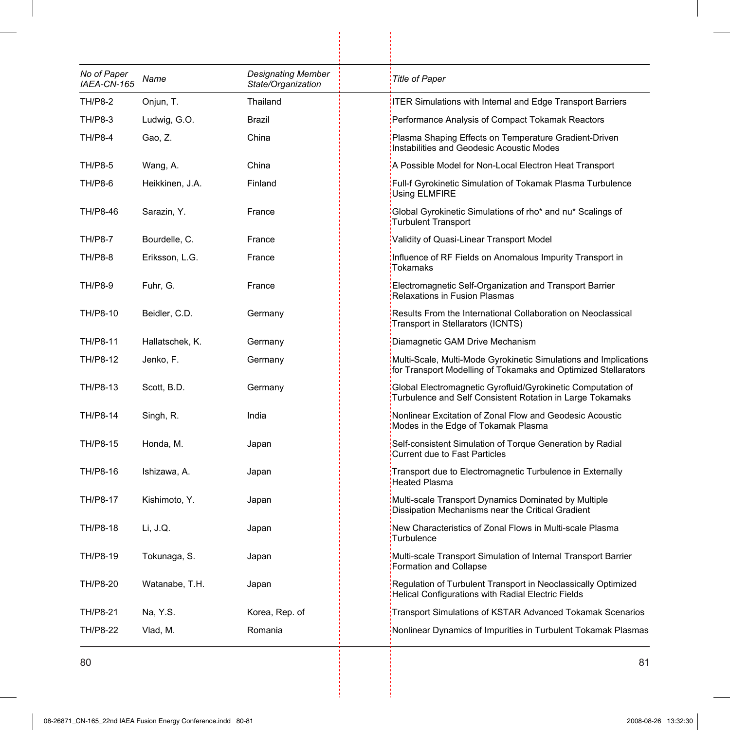| No of Paper<br>IAEA-CN-165 | Name            | <b>Designating Member</b><br>State/Organization | <b>Title of Paper</b>                                                                                                              |
|----------------------------|-----------------|-------------------------------------------------|------------------------------------------------------------------------------------------------------------------------------------|
| <b>TH/P8-2</b>             | Onjun, T.       | Thailand                                        | <b>ITER Simulations with Internal and Edge Transport Barriers</b>                                                                  |
| <b>TH/P8-3</b>             | Ludwig, G.O.    | <b>Brazil</b>                                   | Performance Analysis of Compact Tokamak Reactors                                                                                   |
| <b>TH/P8-4</b>             | Gao, Z.         | China                                           | Plasma Shaping Effects on Temperature Gradient-Driven<br>Instabilities and Geodesic Acoustic Modes                                 |
| <b>TH/P8-5</b>             | Wang, A.        | China                                           | A Possible Model for Non-Local Electron Heat Transport                                                                             |
| TH/P8-6                    | Heikkinen, J.A. | Finland                                         | Full-f Gyrokinetic Simulation of Tokamak Plasma Turbulence<br>Using ELMFIRE                                                        |
| TH/P8-46                   | Sarazin, Y.     | France                                          | Global Gyrokinetic Simulations of rho* and nu* Scalings of<br><b>Turbulent Transport</b>                                           |
| <b>TH/P8-7</b>             | Bourdelle, C.   | France                                          | Validity of Quasi-Linear Transport Model                                                                                           |
| <b>TH/P8-8</b>             | Eriksson, L.G.  | France                                          | Influence of RF Fields on Anomalous Impurity Transport in<br>Tokamaks                                                              |
| <b>TH/P8-9</b>             | Fuhr, G.        | France                                          | Electromagnetic Self-Organization and Transport Barrier<br><b>Relaxations in Fusion Plasmas</b>                                    |
| TH/P8-10                   | Beidler, C.D.   | Germany                                         | Results From the International Collaboration on Neoclassical<br>Transport in Stellarators (ICNTS)                                  |
| TH/P8-11                   | Hallatschek, K. | Germany                                         | Diamagnetic GAM Drive Mechanism                                                                                                    |
| TH/P8-12                   | Jenko, F.       | Germany                                         | Multi-Scale, Multi-Mode Gyrokinetic Simulations and Implications<br>for Transport Modelling of Tokamaks and Optimized Stellarators |
| TH/P8-13                   | Scott, B.D.     | Germany                                         | Global Electromagnetic Gyrofluid/Gyrokinetic Computation of<br>Turbulence and Self Consistent Rotation in Large Tokamaks           |
| TH/P8-14                   | Singh, R.       | India                                           | Nonlinear Excitation of Zonal Flow and Geodesic Acoustic<br>Modes in the Edge of Tokamak Plasma                                    |
| TH/P8-15                   | Honda, M.       | Japan                                           | Self-consistent Simulation of Torque Generation by Radial<br><b>Current due to Fast Particles</b>                                  |
| TH/P8-16                   | Ishizawa, A.    | Japan                                           | Transport due to Electromagnetic Turbulence in Externally<br><b>Heated Plasma</b>                                                  |
| TH/P8-17                   | Kishimoto, Y.   | Japan                                           | Multi-scale Transport Dynamics Dominated by Multiple<br>Dissipation Mechanisms near the Critical Gradient                          |
| TH/P8-18                   | Li, J.Q.        | Japan                                           | New Characteristics of Zonal Flows in Multi-scale Plasma<br>Turbulence                                                             |
| TH/P8-19                   | Tokunaga, S.    | Japan                                           | Multi-scale Transport Simulation of Internal Transport Barrier<br>Formation and Collapse                                           |
| TH/P8-20                   | Watanabe, T.H.  | Japan                                           | Regulation of Turbulent Transport in Neoclassically Optimized<br>Helical Configurations with Radial Electric Fields                |
| TH/P8-21                   | Na, Y.S.        | Korea, Rep. of                                  | Transport Simulations of KSTAR Advanced Tokamak Scenarios                                                                          |
| TH/P8-22                   | Vlad, M.        | Romania                                         | Nonlinear Dynamics of Impurities in Turbulent Tokamak Plasmas                                                                      |

 $\frac{1}{2}$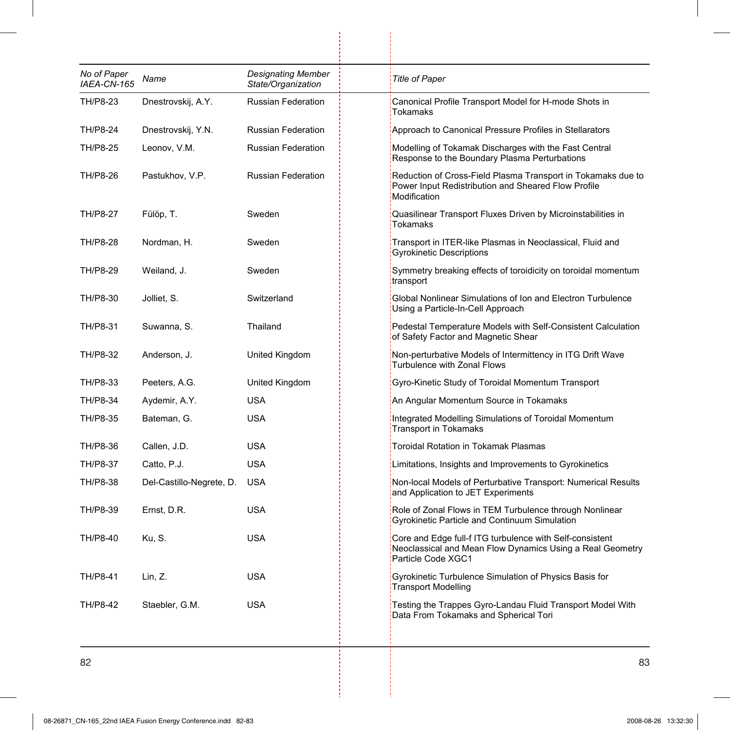| No of Paper<br>IAEA-CN-165 | Name                     | <b>Designating Member</b><br>State/Organization | <b>Title of Paper</b>                                                                                                                       |
|----------------------------|--------------------------|-------------------------------------------------|---------------------------------------------------------------------------------------------------------------------------------------------|
| TH/P8-23                   | Dnestrovskij, A.Y.       | <b>Russian Federation</b>                       | Canonical Profile Transport Model for H-mode Shots in<br>Tokamaks                                                                           |
| TH/P8-24                   | Dnestrovskij, Y.N.       | <b>Russian Federation</b>                       | Approach to Canonical Pressure Profiles in Stellarators                                                                                     |
| TH/P8-25                   | Leonov, V.M.             | <b>Russian Federation</b>                       | Modelling of Tokamak Discharges with the Fast Central<br>Response to the Boundary Plasma Perturbations                                      |
| TH/P8-26                   | Pastukhov, V.P.          | <b>Russian Federation</b>                       | Reduction of Cross-Field Plasma Transport in Tokamaks due to<br>Power Input Redistribution and Sheared Flow Profile<br>Modification         |
| TH/P8-27                   | Fülöp, T.                | Sweden                                          | Quasilinear Transport Fluxes Driven by Microinstabilities in<br><b>Tokamaks</b>                                                             |
| TH/P8-28                   | Nordman, H.              | Sweden                                          | Transport in ITER-like Plasmas in Neoclassical, Fluid and<br><b>Gyrokinetic Descriptions</b>                                                |
| TH/P8-29                   | Weiland, J.              | Sweden                                          | Symmetry breaking effects of toroidicity on toroidal momentum<br>transport                                                                  |
| TH/P8-30                   | Jolliet, S.              | Switzerland                                     | Global Nonlinear Simulations of Ion and Electron Turbulence<br>Using a Particle-In-Cell Approach                                            |
| TH/P8-31                   | Suwanna, S.              | Thailand                                        | Pedestal Temperature Models with Self-Consistent Calculation<br>of Safety Factor and Magnetic Shear                                         |
| TH/P8-32                   | Anderson, J.             | United Kingdom                                  | Non-perturbative Models of Intermittency in ITG Drift Wave<br>Turbulence with Zonal Flows                                                   |
| TH/P8-33                   | Peeters, A.G.            | United Kingdom                                  | Gyro-Kinetic Study of Toroidal Momentum Transport                                                                                           |
| TH/P8-34                   | Aydemir, A.Y.            | USA                                             | An Angular Momentum Source in Tokamaks                                                                                                      |
| TH/P8-35                   | Bateman, G.              | <b>USA</b>                                      | Integrated Modelling Simulations of Toroidal Momentum<br><b>Transport in Tokamaks</b>                                                       |
| TH/P8-36                   | Callen, J.D.             | <b>USA</b>                                      | Toroidal Rotation in Tokamak Plasmas                                                                                                        |
| TH/P8-37                   | Catto, P.J.              | <b>USA</b>                                      | Limitations, Insights and Improvements to Gyrokinetics                                                                                      |
| TH/P8-38                   | Del-Castillo-Negrete, D. | <b>USA</b>                                      | Non-local Models of Perturbative Transport: Numerical Results<br>and Application to JET Experiments                                         |
| TH/P8-39                   | Ernst, D.R.              | <b>USA</b>                                      | Role of Zonal Flows in TEM Turbulence through Nonlinear<br>Gyrokinetic Particle and Continuum Simulation                                    |
| TH/P8-40                   | Ku, S.                   | <b>USA</b>                                      | Core and Edge full-f ITG turbulence with Self-consistent<br>Neoclassical and Mean Flow Dynamics Using a Real Geometry<br>Particle Code XGC1 |
| TH/P8-41                   | Lin, Z.                  | <b>USA</b>                                      | Gyrokinetic Turbulence Simulation of Physics Basis for<br><b>Transport Modelling</b>                                                        |
| TH/P8-42                   | Staebler, G.M.           | <b>USA</b>                                      | Testing the Trappes Gyro-Landau Fluid Transport Model With<br>Data From Tokamaks and Spherical Tori                                         |

ļ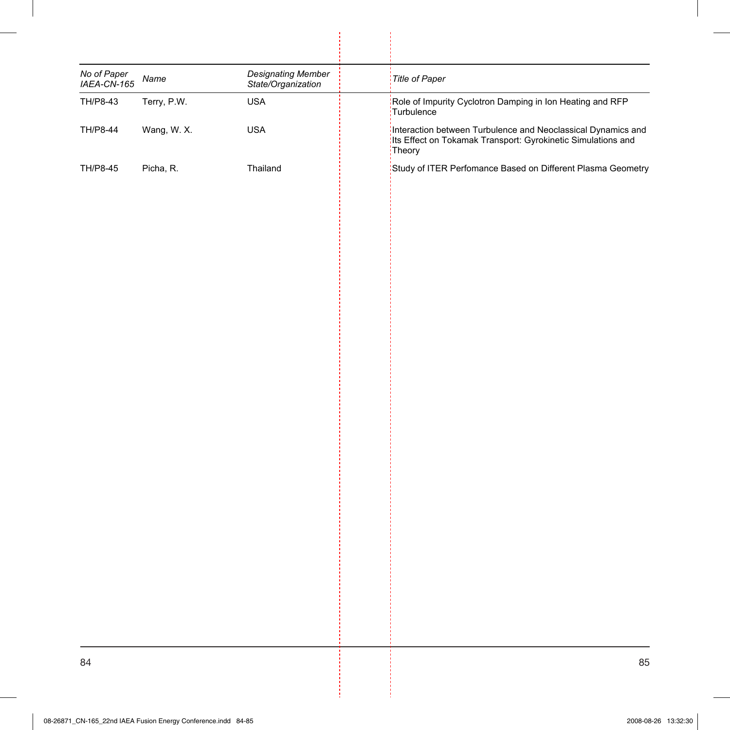| <b>Designating Member</b><br>Title of Paper<br>Name<br>State/Organization<br>Terry, P.W.<br>Role of Impurity Cyclotron Damping in Ion Heating and RFP<br>TH/P8-43<br><b>USA</b><br>Turbulence<br>Wang, W. X.<br><b>USA</b><br>Its Effect on Tokamak Transport: Gyrokinetic Simulations and<br>Theory<br>Picha, R.<br>Thailand |                            |  |                                                              |
|-------------------------------------------------------------------------------------------------------------------------------------------------------------------------------------------------------------------------------------------------------------------------------------------------------------------------------|----------------------------|--|--------------------------------------------------------------|
| TH/P8-44<br>TH/P8-45                                                                                                                                                                                                                                                                                                          | No of Paper<br>IAEA-CN-165 |  |                                                              |
|                                                                                                                                                                                                                                                                                                                               |                            |  |                                                              |
|                                                                                                                                                                                                                                                                                                                               |                            |  | Interaction between Turbulence and Neoclassical Dynamics and |
|                                                                                                                                                                                                                                                                                                                               |                            |  | Study of ITER Perfomance Based on Different Plasma Geometry  |
|                                                                                                                                                                                                                                                                                                                               |                            |  |                                                              |
|                                                                                                                                                                                                                                                                                                                               |                            |  |                                                              |
|                                                                                                                                                                                                                                                                                                                               |                            |  |                                                              |
|                                                                                                                                                                                                                                                                                                                               |                            |  |                                                              |
|                                                                                                                                                                                                                                                                                                                               |                            |  |                                                              |
|                                                                                                                                                                                                                                                                                                                               |                            |  |                                                              |
|                                                                                                                                                                                                                                                                                                                               |                            |  |                                                              |
|                                                                                                                                                                                                                                                                                                                               |                            |  |                                                              |
|                                                                                                                                                                                                                                                                                                                               |                            |  |                                                              |
|                                                                                                                                                                                                                                                                                                                               |                            |  |                                                              |
|                                                                                                                                                                                                                                                                                                                               |                            |  |                                                              |
|                                                                                                                                                                                                                                                                                                                               |                            |  |                                                              |
|                                                                                                                                                                                                                                                                                                                               |                            |  |                                                              |
|                                                                                                                                                                                                                                                                                                                               |                            |  |                                                              |
|                                                                                                                                                                                                                                                                                                                               |                            |  |                                                              |
|                                                                                                                                                                                                                                                                                                                               |                            |  |                                                              |
|                                                                                                                                                                                                                                                                                                                               |                            |  |                                                              |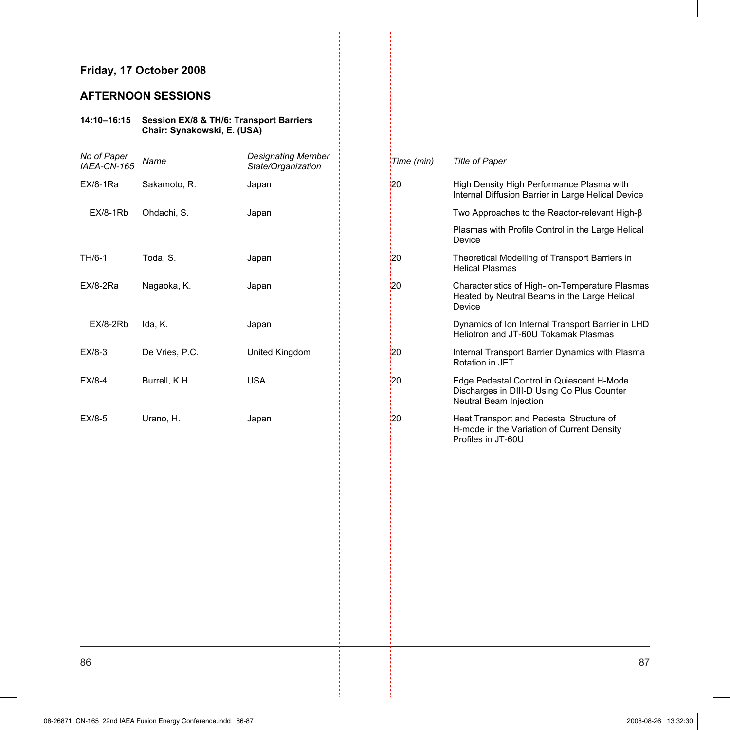### **AFTERNOON SESSIONS**

#### **14:10–16:15 Session EX/8 & TH/6: Transport Barriers Chair: Synakowski, E. (USA)**

| No of Paper<br>IAEA-CN-165 | Name           | <b>Designating Member</b><br>State/Organization | Time (min)      | Title of Paper                                                                                                    |
|----------------------------|----------------|-------------------------------------------------|-----------------|-------------------------------------------------------------------------------------------------------------------|
| EX/8-1Ra                   | Sakamoto, R.   | Japan                                           | 20              | High Density High Performance Plasma with<br>Internal Diffusion Barrier in Large Helical Device                   |
| <b>EX/8-1Rb</b>            | Ohdachi, S.    | Japan                                           |                 | Two Approaches to the Reactor-relevant High-ß                                                                     |
|                            |                |                                                 |                 | Plasmas with Profile Control in the Large Helical<br>Device                                                       |
| TH/6-1                     | Toda, S.       | Japan                                           | :20             | Theoretical Modelling of Transport Barriers in<br><b>Helical Plasmas</b>                                          |
| <b>EX/8-2Ra</b>            | Nagaoka, K.    | Japan                                           | 20 <sub>2</sub> | Characteristics of High-Ion-Temperature Plasmas<br>Heated by Neutral Beams in the Large Helical<br>Device         |
| <b>EX/8-2Rb</b>            | Ida, K.        | Japan                                           |                 | Dynamics of Ion Internal Transport Barrier in LHD<br>Heliotron and JT-60U Tokamak Plasmas                         |
| $EX/8-3$                   | De Vries, P.C. | United Kingdom                                  | 20              | Internal Transport Barrier Dynamics with Plasma<br>Rotation in JET                                                |
| $EX/8-4$                   | Burrell, K.H.  | <b>USA</b>                                      | $\frac{1}{2}$   | Edge Pedestal Control in Quiescent H-Mode<br>Discharges in DIII-D Using Co Plus Counter<br>Neutral Beam Injection |
| $EX/8-5$                   | Urano, H.      | Japan                                           | 120             | Heat Transport and Pedestal Structure of<br>H-mode in the Variation of Current Density<br>Profiles in JT-60U      |
|                            |                |                                                 |                 |                                                                                                                   |
|                            |                |                                                 |                 |                                                                                                                   |
|                            |                |                                                 |                 |                                                                                                                   |
|                            |                |                                                 |                 |                                                                                                                   |
|                            |                |                                                 |                 |                                                                                                                   |
|                            |                |                                                 |                 |                                                                                                                   |
|                            |                |                                                 |                 |                                                                                                                   |
|                            |                |                                                 |                 |                                                                                                                   |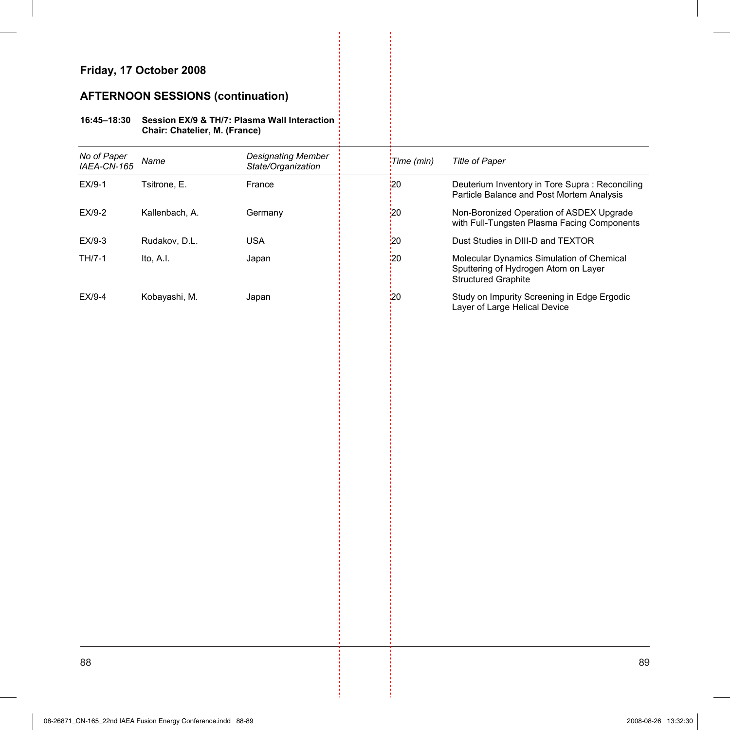# **AFTERNOON SESSIONS (continuation)**

#### **16:45–18:30 Session EX/9 & TH/7: Plasma Wall Interaction Chair: Chatelier, M. (France)**

| No of Paper<br>IAEA-CN-165 | Name           | <b>Designating Member</b><br>State/Organization | Time (min)    | Title of Paper                                                                                           |
|----------------------------|----------------|-------------------------------------------------|---------------|----------------------------------------------------------------------------------------------------------|
| EX/9-1                     | Tsitrone, E.   | France                                          | 20'           | Deuterium Inventory in Tore Supra: Reconciling<br>Particle Balance and Post Mortem Analysis              |
| EX/9-2                     | Kallenbach, A. | Germany                                         | 20            | Non-Boronized Operation of ASDEX Upgrade<br>with Full-Tungsten Plasma Facing Components                  |
| EX/9-3                     | Rudakov, D.L.  | <b>USA</b>                                      | 20            | Dust Studies in DIII-D and TEXTOR                                                                        |
| TH/7-1                     | Ito, A.I.      | Japan                                           | 20            | Molecular Dynamics Simulation of Chemical<br>Sputtering of Hydrogen Atom on Layer<br>Structured Graphite |
| EX/9-4                     | Kobayashi, M.  | Japan                                           | $\frac{1}{2}$ | Study on Impurity Screening in Edge Ergodic<br>Layer of Large Helical Device                             |
|                            |                |                                                 |               |                                                                                                          |
|                            |                |                                                 |               |                                                                                                          |
|                            |                |                                                 |               |                                                                                                          |
|                            |                |                                                 |               |                                                                                                          |
|                            |                |                                                 |               |                                                                                                          |
|                            |                |                                                 |               |                                                                                                          |
|                            |                |                                                 |               |                                                                                                          |
|                            |                |                                                 |               |                                                                                                          |
|                            |                |                                                 |               |                                                                                                          |
|                            |                |                                                 |               |                                                                                                          |
|                            |                |                                                 |               |                                                                                                          |
|                            |                |                                                 |               |                                                                                                          |
|                            |                |                                                 |               |                                                                                                          |
|                            |                |                                                 |               |                                                                                                          |
|                            |                |                                                 |               |                                                                                                          |
|                            |                |                                                 |               |                                                                                                          |
|                            |                |                                                 |               |                                                                                                          |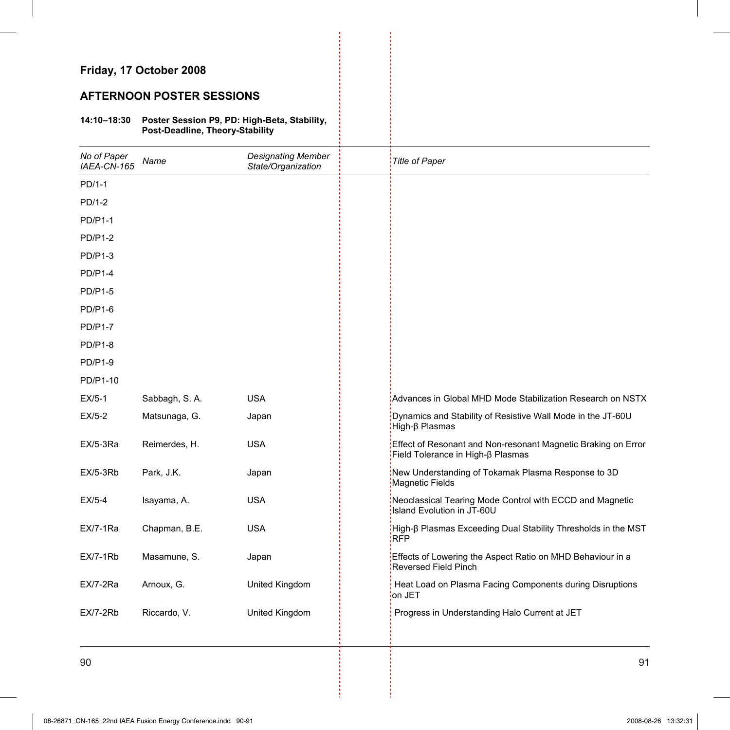### **AFTERNOON POSTER SESSIONS**

#### **14:10–18:30 Poster Session P9, PD: High-Beta, Stability, Post-Deadline, Theory-Stability**

| No of Paper<br>IAEA-CN-165 | Name          | <b>Designating Member</b><br>State/Organization | <b>Title of Paper</b>                                                                              |
|----------------------------|---------------|-------------------------------------------------|----------------------------------------------------------------------------------------------------|
| PD/1-1                     |               |                                                 |                                                                                                    |
| PD/1-2                     |               |                                                 |                                                                                                    |
| <b>PD/P1-1</b>             |               |                                                 |                                                                                                    |
| <b>PD/P1-2</b>             |               |                                                 |                                                                                                    |
| <b>PD/P1-3</b>             |               |                                                 |                                                                                                    |
| $PD/P1-4$                  |               |                                                 |                                                                                                    |
| <b>PD/P1-5</b>             |               |                                                 |                                                                                                    |
| <b>PD/P1-6</b>             |               |                                                 |                                                                                                    |
| <b>PD/P1-7</b>             |               |                                                 |                                                                                                    |
| <b>PD/P1-8</b>             |               |                                                 |                                                                                                    |
| <b>PD/P1-9</b>             |               |                                                 |                                                                                                    |
| PD/P1-10                   |               |                                                 |                                                                                                    |
| $EX/5-1$                   | Sabbagh, S.A. | <b>USA</b>                                      | Advances in Global MHD Mode Stabilization Research on NSTX                                         |
| $EX/5-2$                   | Matsunaga, G. | Japan                                           | Dynamics and Stability of Resistive Wall Mode in the JT-60U<br>High-β Plasmas                      |
| <b>EX/5-3Ra</b>            | Reimerdes, H. | <b>USA</b>                                      | Effect of Resonant and Non-resonant Magnetic Braking on Error<br>Field Tolerance in High-ß Plasmas |
| $EX/5-3Rb$                 | Park, J.K.    | Japan                                           | New Understanding of Tokamak Plasma Response to 3D<br>Magnetic Fields                              |
| $EX/5-4$                   | Isayama, A.   | <b>USA</b>                                      | Neoclassical Tearing Mode Control with ECCD and Magnetic<br>Island Evolution in JT-60U             |
| $EX/7-1Ra$                 | Chapman, B.E. | <b>USA</b>                                      | High-β Plasmas Exceeding Dual Stability Thresholds in the MST<br><b>RFP</b>                        |
| $EX/7-1Rb$                 | Masamune, S.  | Japan                                           | Effects of Lowering the Aspect Ratio on MHD Behaviour in a<br><b>Reversed Field Pinch</b>          |
| EX/7-2Ra                   | Arnoux, G.    | United Kingdom                                  | Heat Load on Plasma Facing Components during Disruptions<br>on JET                                 |
| <b>EX/7-2Rb</b>            | Riccardo, V.  | United Kingdom                                  | Progress in Understanding Halo Current at JET                                                      |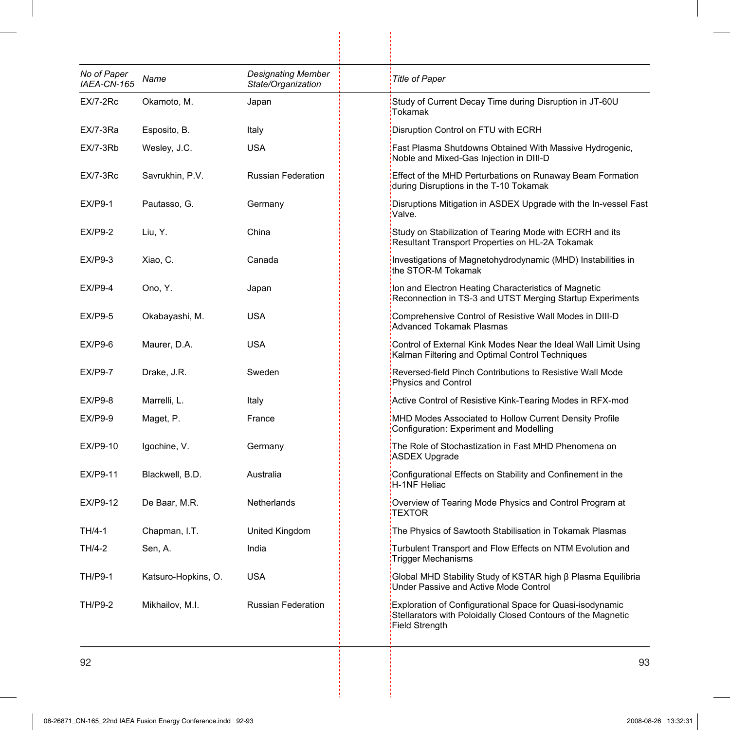| No of Paper<br>IAEA-CN-165 | Name                | <b>Designating Member</b><br>State/Organization | <b>Title of Paper</b>                                                                                                                              |
|----------------------------|---------------------|-------------------------------------------------|----------------------------------------------------------------------------------------------------------------------------------------------------|
| EX/7-2Rc                   | Okamoto, M.         | Japan                                           | Study of Current Decay Time during Disruption in JT-60U<br>Tokamak                                                                                 |
| EX/7-3Ra                   | Esposito, B.        | Italy                                           | Disruption Control on FTU with ECRH                                                                                                                |
| $EX/7-3Rb$                 | Wesley, J.C.        | <b>USA</b>                                      | Fast Plasma Shutdowns Obtained With Massive Hydrogenic,<br>Noble and Mixed-Gas Injection in DIII-D                                                 |
| EX/7-3Rc                   | Savrukhin, P.V.     | <b>Russian Federation</b>                       | Effect of the MHD Perturbations on Runaway Beam Formation<br>during Disruptions in the T-10 Tokamak                                                |
| $EX/P9-1$                  | Pautasso, G.        | Germany                                         | Disruptions Mitigation in ASDEX Upgrade with the In-vessel Fast<br>Valve.                                                                          |
| <b>EX/P9-2</b>             | Liu, Y.             | China                                           | Study on Stabilization of Tearing Mode with ECRH and its<br>Resultant Transport Properties on HL-2A Tokamak                                        |
| <b>EX/P9-3</b>             | Xiao, C.            | Canada                                          | Investigations of Magnetohydrodynamic (MHD) Instabilities in<br>the STOR-M Tokamak                                                                 |
| $EX/P9-4$                  | Ono, Y.             | Japan                                           | Ion and Electron Heating Characteristics of Magnetic<br>Reconnection in TS-3 and UTST Merging Startup Experiments                                  |
| <b>EX/P9-5</b>             | Okabayashi, M.      | USA                                             | Comprehensive Control of Resistive Wall Modes in DIII-D<br><b>Advanced Tokamak Plasmas</b>                                                         |
| EX/P9-6                    | Maurer, D.A.        | USA                                             | Control of External Kink Modes Near the Ideal Wall Limit Using<br>Kalman Filtering and Optimal Control Techniques                                  |
| <b>EX/P9-7</b>             | Drake, J.R.         | Sweden                                          | Reversed-field Pinch Contributions to Resistive Wall Mode<br>Physics and Control                                                                   |
| EX/P9-8                    | Marrelli, L.        | Italy                                           | Active Control of Resistive Kink-Tearing Modes in RFX-mod                                                                                          |
| <b>EX/P9-9</b>             | Maget, P.           | France                                          | MHD Modes Associated to Hollow Current Density Profile<br>Configuration: Experiment and Modelling                                                  |
| EX/P9-10                   | Igochine, V.        | Germany                                         | The Role of Stochastization in Fast MHD Phenomena on<br>ASDEX Upgrade                                                                              |
| EX/P9-11                   | Blackwell, B.D.     | Australia                                       | Configurational Effects on Stability and Confinement in the<br>H-1NF Heliac                                                                        |
| EX/P9-12                   | De Baar, M.R.       | Netherlands                                     | Overview of Tearing Mode Physics and Control Program at<br><b>TEXTOR</b>                                                                           |
| TH/4-1                     | Chapman, I.T.       | United Kingdom                                  | The Physics of Sawtooth Stabilisation in Tokamak Plasmas                                                                                           |
| TH/4-2                     | Sen, A.             | India                                           | Turbulent Transport and Flow Effects on NTM Evolution and<br>Trigger Mechanisms                                                                    |
| <b>TH/P9-1</b>             | Katsuro-Hopkins, O. | <b>USA</b>                                      | Global MHD Stability Study of KSTAR high β Plasma Equilibria<br>Under Passive and Active Mode Control                                              |
| TH/P9-2                    | Mikhailov, M.I.     | <b>Russian Federation</b>                       | Exploration of Configurational Space for Quasi-isodynamic<br>Stellarators with Poloidally Closed Contours of the Magnetic<br><b>Field Strength</b> |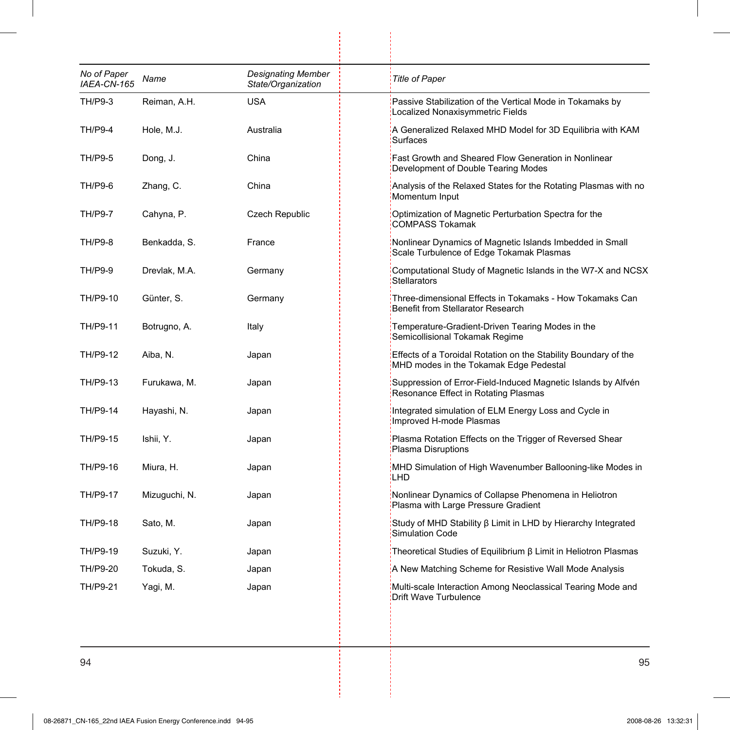| No of Paper<br>IAEA-CN-165 | Name          | Designating Member<br>State/Organization | <b>Title of Paper</b>                                                                                     |
|----------------------------|---------------|------------------------------------------|-----------------------------------------------------------------------------------------------------------|
| TH/P9-3                    | Reiman, A.H.  | <b>USA</b>                               | Passive Stabilization of the Vertical Mode in Tokamaks by<br>Localized Nonaxisymmetric Fields             |
| <b>TH/P9-4</b>             | Hole, M.J.    | Australia                                | A Generalized Relaxed MHD Model for 3D Equilibria with KAM<br>Surfaces                                    |
| <b>TH/P9-5</b>             | Dong, J.      | China                                    | Fast Growth and Sheared Flow Generation in Nonlinear<br>Development of Double Tearing Modes               |
| <b>TH/P9-6</b>             | Zhang, C.     | China                                    | Analysis of the Relaxed States for the Rotating Plasmas with no<br>Momentum Input                         |
| <b>TH/P9-7</b>             | Cahyna, P.    | <b>Czech Republic</b>                    | Optimization of Magnetic Perturbation Spectra for the<br><b>COMPASS Tokamak</b>                           |
| <b>TH/P9-8</b>             | Benkadda, S.  | France                                   | Nonlinear Dynamics of Magnetic Islands Imbedded in Small<br>Scale Turbulence of Edge Tokamak Plasmas      |
| <b>TH/P9-9</b>             | Drevlak, M.A. | Germany                                  | Computational Study of Magnetic Islands in the W7-X and NCSX<br>Stellarators                              |
| TH/P9-10                   | Günter, S.    | Germany                                  | Three-dimensional Effects in Tokamaks - How Tokamaks Can<br>Benefit from Stellarator Research             |
| TH/P9-11                   | Botrugno, A.  | Italy                                    | Temperature-Gradient-Driven Tearing Modes in the<br>Semicollisional Tokamak Regime                        |
| TH/P9-12                   | Aiba, N.      | Japan                                    | Effects of a Toroidal Rotation on the Stability Boundary of the<br>MHD modes in the Tokamak Edge Pedestal |
| TH/P9-13                   | Furukawa, M.  | Japan                                    | Suppression of Error-Field-Induced Magnetic Islands by Alfvén<br>Resonance Effect in Rotating Plasmas     |
| TH/P9-14                   | Hayashi, N.   | Japan                                    | Integrated simulation of ELM Energy Loss and Cycle in<br>Improved H-mode Plasmas                          |
| TH/P9-15                   | Ishii, Y.     | Japan                                    | Plasma Rotation Effects on the Trigger of Reversed Shear<br>Plasma Disruptions                            |
| TH/P9-16                   | Miura, H.     | Japan                                    | MHD Simulation of High Wavenumber Ballooning-like Modes in<br><b>LHD</b>                                  |
| TH/P9-17                   | Mizuguchi, N. | Japan                                    | Nonlinear Dynamics of Collapse Phenomena in Heliotron<br>Plasma with Large Pressure Gradient              |
| TH/P9-18                   | Sato, M.      | Japan                                    | Study of MHD Stability $\beta$ Limit in LHD by Hierarchy Integrated<br><b>Simulation Code</b>             |
| TH/P9-19                   | Suzuki, Y.    | Japan                                    | Theoretical Studies of Equilibrium $\beta$ Limit in Heliotron Plasmas                                     |
| TH/P9-20                   | Tokuda, S.    | Japan                                    | A New Matching Scheme for Resistive Wall Mode Analysis                                                    |
| TH/P9-21                   | Yagi, M.      | Japan                                    | Multi-scale Interaction Among Neoclassical Tearing Mode and<br>Drift Wave Turbulence                      |

 $\begin{bmatrix} 1 \\ 1 \end{bmatrix}$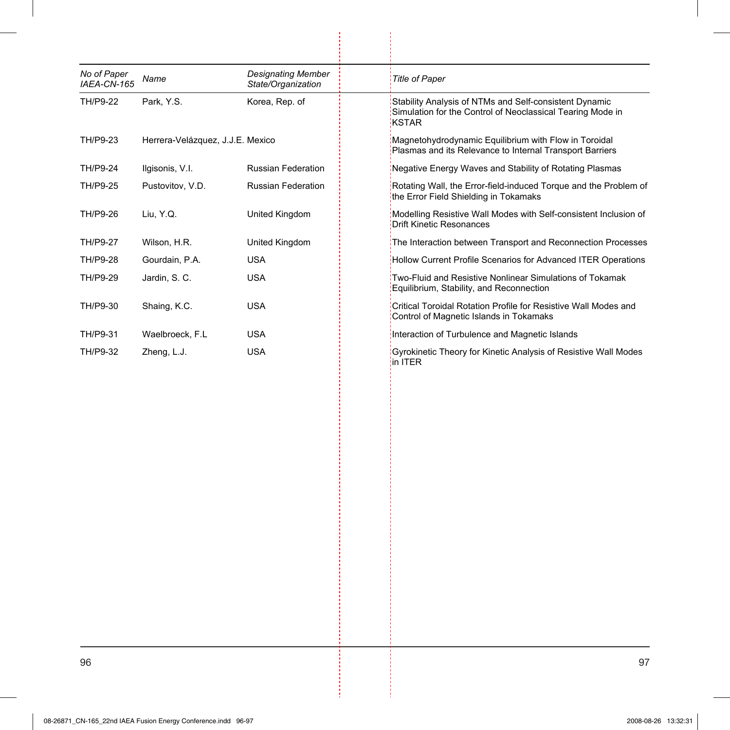| No of Paper     |                                  | <b>Designating Member</b> |                                                                                                                                      |
|-----------------|----------------------------------|---------------------------|--------------------------------------------------------------------------------------------------------------------------------------|
| IAEA-CN-165     | Name                             | State/Organization        | <b>Title of Paper</b>                                                                                                                |
| TH/P9-22        | Park, Y.S.                       | Korea, Rep. of            | Stability Analysis of NTMs and Self-consistent Dynamic<br>Simulation for the Control of Neoclassical Tearing Mode in<br><b>KSTAR</b> |
| TH/P9-23        | Herrera-Velázquez, J.J.E. Mexico |                           | Magnetohydrodynamic Equilibrium with Flow in Toroidal<br>Plasmas and its Relevance to Internal Transport Barriers                    |
| TH/P9-24        | Ilgisonis, V.I.                  | <b>Russian Federation</b> | Negative Energy Waves and Stability of Rotating Plasmas                                                                              |
| TH/P9-25        | Pustovitov, V.D.                 | <b>Russian Federation</b> | Rotating Wall, the Error-field-induced Torque and the Problem of<br>the Error Field Shielding in Tokamaks                            |
| TH/P9-26        | Liu, Y.Q.                        | United Kingdom            | Modelling Resistive Wall Modes with Self-consistent Inclusion of<br><b>Drift Kinetic Resonances</b>                                  |
| <b>TH/P9-27</b> | Wilson, H.R.                     | United Kingdom            | The Interaction between Transport and Reconnection Processes                                                                         |
| TH/P9-28        | Gourdain, P.A.                   | <b>USA</b>                | Hollow Current Profile Scenarios for Advanced ITER Operations                                                                        |
| TH/P9-29        | Jardin, S. C.                    | <b>USA</b>                | Two-Fluid and Resistive Nonlinear Simulations of Tokamak<br>Equilibrium, Stability, and Reconnection                                 |
| TH/P9-30        | Shaing, K.C.                     | <b>USA</b>                | Critical Toroidal Rotation Profile for Resistive Wall Modes and<br>Control of Magnetic Islands in Tokamaks                           |
| TH/P9-31        | Waelbroeck, F.L.                 | <b>USA</b>                | Interaction of Turbulence and Magnetic Islands                                                                                       |
| TH/P9-32        | Zheng, L.J.                      | <b>USA</b>                | Gyrokinetic Theory for Kinetic Analysis of Resistive Wall Modes<br>in ITER                                                           |
|                 |                                  |                           |                                                                                                                                      |
|                 |                                  |                           |                                                                                                                                      |

 $\frac{1}{2}$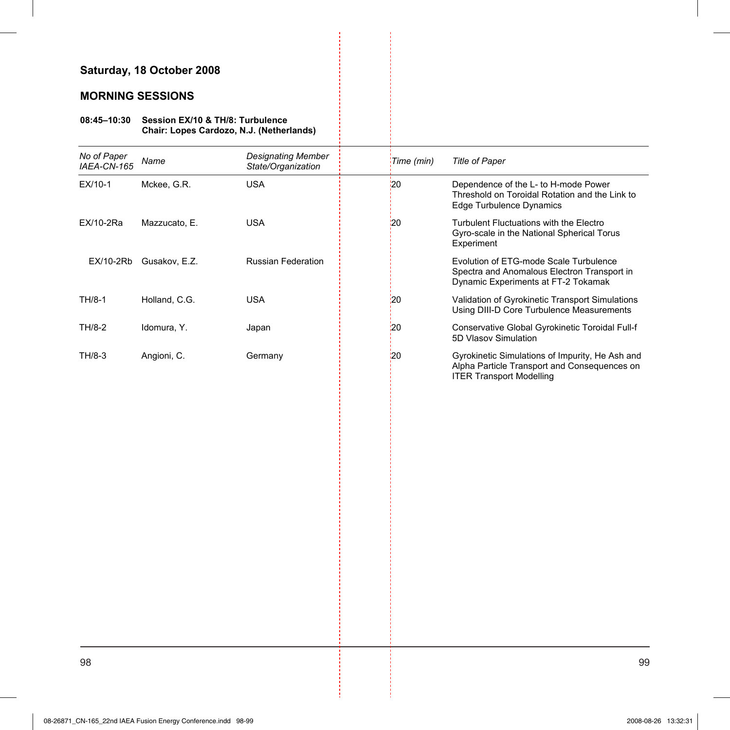## **Saturday, 18 October 2008**

### **MORNING SESSIONS**

#### **08:45–10:30 Session EX/10 & TH/8: Turbulence Chair: Lopes Cardozo, N.J. (Netherlands)**

| No of Paper<br>IAEA-CN-165 | Name          | <b>Designating Member</b><br>State/Organization | Time (min)      | <b>Title of Paper</b>                                                                                                              |
|----------------------------|---------------|-------------------------------------------------|-----------------|------------------------------------------------------------------------------------------------------------------------------------|
| EX/10-1                    | Mckee, G.R.   | <b>USA</b>                                      | 20 <sub>2</sub> | Dependence of the L- to H-mode Power<br>Threshold on Toroidal Rotation and the Link to<br><b>Edge Turbulence Dynamics</b>          |
| EX/10-2Ra                  | Mazzucato, E. | <b>USA</b>                                      | 20              | Turbulent Fluctuations with the Electro<br>Gyro-scale in the National Spherical Torus<br>Experiment                                |
| EX/10-2Rb                  | Gusakov, E.Z. | Russian Federation                              |                 | Evolution of ETG-mode Scale Turbulence<br>Spectra and Anomalous Electron Transport in<br>Dynamic Experiments at FT-2 Tokamak       |
| TH/8-1                     | Holland, C.G. | <b>USA</b>                                      | <u>'</u> 20     | Validation of Gyrokinetic Transport Simulations<br>Using DIII-D Core Turbulence Measurements                                       |
| TH/8-2                     | Idomura, Y.   | Japan                                           | $\overline{20}$ | Conservative Global Gyrokinetic Toroidal Full-f<br>5D Vlasov Simulation                                                            |
| TH/8-3                     | Angioni, C.   | Germany                                         | 20              | Gyrokinetic Simulations of Impurity, He Ash and<br>Alpha Particle Transport and Consequences on<br><b>ITER Transport Modelling</b> |
|                            |               |                                                 |                 |                                                                                                                                    |
|                            |               |                                                 |                 |                                                                                                                                    |
|                            |               |                                                 |                 |                                                                                                                                    |
|                            |               |                                                 |                 |                                                                                                                                    |
|                            |               |                                                 |                 |                                                                                                                                    |
|                            |               |                                                 |                 |                                                                                                                                    |
|                            |               |                                                 |                 |                                                                                                                                    |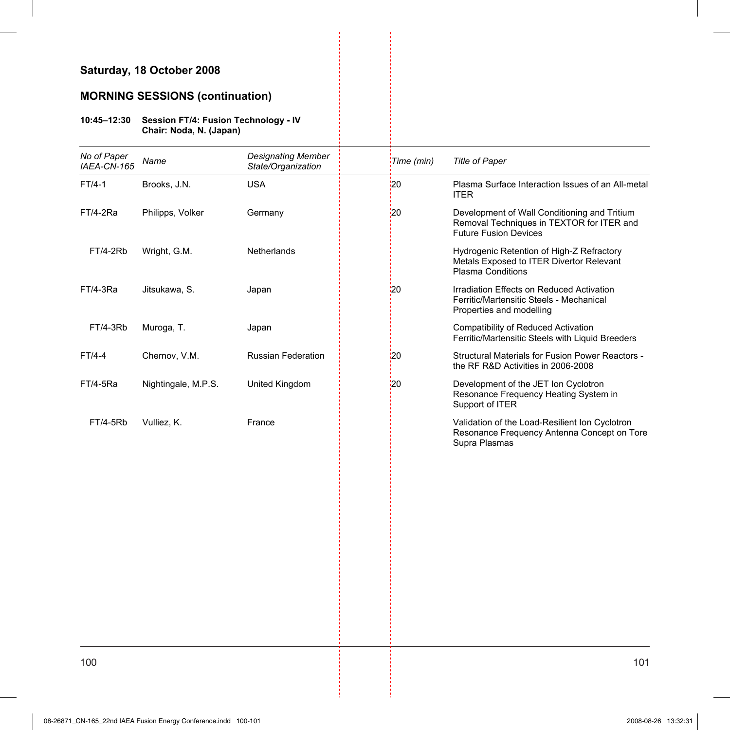## **Saturday, 18 October 2008**

### **MORNING SESSIONS (continuation)**

#### **10:45–12:30 Session FT/4: Fusion Technology - IV Chair: Noda, N. (Japan)**

| No of Paper<br>IAEA-CN-165 | Name                | <b>Designating Member</b><br>State/Organization | Time (min) | <b>Title of Paper</b>                                                                                                     |
|----------------------------|---------------------|-------------------------------------------------|------------|---------------------------------------------------------------------------------------------------------------------------|
| $FT/4-1$                   | Brooks, J.N.        | <b>USA</b>                                      | 20         | Plasma Surface Interaction Issues of an All-metal<br><b>ITER</b>                                                          |
| FT/4-2Ra                   | Philipps, Volker    | Germany                                         | $^{120}$   | Development of Wall Conditioning and Tritium<br>Removal Techniques in TEXTOR for ITER and<br><b>Future Fusion Devices</b> |
| FT/4-2Rb                   | Wright, G.M.        | Netherlands                                     |            | Hydrogenic Retention of High-Z Refractory<br>Metals Exposed to ITER Divertor Relevant<br><b>Plasma Conditions</b>         |
| FT/4-3Ra                   | Jitsukawa, S.       | Japan                                           | '20        | Irradiation Effects on Reduced Activation<br>Ferritic/Martensitic Steels - Mechanical<br>Properties and modelling         |
| FT/4-3Rb                   | Muroga, T.          | Japan                                           |            | <b>Compatibility of Reduced Activation</b><br>Ferritic/Martensitic Steels with Liquid Breeders                            |
| FT/4-4                     | Chernov, V.M.       | Russian Federation                              | '20        | <b>Structural Materials for Fusion Power Reactors -</b><br>the RF R&D Activities in 2006-2008                             |
| FT/4-5Ra                   | Nightingale, M.P.S. | United Kingdom                                  | 20         | Development of the JET Ion Cyclotron<br>Resonance Frequency Heating System in<br>Support of ITER                          |
| FT/4-5Rb                   | Vulliez, K.         | France                                          |            | Validation of the Load-Resilient Ion Cyclotron<br>Resonance Frequency Antenna Concept on Tore<br>Supra Plasmas            |
|                            |                     |                                                 |            |                                                                                                                           |
|                            |                     |                                                 |            |                                                                                                                           |
|                            |                     |                                                 |            |                                                                                                                           |
|                            |                     |                                                 |            |                                                                                                                           |
|                            |                     |                                                 |            |                                                                                                                           |
|                            |                     |                                                 |            |                                                                                                                           |

j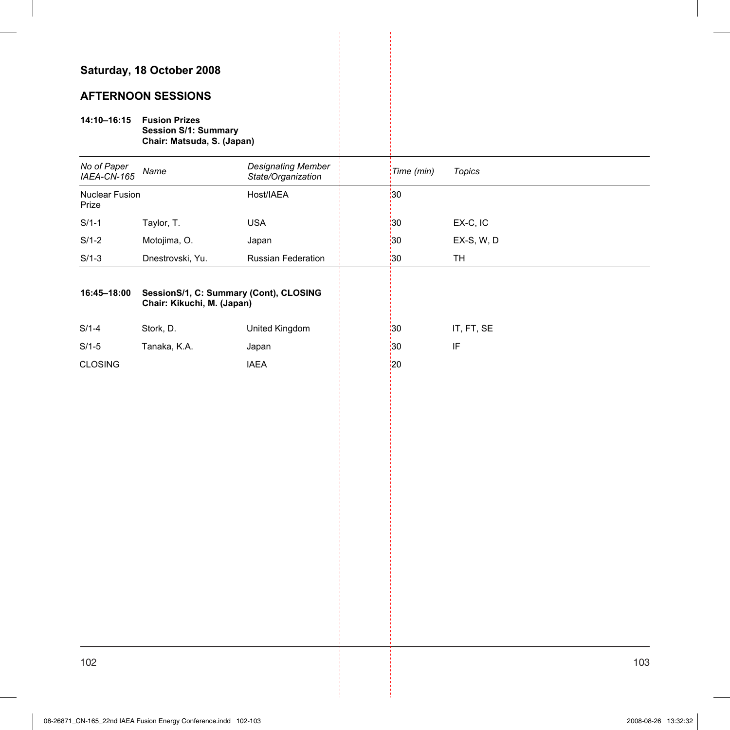### **Saturday, 18 October 2008**

### **AFTERNOON SESSIONS**

# **14:10–16:15 Fusion Prizes**

**Session S/1: Summary** 

**Chair: Matsuda, S. (Japan)** 

| No of Paper<br>IAEA-CN-165 | Name                                                                 | <b>Designating Member</b><br>State/Organization | Time (min)      | <b>Topics</b>              |
|----------------------------|----------------------------------------------------------------------|-------------------------------------------------|-----------------|----------------------------|
| Nuclear Fusion<br>Prize    |                                                                      | Host/IAEA                                       | $\frac{1}{30}$  |                            |
| $S/1-1$                    | Taylor, T.                                                           | <b>USA</b>                                      | 30              | EX-C, IC                   |
| $S/1-2$                    | Motojima, O.                                                         | Japan                                           | $\frac{1}{2}30$ | EX-S, W, D                 |
| $S/1-3$                    | Dnestrovski, Yu.                                                     | Russian Federation                              | $\frac{1}{3}$   | TH                         |
| 16:45-18:00                | SessionS/1, C: Summary (Cont), CLOSING<br>Chair: Kikuchi, M. (Japan) |                                                 |                 |                            |
| $S/1-4$                    | Stork, D.                                                            | United Kingdom                                  | $\frac{1}{3}$   | IT, FT, SE                 |
| $S/1-5$                    | Tanaka, K.A.                                                         | Japan                                           | $\frac{1}{2}30$ | $\ensuremath{\mathsf{IF}}$ |
| CLOSING                    |                                                                      | <b>IAEA</b>                                     | $\frac{1}{2}$   |                            |
|                            |                                                                      |                                                 |                 |                            |
|                            |                                                                      |                                                 |                 |                            |
|                            |                                                                      |                                                 |                 |                            |
|                            |                                                                      |                                                 |                 |                            |
|                            |                                                                      |                                                 |                 |                            |
|                            |                                                                      |                                                 |                 |                            |
|                            |                                                                      |                                                 |                 |                            |
|                            |                                                                      |                                                 |                 |                            |
|                            |                                                                      |                                                 |                 |                            |
|                            |                                                                      |                                                 |                 |                            |
|                            |                                                                      |                                                 |                 |                            |
|                            |                                                                      |                                                 |                 |                            |
|                            |                                                                      |                                                 |                 |                            |
|                            |                                                                      |                                                 |                 |                            |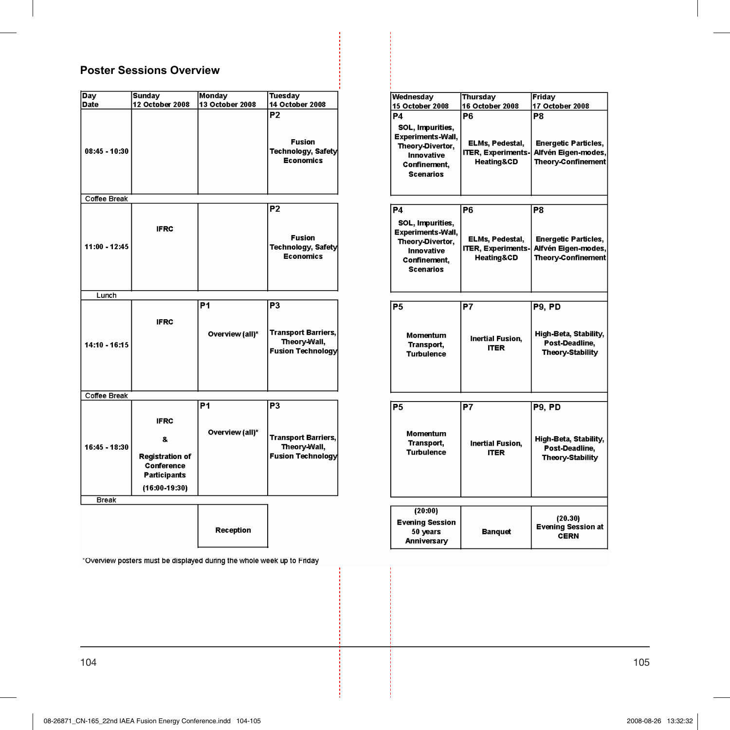# **Poster Sessions Overview**

| <b>Day</b>    | <b>Sunday</b>                                                                                       | <b>Monday</b>                     | <b>Tuesday</b>                                                                           |
|---------------|-----------------------------------------------------------------------------------------------------|-----------------------------------|------------------------------------------------------------------------------------------|
| Date          | 12 October 2008                                                                                     | 13 October 2008                   | 14 October 2008                                                                          |
| 08:45 - 10:30 |                                                                                                     |                                   | P2<br><b>Fusion</b><br>Technology, Safety<br><b>Economics</b>                            |
| Coffee Break  |                                                                                                     |                                   |                                                                                          |
| 11:00 - 12:45 | <b>IFRC</b>                                                                                         |                                   | P <sub>2</sub><br><b>Fusion</b><br>Technology, Safety<br><b>Economics</b>                |
| Lunch         |                                                                                                     |                                   |                                                                                          |
| 14:10 - 16:15 | <b>IFRC</b>                                                                                         | <b>P1</b><br>Overview (all)*      | P <sub>3</sub><br><b>Transport Barriers,</b><br>Theory-Wall,<br><b>Fusion Technology</b> |
| Coffee Break  |                                                                                                     |                                   |                                                                                          |
| 16:45 - 18:30 | <b>IFRC</b><br>8.<br><b>Registration of</b><br>Conference<br><b>Participants</b><br>$(16:00-19:30)$ | P <sub>1</sub><br>Overview (all)* | P3<br><b>Transport Barriers,</b><br>Theory-Wall,<br><b>Fusion Technology</b>             |
| Break         |                                                                                                     |                                   |                                                                                          |
|               |                                                                                                     |                                   |                                                                                          |

Reception

\*Overview posters must be displayed during the whole week up to Friday

| Wednesday                | Thursday                  | Friday                      |
|--------------------------|---------------------------|-----------------------------|
| 15 October 2008          | 16 October 2008           | 17 October 2008             |
| P4                       | P6                        | P8                          |
| SOL, Impurities,         |                           |                             |
| <b>Experiments-Wall,</b> |                           |                             |
| Theory-Divertor,         | ELMs, Pedestal,           | <b>Energetic Particles.</b> |
| Innovative               | <b>ITER, Experiments-</b> | Alfvén Eigen-modes.         |
| Confinement.             | <b>Heating&amp;CD</b>     | Theory-Confinement          |
| <b>Scenarios</b>         |                           |                             |
|                          |                           |                             |
|                          |                           |                             |
|                          |                           |                             |
| <b>P4</b>                | P6                        | P8                          |
| SOL, Impurities,         |                           |                             |
| <b>Experiments-Wall,</b> |                           |                             |
| Theory-Divertor,         | ELMs, Pedestal,           | <b>Energetic Particles,</b> |
| Innovative               | <b>ITER, Experiments-</b> | Alfvén Eigen-modes,         |
| Confinement,             | <b>Heating&amp;CD</b>     | Theory-Confinement          |
| <b>Scenarios</b>         |                           |                             |
|                          |                           |                             |
|                          |                           |                             |
| P <sub>5</sub>           | P7                        |                             |
|                          |                           | P9. PD                      |
|                          |                           |                             |
|                          |                           | High-Beta, Stability,       |
| Momentum<br>Transport,   | <b>Inertial Fusion.</b>   | Post-Deadline.              |
| <b>Turbulence</b>        | <b>ITER</b>               | Theory-Stability            |
|                          |                           |                             |
|                          |                           |                             |
|                          |                           |                             |
|                          |                           |                             |
| P5                       | P7                        | <b>P9. PD</b>               |
|                          |                           |                             |
|                          |                           |                             |
| Momentum                 |                           |                             |
| Transport,               | <b>Inertial Fusion,</b>   | High-Beta, Stability,       |
| <b>Turbulence</b>        | <b>ITER</b>               | Post-Deadline,              |
|                          |                           | Theory-Stability            |
|                          |                           |                             |
|                          |                           |                             |
|                          |                           |                             |
|                          |                           |                             |
| (20:00)                  |                           | (20.30)                     |
| Evening Session          |                           | <b>Evening Session at</b>   |
| 50 years                 | Banquet                   | <b>CERN</b>                 |
| Anniversary              |                           |                             |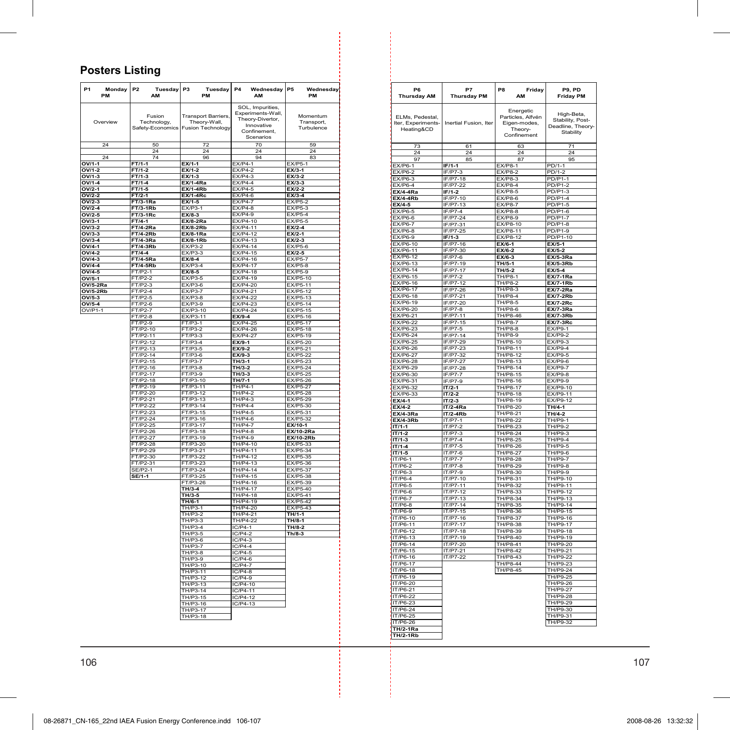# **Posters Listing**

| SOL, Impurities<br>Experiments-Wall,<br>Fusion<br><b>Transport Barriers,</b><br>Momentum<br>Theory-Divertor,<br>Overview<br>Technology,<br>Theory-Wall,<br>Transport,<br>Innovative<br>Safety-Economics<br>Fusion Technology<br>Turbulence<br>Confinement,<br>Scenarios<br>24<br>50<br>72<br>70<br>59<br>$\overline{24}$<br>24<br>24<br>24<br>74<br>24<br>96<br>94<br>83<br>OV/1-1<br>$FT/1-1$<br>$EX/1-1$<br>$FX/P4-1$<br><b>FX/P5-1</b><br>OV/1-2<br>$FT/1-2$<br>EX/1-2<br>FX/P4<br>EX/3-1<br>$FX/P4-3$<br>$OV/1-3$<br>$FT/1-3$<br>$EX/1-3$<br>$EX/3-2$<br>OV/1-4<br>FT/1-4<br><b>EX/1-4Ra</b><br>$EX/P4-4$<br>EX/3-3<br>$EX/P4-5$<br>$OV/2-1$<br>$FT/1-5$<br><b>EX/1-4Rh</b><br>$EX/2-2$<br>$EX/P4-6$<br>OV/2-2<br>FT/2-1<br><b>EX/1-4Rc</b><br>EX/3-4<br>$FX/P4-7$<br>$EX/P5-2$<br>OV/2-3<br><b>FT/3-1Ra</b><br>EX/1-5<br>OV/2-4<br><b>FT/3-1Rb</b><br>EX/P3-1<br><b>EX/P4-8</b><br><b>EX/P5-3</b><br>$EX/8-3$<br>$EX/P4-9$<br>$EX/P5-4$<br>OV/2-5<br>FT/3-1Rc<br>EX/P4-10<br><b>EX/P5-5</b><br>$OV/3-1$<br>$FT/4-1$<br><b>EX/8-2Ra</b><br>FX/P4-11<br>OV/3-2<br><b>FT/4-2Ra</b><br><b>EX/8-2Rb</b><br>$EX/2-4$<br><b>EX/P4-12</b><br>OV/3-3<br>FT/4-2Rb<br><b>EX/8-1Ra</b><br>$EX/2-1$<br><b>EX/P4-13</b><br>$EX/2-3$<br>$OV/3-4$<br>$FT/4-3Ra$<br>$EX/8-1Rb$<br>EX/P3-2<br>EX/P4-14<br><b>EX/P5-6</b><br>$OV/4-1$<br><b>FT/4-3Rb</b><br>$EX/P3-3$<br>EX/P4-15<br>OV/4-2<br>$FT/4-4$<br>$EX/2-5$<br>EX/P4-16<br>OV/4-3<br><b>FT/4-5Ra</b><br>$EX/8-4$<br><b>EX/P5-7</b><br><b>FX/P4-17</b><br><b>FX/P5-8</b><br>$OVI4-4$<br>$FX/P3-4$<br><b>FT/4-5Rb</b><br>$T/P2-1$<br>EX/P4-18<br><b>EX/P5-9</b><br>$OV/4-5$<br>EX/8-5<br>$T/P2-2$<br><b>EX/P3-5</b><br>EX/P4-19<br>EX/P5-10<br>Ē<br>OV/5-1<br>EX/P4-20<br><b>OV/5-2Ra</b><br>$FT/P2-3$<br>$EX/P3-6$<br>EX/P5-11<br>$FX/P3-7$<br>EX/P4-21<br><b>FX/P5-12</b><br><b>OV/5-2Rb</b><br>$FT/P2-4$<br>FT/P2-5<br><b>EX/P3-8</b><br>EX/P4-22<br>EX/P5-13<br>OV/5-3<br>$T/P2-6$<br>$EX/P3-9$<br><b>EX/P4-23</b><br><b>EX/P5-14</b><br>Ē<br>OV/5-4<br><b>EX/P5-15</b><br>OV/P1-1<br><b>FT/P2-7</b><br>EX/P3-10<br><b>EX/P4-24</b><br>FT/P2-8<br>FX/P3-11<br>$EX/9-4$<br>FX/P5-16<br>T/P3-1<br>EX/P4-25<br>EX/P5-17<br><b>FT/P2-9</b><br>FT/P2-10<br>$T/P3-2$<br>EX/P4-26<br><b>EX/P5-18</b><br>Е<br>FT/P2-11<br>$FT/P3-3$<br><b>EX/P4-27</b><br>EX/P5-19<br>FT/P2-12<br>FT/P3-4<br>$EX/9-1$<br><b>EX/P5-20</b><br>FT/P2-13<br>FT/P3-5<br>EX/9-2<br>EX/P5-21<br><b>EX/P5-22</b><br>FT/P2-14<br>$FT/P3-6$<br>EX/9-3<br>FT/P3-7<br>FT/P2-15<br>EX/P5-23<br>TH/3-1<br>$FT/P3-8$<br>EX/P5-24<br>FT/P2-16<br>TH/3-2<br>FT/P2-17<br>T/P3-9<br>TH/3-3<br><b>EX/P5-25</b><br>FT/P3-10<br>FT/P2-18<br>TH/7-1<br><b>EX/P5-26</b><br>FT/P2-19<br>FT/P3-11<br>TH/P4-1<br>EX/P5-27<br>FT/P3-12<br>EX/P5-28<br>FT/P2-20<br><b>TH/P4-2</b><br>FT/P2-21<br>$T/P3-13$<br>TH/P4-3<br>EX/P5-29<br>T/P2-22<br>FT/P3-14<br>$TH/PA-4$<br>FX/P5-30<br>FT/P2-23<br>FT/P3-15<br><b>TH/P4-5</b><br>EX/P5-31<br>FT/P2-24<br>FT/P3-16<br>TH/P4-6<br>EX/P5-32<br>FT/P2-25<br>FT/P3-17<br><b>TH/P4-7</b><br>EX/10-1<br>FT/P2-26<br>FT/P3-18<br><b>TH/P4-8</b><br><b>EX/10-2Ra</b><br>FT/P3-19<br>FT/P2-27<br><b>TH/P4-9</b><br><b>EX/10-2Rb</b><br>FT/P3-20<br><b>FT/P2-28</b><br>TH/P4-10<br>EX/P5-33<br>FT/P2-29<br>FT/P3-21<br>TH/P4-11<br>EX/P5-34<br>FT/P2-30<br>FT/P3-22<br><b>TH/P4-12</b><br>FX/P5-35<br>FT/P2-31<br>FT/P3-23<br>TH/P4-13<br><b>EX/P5-36</b><br>$FT/P3-24$<br>TH/P4-14<br><b>FX/P5-37</b><br>SE/P2-1<br><b>SE/1-1</b><br>FT/P3-25<br>TH/P4-15<br><b>EX/P5-38</b><br>FT/P3-26<br>TH/P4-16<br>FX/P5-39<br>TH/P4-17<br>EX/P5-40<br>TH/3-4<br>TH/3-5<br>TH/P4-18<br>FX/P5-41<br>TH/P4-19<br>EX/P5-42<br>TH/6-1<br>TH/P3-1<br>TH/P4-20<br><b>EX/P5-43</b><br>TH/P3-2<br>TH/P4-21<br>TH/1-1<br>TH/P3-3<br><b>TH/P4-22</b><br>TH/8-1<br>TH/P3-4<br>$IC/P4-1$<br>$TH/8-2$<br>TH/P3-5<br>$IC/P4-2$<br>Th/8-3<br>TH/P3-6<br>$IC/P4-3$<br><b>TH/P3-7</b><br>$IC/P4-4$<br><b>TH/P3-8</b><br>$IC/P4-5$<br>TH/P3-9<br>$IC/P4-6$<br>TH/P3-10<br>$IC/P4-7$<br>TH/P3-11<br>$IC/P4-8$<br>TH/P3-12<br>IC/P4-9<br>TH/P3-13<br>$IC/P4-10$<br>TH/P3-14<br>IC/P4-11<br>TH/P3-15<br>$IC/P4-12$<br>TH/P3-16<br>$IC/P4-13$<br>TH/P3-17<br>TH/P3-18 | <b>P1</b> | Monday<br>PM | P2 | Tuesday<br>AM | P <sub>3</sub> | Tuesday<br>PM | <b>P4</b> | Wednesday P5<br>AM | Wednesday<br>PM |
|-----------------------------------------------------------------------------------------------------------------------------------------------------------------------------------------------------------------------------------------------------------------------------------------------------------------------------------------------------------------------------------------------------------------------------------------------------------------------------------------------------------------------------------------------------------------------------------------------------------------------------------------------------------------------------------------------------------------------------------------------------------------------------------------------------------------------------------------------------------------------------------------------------------------------------------------------------------------------------------------------------------------------------------------------------------------------------------------------------------------------------------------------------------------------------------------------------------------------------------------------------------------------------------------------------------------------------------------------------------------------------------------------------------------------------------------------------------------------------------------------------------------------------------------------------------------------------------------------------------------------------------------------------------------------------------------------------------------------------------------------------------------------------------------------------------------------------------------------------------------------------------------------------------------------------------------------------------------------------------------------------------------------------------------------------------------------------------------------------------------------------------------------------------------------------------------------------------------------------------------------------------------------------------------------------------------------------------------------------------------------------------------------------------------------------------------------------------------------------------------------------------------------------------------------------------------------------------------------------------------------------------------------------------------------------------------------------------------------------------------------------------------------------------------------------------------------------------------------------------------------------------------------------------------------------------------------------------------------------------------------------------------------------------------------------------------------------------------------------------------------------------------------------------------------------------------------------------------------------------------------------------------------------------------------------------------------------------------------------------------------------------------------------------------------------------------------------------------------------------------------------------------------------------------------------------------------------------------------------------------------------------------------------------------------------------------------------------------------------------------------------------------------------------------------------------------------------------------------------------------------------------------------------------------------------------------------------------------------------------------------------------------------------------------------------------------------------------------------------------------------------------------------------------------|-----------|--------------|----|---------------|----------------|---------------|-----------|--------------------|-----------------|
|                                                                                                                                                                                                                                                                                                                                                                                                                                                                                                                                                                                                                                                                                                                                                                                                                                                                                                                                                                                                                                                                                                                                                                                                                                                                                                                                                                                                                                                                                                                                                                                                                                                                                                                                                                                                                                                                                                                                                                                                                                                                                                                                                                                                                                                                                                                                                                                                                                                                                                                                                                                                                                                                                                                                                                                                                                                                                                                                                                                                                                                                                                                                                                                                                                                                                                                                                                                                                                                                                                                                                                                                                                                                                                                                                                                                                                                                                                                                                                                                                                                                                                                                                                 |           |              |    |               |                |               |           |                    |                 |
|                                                                                                                                                                                                                                                                                                                                                                                                                                                                                                                                                                                                                                                                                                                                                                                                                                                                                                                                                                                                                                                                                                                                                                                                                                                                                                                                                                                                                                                                                                                                                                                                                                                                                                                                                                                                                                                                                                                                                                                                                                                                                                                                                                                                                                                                                                                                                                                                                                                                                                                                                                                                                                                                                                                                                                                                                                                                                                                                                                                                                                                                                                                                                                                                                                                                                                                                                                                                                                                                                                                                                                                                                                                                                                                                                                                                                                                                                                                                                                                                                                                                                                                                                                 |           |              |    |               |                |               |           |                    |                 |
|                                                                                                                                                                                                                                                                                                                                                                                                                                                                                                                                                                                                                                                                                                                                                                                                                                                                                                                                                                                                                                                                                                                                                                                                                                                                                                                                                                                                                                                                                                                                                                                                                                                                                                                                                                                                                                                                                                                                                                                                                                                                                                                                                                                                                                                                                                                                                                                                                                                                                                                                                                                                                                                                                                                                                                                                                                                                                                                                                                                                                                                                                                                                                                                                                                                                                                                                                                                                                                                                                                                                                                                                                                                                                                                                                                                                                                                                                                                                                                                                                                                                                                                                                                 |           |              |    |               |                |               |           |                    |                 |
|                                                                                                                                                                                                                                                                                                                                                                                                                                                                                                                                                                                                                                                                                                                                                                                                                                                                                                                                                                                                                                                                                                                                                                                                                                                                                                                                                                                                                                                                                                                                                                                                                                                                                                                                                                                                                                                                                                                                                                                                                                                                                                                                                                                                                                                                                                                                                                                                                                                                                                                                                                                                                                                                                                                                                                                                                                                                                                                                                                                                                                                                                                                                                                                                                                                                                                                                                                                                                                                                                                                                                                                                                                                                                                                                                                                                                                                                                                                                                                                                                                                                                                                                                                 |           |              |    |               |                |               |           |                    |                 |
|                                                                                                                                                                                                                                                                                                                                                                                                                                                                                                                                                                                                                                                                                                                                                                                                                                                                                                                                                                                                                                                                                                                                                                                                                                                                                                                                                                                                                                                                                                                                                                                                                                                                                                                                                                                                                                                                                                                                                                                                                                                                                                                                                                                                                                                                                                                                                                                                                                                                                                                                                                                                                                                                                                                                                                                                                                                                                                                                                                                                                                                                                                                                                                                                                                                                                                                                                                                                                                                                                                                                                                                                                                                                                                                                                                                                                                                                                                                                                                                                                                                                                                                                                                 |           |              |    |               |                |               |           |                    |                 |
|                                                                                                                                                                                                                                                                                                                                                                                                                                                                                                                                                                                                                                                                                                                                                                                                                                                                                                                                                                                                                                                                                                                                                                                                                                                                                                                                                                                                                                                                                                                                                                                                                                                                                                                                                                                                                                                                                                                                                                                                                                                                                                                                                                                                                                                                                                                                                                                                                                                                                                                                                                                                                                                                                                                                                                                                                                                                                                                                                                                                                                                                                                                                                                                                                                                                                                                                                                                                                                                                                                                                                                                                                                                                                                                                                                                                                                                                                                                                                                                                                                                                                                                                                                 |           |              |    |               |                |               |           |                    |                 |
|                                                                                                                                                                                                                                                                                                                                                                                                                                                                                                                                                                                                                                                                                                                                                                                                                                                                                                                                                                                                                                                                                                                                                                                                                                                                                                                                                                                                                                                                                                                                                                                                                                                                                                                                                                                                                                                                                                                                                                                                                                                                                                                                                                                                                                                                                                                                                                                                                                                                                                                                                                                                                                                                                                                                                                                                                                                                                                                                                                                                                                                                                                                                                                                                                                                                                                                                                                                                                                                                                                                                                                                                                                                                                                                                                                                                                                                                                                                                                                                                                                                                                                                                                                 |           |              |    |               |                |               |           |                    |                 |
|                                                                                                                                                                                                                                                                                                                                                                                                                                                                                                                                                                                                                                                                                                                                                                                                                                                                                                                                                                                                                                                                                                                                                                                                                                                                                                                                                                                                                                                                                                                                                                                                                                                                                                                                                                                                                                                                                                                                                                                                                                                                                                                                                                                                                                                                                                                                                                                                                                                                                                                                                                                                                                                                                                                                                                                                                                                                                                                                                                                                                                                                                                                                                                                                                                                                                                                                                                                                                                                                                                                                                                                                                                                                                                                                                                                                                                                                                                                                                                                                                                                                                                                                                                 |           |              |    |               |                |               |           |                    |                 |
|                                                                                                                                                                                                                                                                                                                                                                                                                                                                                                                                                                                                                                                                                                                                                                                                                                                                                                                                                                                                                                                                                                                                                                                                                                                                                                                                                                                                                                                                                                                                                                                                                                                                                                                                                                                                                                                                                                                                                                                                                                                                                                                                                                                                                                                                                                                                                                                                                                                                                                                                                                                                                                                                                                                                                                                                                                                                                                                                                                                                                                                                                                                                                                                                                                                                                                                                                                                                                                                                                                                                                                                                                                                                                                                                                                                                                                                                                                                                                                                                                                                                                                                                                                 |           |              |    |               |                |               |           |                    |                 |
|                                                                                                                                                                                                                                                                                                                                                                                                                                                                                                                                                                                                                                                                                                                                                                                                                                                                                                                                                                                                                                                                                                                                                                                                                                                                                                                                                                                                                                                                                                                                                                                                                                                                                                                                                                                                                                                                                                                                                                                                                                                                                                                                                                                                                                                                                                                                                                                                                                                                                                                                                                                                                                                                                                                                                                                                                                                                                                                                                                                                                                                                                                                                                                                                                                                                                                                                                                                                                                                                                                                                                                                                                                                                                                                                                                                                                                                                                                                                                                                                                                                                                                                                                                 |           |              |    |               |                |               |           |                    |                 |
|                                                                                                                                                                                                                                                                                                                                                                                                                                                                                                                                                                                                                                                                                                                                                                                                                                                                                                                                                                                                                                                                                                                                                                                                                                                                                                                                                                                                                                                                                                                                                                                                                                                                                                                                                                                                                                                                                                                                                                                                                                                                                                                                                                                                                                                                                                                                                                                                                                                                                                                                                                                                                                                                                                                                                                                                                                                                                                                                                                                                                                                                                                                                                                                                                                                                                                                                                                                                                                                                                                                                                                                                                                                                                                                                                                                                                                                                                                                                                                                                                                                                                                                                                                 |           |              |    |               |                |               |           |                    |                 |
|                                                                                                                                                                                                                                                                                                                                                                                                                                                                                                                                                                                                                                                                                                                                                                                                                                                                                                                                                                                                                                                                                                                                                                                                                                                                                                                                                                                                                                                                                                                                                                                                                                                                                                                                                                                                                                                                                                                                                                                                                                                                                                                                                                                                                                                                                                                                                                                                                                                                                                                                                                                                                                                                                                                                                                                                                                                                                                                                                                                                                                                                                                                                                                                                                                                                                                                                                                                                                                                                                                                                                                                                                                                                                                                                                                                                                                                                                                                                                                                                                                                                                                                                                                 |           |              |    |               |                |               |           |                    |                 |
|                                                                                                                                                                                                                                                                                                                                                                                                                                                                                                                                                                                                                                                                                                                                                                                                                                                                                                                                                                                                                                                                                                                                                                                                                                                                                                                                                                                                                                                                                                                                                                                                                                                                                                                                                                                                                                                                                                                                                                                                                                                                                                                                                                                                                                                                                                                                                                                                                                                                                                                                                                                                                                                                                                                                                                                                                                                                                                                                                                                                                                                                                                                                                                                                                                                                                                                                                                                                                                                                                                                                                                                                                                                                                                                                                                                                                                                                                                                                                                                                                                                                                                                                                                 |           |              |    |               |                |               |           |                    |                 |
|                                                                                                                                                                                                                                                                                                                                                                                                                                                                                                                                                                                                                                                                                                                                                                                                                                                                                                                                                                                                                                                                                                                                                                                                                                                                                                                                                                                                                                                                                                                                                                                                                                                                                                                                                                                                                                                                                                                                                                                                                                                                                                                                                                                                                                                                                                                                                                                                                                                                                                                                                                                                                                                                                                                                                                                                                                                                                                                                                                                                                                                                                                                                                                                                                                                                                                                                                                                                                                                                                                                                                                                                                                                                                                                                                                                                                                                                                                                                                                                                                                                                                                                                                                 |           |              |    |               |                |               |           |                    |                 |
|                                                                                                                                                                                                                                                                                                                                                                                                                                                                                                                                                                                                                                                                                                                                                                                                                                                                                                                                                                                                                                                                                                                                                                                                                                                                                                                                                                                                                                                                                                                                                                                                                                                                                                                                                                                                                                                                                                                                                                                                                                                                                                                                                                                                                                                                                                                                                                                                                                                                                                                                                                                                                                                                                                                                                                                                                                                                                                                                                                                                                                                                                                                                                                                                                                                                                                                                                                                                                                                                                                                                                                                                                                                                                                                                                                                                                                                                                                                                                                                                                                                                                                                                                                 |           |              |    |               |                |               |           |                    |                 |
|                                                                                                                                                                                                                                                                                                                                                                                                                                                                                                                                                                                                                                                                                                                                                                                                                                                                                                                                                                                                                                                                                                                                                                                                                                                                                                                                                                                                                                                                                                                                                                                                                                                                                                                                                                                                                                                                                                                                                                                                                                                                                                                                                                                                                                                                                                                                                                                                                                                                                                                                                                                                                                                                                                                                                                                                                                                                                                                                                                                                                                                                                                                                                                                                                                                                                                                                                                                                                                                                                                                                                                                                                                                                                                                                                                                                                                                                                                                                                                                                                                                                                                                                                                 |           |              |    |               |                |               |           |                    |                 |
|                                                                                                                                                                                                                                                                                                                                                                                                                                                                                                                                                                                                                                                                                                                                                                                                                                                                                                                                                                                                                                                                                                                                                                                                                                                                                                                                                                                                                                                                                                                                                                                                                                                                                                                                                                                                                                                                                                                                                                                                                                                                                                                                                                                                                                                                                                                                                                                                                                                                                                                                                                                                                                                                                                                                                                                                                                                                                                                                                                                                                                                                                                                                                                                                                                                                                                                                                                                                                                                                                                                                                                                                                                                                                                                                                                                                                                                                                                                                                                                                                                                                                                                                                                 |           |              |    |               |                |               |           |                    |                 |
|                                                                                                                                                                                                                                                                                                                                                                                                                                                                                                                                                                                                                                                                                                                                                                                                                                                                                                                                                                                                                                                                                                                                                                                                                                                                                                                                                                                                                                                                                                                                                                                                                                                                                                                                                                                                                                                                                                                                                                                                                                                                                                                                                                                                                                                                                                                                                                                                                                                                                                                                                                                                                                                                                                                                                                                                                                                                                                                                                                                                                                                                                                                                                                                                                                                                                                                                                                                                                                                                                                                                                                                                                                                                                                                                                                                                                                                                                                                                                                                                                                                                                                                                                                 |           |              |    |               |                |               |           |                    |                 |
|                                                                                                                                                                                                                                                                                                                                                                                                                                                                                                                                                                                                                                                                                                                                                                                                                                                                                                                                                                                                                                                                                                                                                                                                                                                                                                                                                                                                                                                                                                                                                                                                                                                                                                                                                                                                                                                                                                                                                                                                                                                                                                                                                                                                                                                                                                                                                                                                                                                                                                                                                                                                                                                                                                                                                                                                                                                                                                                                                                                                                                                                                                                                                                                                                                                                                                                                                                                                                                                                                                                                                                                                                                                                                                                                                                                                                                                                                                                                                                                                                                                                                                                                                                 |           |              |    |               |                |               |           |                    |                 |
|                                                                                                                                                                                                                                                                                                                                                                                                                                                                                                                                                                                                                                                                                                                                                                                                                                                                                                                                                                                                                                                                                                                                                                                                                                                                                                                                                                                                                                                                                                                                                                                                                                                                                                                                                                                                                                                                                                                                                                                                                                                                                                                                                                                                                                                                                                                                                                                                                                                                                                                                                                                                                                                                                                                                                                                                                                                                                                                                                                                                                                                                                                                                                                                                                                                                                                                                                                                                                                                                                                                                                                                                                                                                                                                                                                                                                                                                                                                                                                                                                                                                                                                                                                 |           |              |    |               |                |               |           |                    |                 |
|                                                                                                                                                                                                                                                                                                                                                                                                                                                                                                                                                                                                                                                                                                                                                                                                                                                                                                                                                                                                                                                                                                                                                                                                                                                                                                                                                                                                                                                                                                                                                                                                                                                                                                                                                                                                                                                                                                                                                                                                                                                                                                                                                                                                                                                                                                                                                                                                                                                                                                                                                                                                                                                                                                                                                                                                                                                                                                                                                                                                                                                                                                                                                                                                                                                                                                                                                                                                                                                                                                                                                                                                                                                                                                                                                                                                                                                                                                                                                                                                                                                                                                                                                                 |           |              |    |               |                |               |           |                    |                 |
|                                                                                                                                                                                                                                                                                                                                                                                                                                                                                                                                                                                                                                                                                                                                                                                                                                                                                                                                                                                                                                                                                                                                                                                                                                                                                                                                                                                                                                                                                                                                                                                                                                                                                                                                                                                                                                                                                                                                                                                                                                                                                                                                                                                                                                                                                                                                                                                                                                                                                                                                                                                                                                                                                                                                                                                                                                                                                                                                                                                                                                                                                                                                                                                                                                                                                                                                                                                                                                                                                                                                                                                                                                                                                                                                                                                                                                                                                                                                                                                                                                                                                                                                                                 |           |              |    |               |                |               |           |                    |                 |
|                                                                                                                                                                                                                                                                                                                                                                                                                                                                                                                                                                                                                                                                                                                                                                                                                                                                                                                                                                                                                                                                                                                                                                                                                                                                                                                                                                                                                                                                                                                                                                                                                                                                                                                                                                                                                                                                                                                                                                                                                                                                                                                                                                                                                                                                                                                                                                                                                                                                                                                                                                                                                                                                                                                                                                                                                                                                                                                                                                                                                                                                                                                                                                                                                                                                                                                                                                                                                                                                                                                                                                                                                                                                                                                                                                                                                                                                                                                                                                                                                                                                                                                                                                 |           |              |    |               |                |               |           |                    |                 |
|                                                                                                                                                                                                                                                                                                                                                                                                                                                                                                                                                                                                                                                                                                                                                                                                                                                                                                                                                                                                                                                                                                                                                                                                                                                                                                                                                                                                                                                                                                                                                                                                                                                                                                                                                                                                                                                                                                                                                                                                                                                                                                                                                                                                                                                                                                                                                                                                                                                                                                                                                                                                                                                                                                                                                                                                                                                                                                                                                                                                                                                                                                                                                                                                                                                                                                                                                                                                                                                                                                                                                                                                                                                                                                                                                                                                                                                                                                                                                                                                                                                                                                                                                                 |           |              |    |               |                |               |           |                    |                 |
|                                                                                                                                                                                                                                                                                                                                                                                                                                                                                                                                                                                                                                                                                                                                                                                                                                                                                                                                                                                                                                                                                                                                                                                                                                                                                                                                                                                                                                                                                                                                                                                                                                                                                                                                                                                                                                                                                                                                                                                                                                                                                                                                                                                                                                                                                                                                                                                                                                                                                                                                                                                                                                                                                                                                                                                                                                                                                                                                                                                                                                                                                                                                                                                                                                                                                                                                                                                                                                                                                                                                                                                                                                                                                                                                                                                                                                                                                                                                                                                                                                                                                                                                                                 |           |              |    |               |                |               |           |                    |                 |
|                                                                                                                                                                                                                                                                                                                                                                                                                                                                                                                                                                                                                                                                                                                                                                                                                                                                                                                                                                                                                                                                                                                                                                                                                                                                                                                                                                                                                                                                                                                                                                                                                                                                                                                                                                                                                                                                                                                                                                                                                                                                                                                                                                                                                                                                                                                                                                                                                                                                                                                                                                                                                                                                                                                                                                                                                                                                                                                                                                                                                                                                                                                                                                                                                                                                                                                                                                                                                                                                                                                                                                                                                                                                                                                                                                                                                                                                                                                                                                                                                                                                                                                                                                 |           |              |    |               |                |               |           |                    |                 |
|                                                                                                                                                                                                                                                                                                                                                                                                                                                                                                                                                                                                                                                                                                                                                                                                                                                                                                                                                                                                                                                                                                                                                                                                                                                                                                                                                                                                                                                                                                                                                                                                                                                                                                                                                                                                                                                                                                                                                                                                                                                                                                                                                                                                                                                                                                                                                                                                                                                                                                                                                                                                                                                                                                                                                                                                                                                                                                                                                                                                                                                                                                                                                                                                                                                                                                                                                                                                                                                                                                                                                                                                                                                                                                                                                                                                                                                                                                                                                                                                                                                                                                                                                                 |           |              |    |               |                |               |           |                    |                 |
|                                                                                                                                                                                                                                                                                                                                                                                                                                                                                                                                                                                                                                                                                                                                                                                                                                                                                                                                                                                                                                                                                                                                                                                                                                                                                                                                                                                                                                                                                                                                                                                                                                                                                                                                                                                                                                                                                                                                                                                                                                                                                                                                                                                                                                                                                                                                                                                                                                                                                                                                                                                                                                                                                                                                                                                                                                                                                                                                                                                                                                                                                                                                                                                                                                                                                                                                                                                                                                                                                                                                                                                                                                                                                                                                                                                                                                                                                                                                                                                                                                                                                                                                                                 |           |              |    |               |                |               |           |                    |                 |
|                                                                                                                                                                                                                                                                                                                                                                                                                                                                                                                                                                                                                                                                                                                                                                                                                                                                                                                                                                                                                                                                                                                                                                                                                                                                                                                                                                                                                                                                                                                                                                                                                                                                                                                                                                                                                                                                                                                                                                                                                                                                                                                                                                                                                                                                                                                                                                                                                                                                                                                                                                                                                                                                                                                                                                                                                                                                                                                                                                                                                                                                                                                                                                                                                                                                                                                                                                                                                                                                                                                                                                                                                                                                                                                                                                                                                                                                                                                                                                                                                                                                                                                                                                 |           |              |    |               |                |               |           |                    |                 |
|                                                                                                                                                                                                                                                                                                                                                                                                                                                                                                                                                                                                                                                                                                                                                                                                                                                                                                                                                                                                                                                                                                                                                                                                                                                                                                                                                                                                                                                                                                                                                                                                                                                                                                                                                                                                                                                                                                                                                                                                                                                                                                                                                                                                                                                                                                                                                                                                                                                                                                                                                                                                                                                                                                                                                                                                                                                                                                                                                                                                                                                                                                                                                                                                                                                                                                                                                                                                                                                                                                                                                                                                                                                                                                                                                                                                                                                                                                                                                                                                                                                                                                                                                                 |           |              |    |               |                |               |           |                    |                 |
|                                                                                                                                                                                                                                                                                                                                                                                                                                                                                                                                                                                                                                                                                                                                                                                                                                                                                                                                                                                                                                                                                                                                                                                                                                                                                                                                                                                                                                                                                                                                                                                                                                                                                                                                                                                                                                                                                                                                                                                                                                                                                                                                                                                                                                                                                                                                                                                                                                                                                                                                                                                                                                                                                                                                                                                                                                                                                                                                                                                                                                                                                                                                                                                                                                                                                                                                                                                                                                                                                                                                                                                                                                                                                                                                                                                                                                                                                                                                                                                                                                                                                                                                                                 |           |              |    |               |                |               |           |                    |                 |
|                                                                                                                                                                                                                                                                                                                                                                                                                                                                                                                                                                                                                                                                                                                                                                                                                                                                                                                                                                                                                                                                                                                                                                                                                                                                                                                                                                                                                                                                                                                                                                                                                                                                                                                                                                                                                                                                                                                                                                                                                                                                                                                                                                                                                                                                                                                                                                                                                                                                                                                                                                                                                                                                                                                                                                                                                                                                                                                                                                                                                                                                                                                                                                                                                                                                                                                                                                                                                                                                                                                                                                                                                                                                                                                                                                                                                                                                                                                                                                                                                                                                                                                                                                 |           |              |    |               |                |               |           |                    |                 |
|                                                                                                                                                                                                                                                                                                                                                                                                                                                                                                                                                                                                                                                                                                                                                                                                                                                                                                                                                                                                                                                                                                                                                                                                                                                                                                                                                                                                                                                                                                                                                                                                                                                                                                                                                                                                                                                                                                                                                                                                                                                                                                                                                                                                                                                                                                                                                                                                                                                                                                                                                                                                                                                                                                                                                                                                                                                                                                                                                                                                                                                                                                                                                                                                                                                                                                                                                                                                                                                                                                                                                                                                                                                                                                                                                                                                                                                                                                                                                                                                                                                                                                                                                                 |           |              |    |               |                |               |           |                    |                 |
|                                                                                                                                                                                                                                                                                                                                                                                                                                                                                                                                                                                                                                                                                                                                                                                                                                                                                                                                                                                                                                                                                                                                                                                                                                                                                                                                                                                                                                                                                                                                                                                                                                                                                                                                                                                                                                                                                                                                                                                                                                                                                                                                                                                                                                                                                                                                                                                                                                                                                                                                                                                                                                                                                                                                                                                                                                                                                                                                                                                                                                                                                                                                                                                                                                                                                                                                                                                                                                                                                                                                                                                                                                                                                                                                                                                                                                                                                                                                                                                                                                                                                                                                                                 |           |              |    |               |                |               |           |                    |                 |
|                                                                                                                                                                                                                                                                                                                                                                                                                                                                                                                                                                                                                                                                                                                                                                                                                                                                                                                                                                                                                                                                                                                                                                                                                                                                                                                                                                                                                                                                                                                                                                                                                                                                                                                                                                                                                                                                                                                                                                                                                                                                                                                                                                                                                                                                                                                                                                                                                                                                                                                                                                                                                                                                                                                                                                                                                                                                                                                                                                                                                                                                                                                                                                                                                                                                                                                                                                                                                                                                                                                                                                                                                                                                                                                                                                                                                                                                                                                                                                                                                                                                                                                                                                 |           |              |    |               |                |               |           |                    |                 |
|                                                                                                                                                                                                                                                                                                                                                                                                                                                                                                                                                                                                                                                                                                                                                                                                                                                                                                                                                                                                                                                                                                                                                                                                                                                                                                                                                                                                                                                                                                                                                                                                                                                                                                                                                                                                                                                                                                                                                                                                                                                                                                                                                                                                                                                                                                                                                                                                                                                                                                                                                                                                                                                                                                                                                                                                                                                                                                                                                                                                                                                                                                                                                                                                                                                                                                                                                                                                                                                                                                                                                                                                                                                                                                                                                                                                                                                                                                                                                                                                                                                                                                                                                                 |           |              |    |               |                |               |           |                    |                 |
|                                                                                                                                                                                                                                                                                                                                                                                                                                                                                                                                                                                                                                                                                                                                                                                                                                                                                                                                                                                                                                                                                                                                                                                                                                                                                                                                                                                                                                                                                                                                                                                                                                                                                                                                                                                                                                                                                                                                                                                                                                                                                                                                                                                                                                                                                                                                                                                                                                                                                                                                                                                                                                                                                                                                                                                                                                                                                                                                                                                                                                                                                                                                                                                                                                                                                                                                                                                                                                                                                                                                                                                                                                                                                                                                                                                                                                                                                                                                                                                                                                                                                                                                                                 |           |              |    |               |                |               |           |                    |                 |
|                                                                                                                                                                                                                                                                                                                                                                                                                                                                                                                                                                                                                                                                                                                                                                                                                                                                                                                                                                                                                                                                                                                                                                                                                                                                                                                                                                                                                                                                                                                                                                                                                                                                                                                                                                                                                                                                                                                                                                                                                                                                                                                                                                                                                                                                                                                                                                                                                                                                                                                                                                                                                                                                                                                                                                                                                                                                                                                                                                                                                                                                                                                                                                                                                                                                                                                                                                                                                                                                                                                                                                                                                                                                                                                                                                                                                                                                                                                                                                                                                                                                                                                                                                 |           |              |    |               |                |               |           |                    |                 |
|                                                                                                                                                                                                                                                                                                                                                                                                                                                                                                                                                                                                                                                                                                                                                                                                                                                                                                                                                                                                                                                                                                                                                                                                                                                                                                                                                                                                                                                                                                                                                                                                                                                                                                                                                                                                                                                                                                                                                                                                                                                                                                                                                                                                                                                                                                                                                                                                                                                                                                                                                                                                                                                                                                                                                                                                                                                                                                                                                                                                                                                                                                                                                                                                                                                                                                                                                                                                                                                                                                                                                                                                                                                                                                                                                                                                                                                                                                                                                                                                                                                                                                                                                                 |           |              |    |               |                |               |           |                    |                 |
|                                                                                                                                                                                                                                                                                                                                                                                                                                                                                                                                                                                                                                                                                                                                                                                                                                                                                                                                                                                                                                                                                                                                                                                                                                                                                                                                                                                                                                                                                                                                                                                                                                                                                                                                                                                                                                                                                                                                                                                                                                                                                                                                                                                                                                                                                                                                                                                                                                                                                                                                                                                                                                                                                                                                                                                                                                                                                                                                                                                                                                                                                                                                                                                                                                                                                                                                                                                                                                                                                                                                                                                                                                                                                                                                                                                                                                                                                                                                                                                                                                                                                                                                                                 |           |              |    |               |                |               |           |                    |                 |
|                                                                                                                                                                                                                                                                                                                                                                                                                                                                                                                                                                                                                                                                                                                                                                                                                                                                                                                                                                                                                                                                                                                                                                                                                                                                                                                                                                                                                                                                                                                                                                                                                                                                                                                                                                                                                                                                                                                                                                                                                                                                                                                                                                                                                                                                                                                                                                                                                                                                                                                                                                                                                                                                                                                                                                                                                                                                                                                                                                                                                                                                                                                                                                                                                                                                                                                                                                                                                                                                                                                                                                                                                                                                                                                                                                                                                                                                                                                                                                                                                                                                                                                                                                 |           |              |    |               |                |               |           |                    |                 |
|                                                                                                                                                                                                                                                                                                                                                                                                                                                                                                                                                                                                                                                                                                                                                                                                                                                                                                                                                                                                                                                                                                                                                                                                                                                                                                                                                                                                                                                                                                                                                                                                                                                                                                                                                                                                                                                                                                                                                                                                                                                                                                                                                                                                                                                                                                                                                                                                                                                                                                                                                                                                                                                                                                                                                                                                                                                                                                                                                                                                                                                                                                                                                                                                                                                                                                                                                                                                                                                                                                                                                                                                                                                                                                                                                                                                                                                                                                                                                                                                                                                                                                                                                                 |           |              |    |               |                |               |           |                    |                 |
|                                                                                                                                                                                                                                                                                                                                                                                                                                                                                                                                                                                                                                                                                                                                                                                                                                                                                                                                                                                                                                                                                                                                                                                                                                                                                                                                                                                                                                                                                                                                                                                                                                                                                                                                                                                                                                                                                                                                                                                                                                                                                                                                                                                                                                                                                                                                                                                                                                                                                                                                                                                                                                                                                                                                                                                                                                                                                                                                                                                                                                                                                                                                                                                                                                                                                                                                                                                                                                                                                                                                                                                                                                                                                                                                                                                                                                                                                                                                                                                                                                                                                                                                                                 |           |              |    |               |                |               |           |                    |                 |
|                                                                                                                                                                                                                                                                                                                                                                                                                                                                                                                                                                                                                                                                                                                                                                                                                                                                                                                                                                                                                                                                                                                                                                                                                                                                                                                                                                                                                                                                                                                                                                                                                                                                                                                                                                                                                                                                                                                                                                                                                                                                                                                                                                                                                                                                                                                                                                                                                                                                                                                                                                                                                                                                                                                                                                                                                                                                                                                                                                                                                                                                                                                                                                                                                                                                                                                                                                                                                                                                                                                                                                                                                                                                                                                                                                                                                                                                                                                                                                                                                                                                                                                                                                 |           |              |    |               |                |               |           |                    |                 |
|                                                                                                                                                                                                                                                                                                                                                                                                                                                                                                                                                                                                                                                                                                                                                                                                                                                                                                                                                                                                                                                                                                                                                                                                                                                                                                                                                                                                                                                                                                                                                                                                                                                                                                                                                                                                                                                                                                                                                                                                                                                                                                                                                                                                                                                                                                                                                                                                                                                                                                                                                                                                                                                                                                                                                                                                                                                                                                                                                                                                                                                                                                                                                                                                                                                                                                                                                                                                                                                                                                                                                                                                                                                                                                                                                                                                                                                                                                                                                                                                                                                                                                                                                                 |           |              |    |               |                |               |           |                    |                 |
|                                                                                                                                                                                                                                                                                                                                                                                                                                                                                                                                                                                                                                                                                                                                                                                                                                                                                                                                                                                                                                                                                                                                                                                                                                                                                                                                                                                                                                                                                                                                                                                                                                                                                                                                                                                                                                                                                                                                                                                                                                                                                                                                                                                                                                                                                                                                                                                                                                                                                                                                                                                                                                                                                                                                                                                                                                                                                                                                                                                                                                                                                                                                                                                                                                                                                                                                                                                                                                                                                                                                                                                                                                                                                                                                                                                                                                                                                                                                                                                                                                                                                                                                                                 |           |              |    |               |                |               |           |                    |                 |
|                                                                                                                                                                                                                                                                                                                                                                                                                                                                                                                                                                                                                                                                                                                                                                                                                                                                                                                                                                                                                                                                                                                                                                                                                                                                                                                                                                                                                                                                                                                                                                                                                                                                                                                                                                                                                                                                                                                                                                                                                                                                                                                                                                                                                                                                                                                                                                                                                                                                                                                                                                                                                                                                                                                                                                                                                                                                                                                                                                                                                                                                                                                                                                                                                                                                                                                                                                                                                                                                                                                                                                                                                                                                                                                                                                                                                                                                                                                                                                                                                                                                                                                                                                 |           |              |    |               |                |               |           |                    |                 |
|                                                                                                                                                                                                                                                                                                                                                                                                                                                                                                                                                                                                                                                                                                                                                                                                                                                                                                                                                                                                                                                                                                                                                                                                                                                                                                                                                                                                                                                                                                                                                                                                                                                                                                                                                                                                                                                                                                                                                                                                                                                                                                                                                                                                                                                                                                                                                                                                                                                                                                                                                                                                                                                                                                                                                                                                                                                                                                                                                                                                                                                                                                                                                                                                                                                                                                                                                                                                                                                                                                                                                                                                                                                                                                                                                                                                                                                                                                                                                                                                                                                                                                                                                                 |           |              |    |               |                |               |           |                    |                 |
|                                                                                                                                                                                                                                                                                                                                                                                                                                                                                                                                                                                                                                                                                                                                                                                                                                                                                                                                                                                                                                                                                                                                                                                                                                                                                                                                                                                                                                                                                                                                                                                                                                                                                                                                                                                                                                                                                                                                                                                                                                                                                                                                                                                                                                                                                                                                                                                                                                                                                                                                                                                                                                                                                                                                                                                                                                                                                                                                                                                                                                                                                                                                                                                                                                                                                                                                                                                                                                                                                                                                                                                                                                                                                                                                                                                                                                                                                                                                                                                                                                                                                                                                                                 |           |              |    |               |                |               |           |                    |                 |
|                                                                                                                                                                                                                                                                                                                                                                                                                                                                                                                                                                                                                                                                                                                                                                                                                                                                                                                                                                                                                                                                                                                                                                                                                                                                                                                                                                                                                                                                                                                                                                                                                                                                                                                                                                                                                                                                                                                                                                                                                                                                                                                                                                                                                                                                                                                                                                                                                                                                                                                                                                                                                                                                                                                                                                                                                                                                                                                                                                                                                                                                                                                                                                                                                                                                                                                                                                                                                                                                                                                                                                                                                                                                                                                                                                                                                                                                                                                                                                                                                                                                                                                                                                 |           |              |    |               |                |               |           |                    |                 |
|                                                                                                                                                                                                                                                                                                                                                                                                                                                                                                                                                                                                                                                                                                                                                                                                                                                                                                                                                                                                                                                                                                                                                                                                                                                                                                                                                                                                                                                                                                                                                                                                                                                                                                                                                                                                                                                                                                                                                                                                                                                                                                                                                                                                                                                                                                                                                                                                                                                                                                                                                                                                                                                                                                                                                                                                                                                                                                                                                                                                                                                                                                                                                                                                                                                                                                                                                                                                                                                                                                                                                                                                                                                                                                                                                                                                                                                                                                                                                                                                                                                                                                                                                                 |           |              |    |               |                |               |           |                    |                 |
|                                                                                                                                                                                                                                                                                                                                                                                                                                                                                                                                                                                                                                                                                                                                                                                                                                                                                                                                                                                                                                                                                                                                                                                                                                                                                                                                                                                                                                                                                                                                                                                                                                                                                                                                                                                                                                                                                                                                                                                                                                                                                                                                                                                                                                                                                                                                                                                                                                                                                                                                                                                                                                                                                                                                                                                                                                                                                                                                                                                                                                                                                                                                                                                                                                                                                                                                                                                                                                                                                                                                                                                                                                                                                                                                                                                                                                                                                                                                                                                                                                                                                                                                                                 |           |              |    |               |                |               |           |                    |                 |
|                                                                                                                                                                                                                                                                                                                                                                                                                                                                                                                                                                                                                                                                                                                                                                                                                                                                                                                                                                                                                                                                                                                                                                                                                                                                                                                                                                                                                                                                                                                                                                                                                                                                                                                                                                                                                                                                                                                                                                                                                                                                                                                                                                                                                                                                                                                                                                                                                                                                                                                                                                                                                                                                                                                                                                                                                                                                                                                                                                                                                                                                                                                                                                                                                                                                                                                                                                                                                                                                                                                                                                                                                                                                                                                                                                                                                                                                                                                                                                                                                                                                                                                                                                 |           |              |    |               |                |               |           |                    |                 |
|                                                                                                                                                                                                                                                                                                                                                                                                                                                                                                                                                                                                                                                                                                                                                                                                                                                                                                                                                                                                                                                                                                                                                                                                                                                                                                                                                                                                                                                                                                                                                                                                                                                                                                                                                                                                                                                                                                                                                                                                                                                                                                                                                                                                                                                                                                                                                                                                                                                                                                                                                                                                                                                                                                                                                                                                                                                                                                                                                                                                                                                                                                                                                                                                                                                                                                                                                                                                                                                                                                                                                                                                                                                                                                                                                                                                                                                                                                                                                                                                                                                                                                                                                                 |           |              |    |               |                |               |           |                    |                 |
|                                                                                                                                                                                                                                                                                                                                                                                                                                                                                                                                                                                                                                                                                                                                                                                                                                                                                                                                                                                                                                                                                                                                                                                                                                                                                                                                                                                                                                                                                                                                                                                                                                                                                                                                                                                                                                                                                                                                                                                                                                                                                                                                                                                                                                                                                                                                                                                                                                                                                                                                                                                                                                                                                                                                                                                                                                                                                                                                                                                                                                                                                                                                                                                                                                                                                                                                                                                                                                                                                                                                                                                                                                                                                                                                                                                                                                                                                                                                                                                                                                                                                                                                                                 |           |              |    |               |                |               |           |                    |                 |
|                                                                                                                                                                                                                                                                                                                                                                                                                                                                                                                                                                                                                                                                                                                                                                                                                                                                                                                                                                                                                                                                                                                                                                                                                                                                                                                                                                                                                                                                                                                                                                                                                                                                                                                                                                                                                                                                                                                                                                                                                                                                                                                                                                                                                                                                                                                                                                                                                                                                                                                                                                                                                                                                                                                                                                                                                                                                                                                                                                                                                                                                                                                                                                                                                                                                                                                                                                                                                                                                                                                                                                                                                                                                                                                                                                                                                                                                                                                                                                                                                                                                                                                                                                 |           |              |    |               |                |               |           |                    |                 |
|                                                                                                                                                                                                                                                                                                                                                                                                                                                                                                                                                                                                                                                                                                                                                                                                                                                                                                                                                                                                                                                                                                                                                                                                                                                                                                                                                                                                                                                                                                                                                                                                                                                                                                                                                                                                                                                                                                                                                                                                                                                                                                                                                                                                                                                                                                                                                                                                                                                                                                                                                                                                                                                                                                                                                                                                                                                                                                                                                                                                                                                                                                                                                                                                                                                                                                                                                                                                                                                                                                                                                                                                                                                                                                                                                                                                                                                                                                                                                                                                                                                                                                                                                                 |           |              |    |               |                |               |           |                    |                 |
|                                                                                                                                                                                                                                                                                                                                                                                                                                                                                                                                                                                                                                                                                                                                                                                                                                                                                                                                                                                                                                                                                                                                                                                                                                                                                                                                                                                                                                                                                                                                                                                                                                                                                                                                                                                                                                                                                                                                                                                                                                                                                                                                                                                                                                                                                                                                                                                                                                                                                                                                                                                                                                                                                                                                                                                                                                                                                                                                                                                                                                                                                                                                                                                                                                                                                                                                                                                                                                                                                                                                                                                                                                                                                                                                                                                                                                                                                                                                                                                                                                                                                                                                                                 |           |              |    |               |                |               |           |                    |                 |
|                                                                                                                                                                                                                                                                                                                                                                                                                                                                                                                                                                                                                                                                                                                                                                                                                                                                                                                                                                                                                                                                                                                                                                                                                                                                                                                                                                                                                                                                                                                                                                                                                                                                                                                                                                                                                                                                                                                                                                                                                                                                                                                                                                                                                                                                                                                                                                                                                                                                                                                                                                                                                                                                                                                                                                                                                                                                                                                                                                                                                                                                                                                                                                                                                                                                                                                                                                                                                                                                                                                                                                                                                                                                                                                                                                                                                                                                                                                                                                                                                                                                                                                                                                 |           |              |    |               |                |               |           |                    |                 |
|                                                                                                                                                                                                                                                                                                                                                                                                                                                                                                                                                                                                                                                                                                                                                                                                                                                                                                                                                                                                                                                                                                                                                                                                                                                                                                                                                                                                                                                                                                                                                                                                                                                                                                                                                                                                                                                                                                                                                                                                                                                                                                                                                                                                                                                                                                                                                                                                                                                                                                                                                                                                                                                                                                                                                                                                                                                                                                                                                                                                                                                                                                                                                                                                                                                                                                                                                                                                                                                                                                                                                                                                                                                                                                                                                                                                                                                                                                                                                                                                                                                                                                                                                                 |           |              |    |               |                |               |           |                    |                 |
|                                                                                                                                                                                                                                                                                                                                                                                                                                                                                                                                                                                                                                                                                                                                                                                                                                                                                                                                                                                                                                                                                                                                                                                                                                                                                                                                                                                                                                                                                                                                                                                                                                                                                                                                                                                                                                                                                                                                                                                                                                                                                                                                                                                                                                                                                                                                                                                                                                                                                                                                                                                                                                                                                                                                                                                                                                                                                                                                                                                                                                                                                                                                                                                                                                                                                                                                                                                                                                                                                                                                                                                                                                                                                                                                                                                                                                                                                                                                                                                                                                                                                                                                                                 |           |              |    |               |                |               |           |                    |                 |
|                                                                                                                                                                                                                                                                                                                                                                                                                                                                                                                                                                                                                                                                                                                                                                                                                                                                                                                                                                                                                                                                                                                                                                                                                                                                                                                                                                                                                                                                                                                                                                                                                                                                                                                                                                                                                                                                                                                                                                                                                                                                                                                                                                                                                                                                                                                                                                                                                                                                                                                                                                                                                                                                                                                                                                                                                                                                                                                                                                                                                                                                                                                                                                                                                                                                                                                                                                                                                                                                                                                                                                                                                                                                                                                                                                                                                                                                                                                                                                                                                                                                                                                                                                 |           |              |    |               |                |               |           |                    |                 |
|                                                                                                                                                                                                                                                                                                                                                                                                                                                                                                                                                                                                                                                                                                                                                                                                                                                                                                                                                                                                                                                                                                                                                                                                                                                                                                                                                                                                                                                                                                                                                                                                                                                                                                                                                                                                                                                                                                                                                                                                                                                                                                                                                                                                                                                                                                                                                                                                                                                                                                                                                                                                                                                                                                                                                                                                                                                                                                                                                                                                                                                                                                                                                                                                                                                                                                                                                                                                                                                                                                                                                                                                                                                                                                                                                                                                                                                                                                                                                                                                                                                                                                                                                                 |           |              |    |               |                |               |           |                    |                 |

| P <sub>6</sub><br><b>Thursday AM</b>                                         | P7<br><b>Thursday PM</b>     | P8<br>Friday<br>AM                                                       | P9, PD<br><b>Friday PM</b>                                       |  |  |
|------------------------------------------------------------------------------|------------------------------|--------------------------------------------------------------------------|------------------------------------------------------------------|--|--|
| ELMs, Pedestal,<br>Iter, Experiments-<br>Inertial Fusion, Iter<br>Heating&CD |                              | Energetic<br>Particles, Alfvén<br>Eigen-modes,<br>Theory-<br>Confinement | High-Beta,<br>Stability, Post-<br>Deadline, Theory-<br>Stability |  |  |
| 73<br>24                                                                     | 61                           | 63                                                                       | 71<br>24                                                         |  |  |
| 97                                                                           | 24<br>85                     | 24<br>87                                                                 | 95                                                               |  |  |
| $FX/P6-1$                                                                    | $IF/1-1$                     | <b>FX/P8-1</b>                                                           | $PD/1-1$                                                         |  |  |
| $X/P6-2$<br>F                                                                | $IF/P7-3$                    | $EX/P8-2$                                                                | PD/1-2                                                           |  |  |
| $FX/P6-3$                                                                    | IF/P7-18                     | $EX/P8-3$                                                                | <b>PD/P1-1</b>                                                   |  |  |
| X/P6-4<br>EX/4-4Ra                                                           | IF/P7-22<br>$IF/1-2$         | EX/P8-4<br><b>EX/P8-5</b>                                                | <b>PD/P1-2</b><br><b>PD/P1-3</b>                                 |  |  |
| <b>EX/4-4Rb</b>                                                              | IF/P7-10                     | EX/P8-6                                                                  | <b>PD/P1-4</b>                                                   |  |  |
| EX/4-5                                                                       | $IF/P7-13$                   | <b>EX/P8-7</b>                                                           | <b>PD/P1-5</b>                                                   |  |  |
| X/P6-5                                                                       | $IF/P7-4$                    | $EX/P8-8$                                                                | <b>PD/P1-6</b>                                                   |  |  |
| $EX/P6-6$<br>X/P6-7<br>Ē                                                     | $IF/P7-24$                   | <b>FX/P8-9</b><br>X/P8-10<br>E                                           | <b>PD/P1-7</b><br><b>PD/P1-8</b>                                 |  |  |
| X/P6-8<br>Е                                                                  | IF/P7-31<br>IF/P7-25         | EX/P8-11                                                                 | PD/P1-9                                                          |  |  |
| X/P6-9                                                                       | $IF/1-3$                     | <b>EX/P8-12</b>                                                          | PD/P1-10                                                         |  |  |
| <b>FX/P6-10</b>                                                              | <b>IF/P7-16</b>              | $EX/6-1$                                                                 | $EX/5-1$                                                         |  |  |
| X/P6-11                                                                      | IF/P7-30                     | $EX/6-2$                                                                 | $EX/5-2$                                                         |  |  |
| <b>EX/P6-12</b><br>X/P6-13                                                   | $IF/P7-6$<br>IF/P7-19        | EX/6-3<br>TH/5-1                                                         | EX/5-3Ra<br><b>EX/5-3Rb</b>                                      |  |  |
| <b>EX/P6-14</b>                                                              | $IF/P7-17$                   | TH/5-2                                                                   | $EX/5-4$                                                         |  |  |
| X/P6-15                                                                      | $IF/P7-2$                    | <b>TH/P8-1</b>                                                           | <b>EX/7-1Ra</b>                                                  |  |  |
| X/P6-16<br>E                                                                 | IF/P7-12                     | <b>TH/P8-2</b>                                                           | <b>EX/7-1Rb</b>                                                  |  |  |
| <b>EX/P6-17</b>                                                              | IF/P7-26                     | <b>TH/P8-3</b>                                                           | $EX/7-2Ra$                                                       |  |  |
| EX/P6-18<br>X/P6-19<br>F                                                     | $IF/P7-21$<br>IF/P7-20       | <b>TH/P8-4</b><br><b>TH/P8-5</b>                                         | <b>EX/7-2Rb</b><br><b>EX/7-2Rc</b>                               |  |  |
| <b>EX/P6-20</b>                                                              | $IF/P7-8$                    | TH/P8-6                                                                  | EX/7-3Ra                                                         |  |  |
| X/P6-21                                                                      | IF/P7-11                     | TH/P8-46                                                                 | <b>EX/7-3Rb</b>                                                  |  |  |
| <b>EX/P6-22</b>                                                              | IF/P7-15                     | <b>TH/P8-7</b>                                                           | <b>EX/7-3Rc</b>                                                  |  |  |
| $X/P6-23$<br><b>EX/P6-24</b>                                                 | $IF/P7-5$<br>IF/P7-14        | TH/P8-8<br>TH/P8-9                                                       | <b>EX/P9-1</b><br>$EX/P9-2$                                      |  |  |
| <b>EX/P6-25</b>                                                              | <b>IF/P7-29</b>              | TH/P8-10                                                                 | $EX/P9-3$                                                        |  |  |
| EX/P6-26                                                                     | $IF/P7-23$                   | TH/P8-11                                                                 | $EX/P9-4$                                                        |  |  |
| X/P6-27<br>F                                                                 | IF/P7-32                     | TH/P8-12                                                                 | X/P9-5<br>E                                                      |  |  |
| X/P6-28<br>F                                                                 | $IF/P7-27$                   | TH/P8-13                                                                 | <b>EX/P9-6</b>                                                   |  |  |
| X/P6-29<br>F<br>EX/P6-30                                                     | <b>IF/P7-28</b><br>$IF/P7-7$ | <b>TH/P8-14</b><br>TH/P8-15                                              | <b>EX/P9-7</b><br>$EX/P9-8$                                      |  |  |
| X/P6-31<br>F                                                                 | $IF/P7-9$                    | TH/P8-16                                                                 | X/P9-9<br>F                                                      |  |  |
| X/P6-32<br>F                                                                 | $IT/2-1$                     | <b>TH/P8-17</b>                                                          | EX/P9-10                                                         |  |  |
| <b>EX/P6-33</b>                                                              | $IT/2-2$                     | TH/P8-18                                                                 | <b>EX/P9-11</b>                                                  |  |  |
| FX/4.1<br>$EX/4-2$                                                           | $IT/2-3$<br>$IT/2-4Ra$       | TH/P8-19<br>TH/P8-20                                                     | <b>EX/P9-12</b><br>TH/4-1                                        |  |  |
| $EX/4-3Ra$                                                                   | $IT/2-4Rb$                   | TH/P8-21                                                                 | <b>TH/4-2</b>                                                    |  |  |
| <b>EX/4-3Rb</b>                                                              | $IT/PT-1$                    | <b>TH/P8-22</b>                                                          | <b>TH/P9-1</b>                                                   |  |  |
| $IT/1-1$                                                                     | $IT/P7-2$                    | <b>TH/P8-23</b>                                                          | <b>TH/P9-2</b>                                                   |  |  |
| $IT/1-2$<br>$IT/1-3$                                                         | IT/P7-3<br>$IT/P7-4$         | TH/P8-24<br>TH/P8-25                                                     | TH/P9-<br>3<br><b>TH/P9-4</b>                                    |  |  |
| $IT/1-4$                                                                     | IT/P7-5                      | TH/P8-26                                                                 | TH/P9-5                                                          |  |  |
| $IT/1-5$                                                                     | $IT/P7-6$                    | <b>TH/P8-27</b>                                                          | <b>TH/P9-6</b>                                                   |  |  |
| IT/P6-1                                                                      | $IT/P7-7$                    | <b>TH/P8-28</b>                                                          | <b>TH/P9-7</b>                                                   |  |  |
| $IT/P6-2$<br>IT/P6-3                                                         | $IT/P7-8$<br>$IT/P7-9$       | <b>TH/P8-29</b><br>TH/P8-30                                              | <b>TH/P9-8</b><br><b>TH/P9-9</b>                                 |  |  |
| IT/P6-4                                                                      | IT/P7-10                     | TH/P8-31                                                                 | TH/P9-10                                                         |  |  |
| IT/P6-5                                                                      | IT/P7-11                     | TH/P8-<br>32                                                             | TH/P9-11                                                         |  |  |
| IT/P6-6                                                                      | IT/P7-12                     | TH/P8-33                                                                 | <b>TH/P9-12</b>                                                  |  |  |
| IT/P6-7<br>IT/P6-8                                                           | IT/P7-13                     | TH/P8-34                                                                 | TH/P9-13                                                         |  |  |
| IT/P6-9                                                                      | $IT/P7-14$<br>IT/P7-15       | TH/P8-35<br>TH/P8-36                                                     | TH/P9-14<br>TH/P9-15                                             |  |  |
| IT/P6-10                                                                     | IT/P7-16                     | <b>TH/P8-37</b>                                                          | TH/P9-16                                                         |  |  |
| IT/P6-11                                                                     | IT/P7-17                     | TH/P8-38                                                                 | TH/P9-17                                                         |  |  |
| IT/P6-12                                                                     | IT/P7-18<br>IT/P7-19         | TH/P8-39                                                                 | <b>TH/P9-18</b>                                                  |  |  |
| IT/P6-13<br>IT/P6-14                                                         | IT/P7-20                     | TH/P8-40<br><b>TH/P8-41</b>                                              | TH/P9-19<br><b>TH/P9-20</b>                                      |  |  |
| IT/P6-15                                                                     | IT/P7-21                     | TH/P8-42                                                                 | TH/P9-21                                                         |  |  |
| IT/P6-16                                                                     | IT/P7-22                     | TH/P8-43                                                                 | <b>TH/P9-22</b>                                                  |  |  |
| IT/P6-17                                                                     |                              | TH/P8-44                                                                 | TH/P9-23                                                         |  |  |
| IT/P6-18<br>IT/P6-19                                                         |                              | TH/P8-45                                                                 | <b>TH/P9-24</b><br><b>TH/P9-25</b>                               |  |  |
| IT/P6-20                                                                     |                              |                                                                          | <b>TH/P9-26</b>                                                  |  |  |
| IT/P6-21                                                                     |                              |                                                                          | TH/P9-27                                                         |  |  |
| IT/P6-22                                                                     |                              |                                                                          | <b>TH/P9-28</b>                                                  |  |  |
| IT/P6-23<br>IT/P6-24                                                         |                              |                                                                          | TH/P9-29<br>TH/P9-30                                             |  |  |
| IT/P6-25                                                                     |                              |                                                                          | TH/P9-31                                                         |  |  |
| IT/P6-26                                                                     |                              |                                                                          | TH/P9-32                                                         |  |  |
| <b>TH/2-1Ra</b>                                                              |                              |                                                                          |                                                                  |  |  |
| <b>TH/2-1Rb</b>                                                              |                              |                                                                          |                                                                  |  |  |